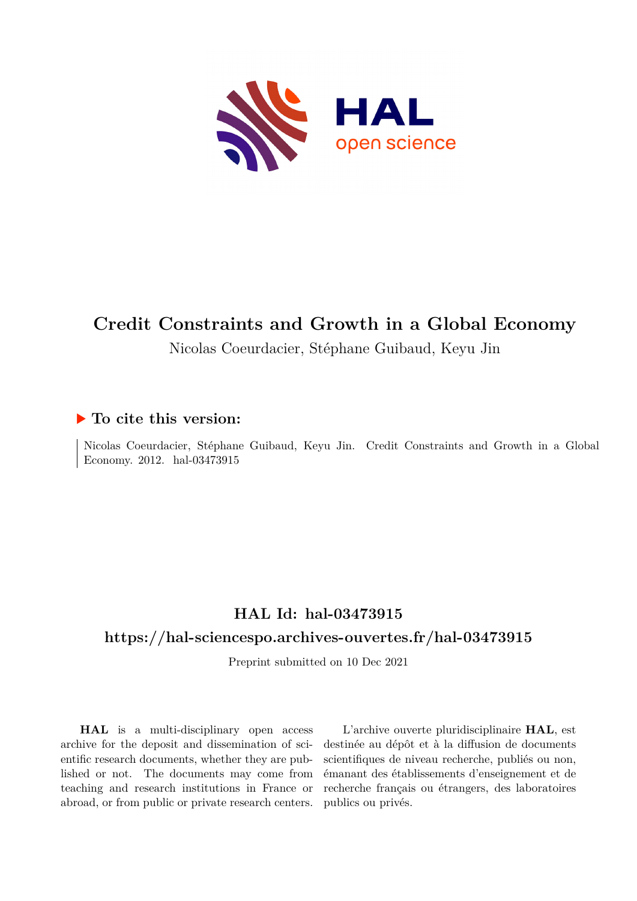

# **Credit Constraints and Growth in a Global Economy**

Nicolas Coeurdacier, Stéphane Guibaud, Keyu Jin

## **To cite this version:**

Nicolas Coeurdacier, Stéphane Guibaud, Keyu Jin. Credit Constraints and Growth in a Global Economy. 2012. hal-03473915

# **HAL Id: hal-03473915**

# **<https://hal-sciencespo.archives-ouvertes.fr/hal-03473915>**

Preprint submitted on 10 Dec 2021

**HAL** is a multi-disciplinary open access archive for the deposit and dissemination of scientific research documents, whether they are published or not. The documents may come from teaching and research institutions in France or abroad, or from public or private research centers.

L'archive ouverte pluridisciplinaire **HAL**, est destinée au dépôt et à la diffusion de documents scientifiques de niveau recherche, publiés ou non, émanant des établissements d'enseignement et de recherche français ou étrangers, des laboratoires publics ou privés.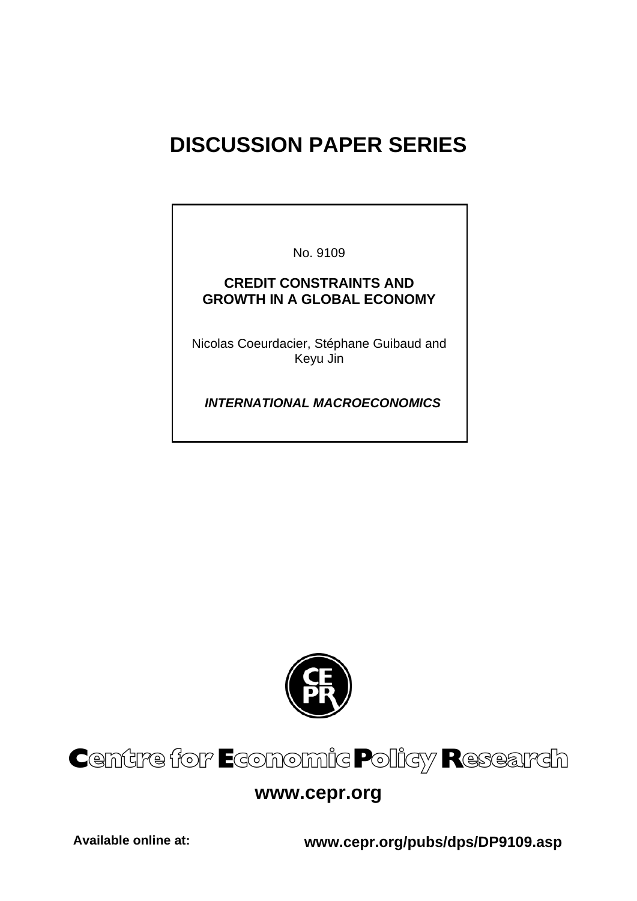# **DISCUSSION PAPER SERIES**

No. 9109

# **CREDIT CONSTRAINTS AND GROWTH IN A GLOBAL ECONOMY**

Nicolas Coeurdacier, Stéphane Guibaud and Keyu Jin

 *INTERNATIONAL MACROECONOMICS* 



# Centre for Economic Policy Research

# **www.cepr.org**

**Available online at: www.cepr.org/pubs/dps/DP9109.asp**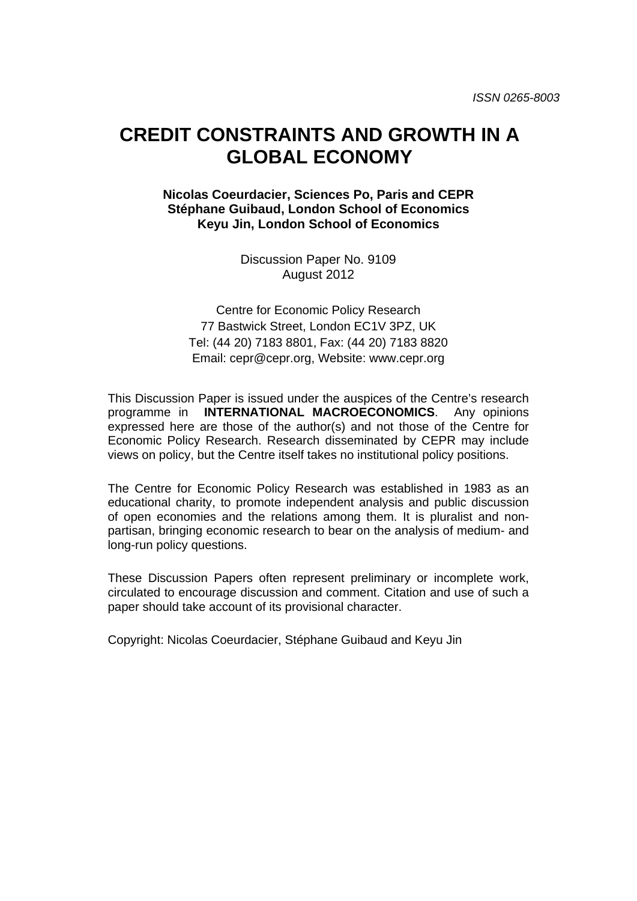# **CREDIT CONSTRAINTS AND GROWTH IN A GLOBAL ECONOMY**

### **Nicolas Coeurdacier, Sciences Po, Paris and CEPR Stéphane Guibaud, London School of Economics Keyu Jin, London School of Economics**

Discussion Paper No. 9109 August 2012

Centre for Economic Policy Research 77 Bastwick Street, London EC1V 3PZ, UK Tel: (44 20) 7183 8801, Fax: (44 20) 7183 8820 Email: cepr@cepr.org, Website: www.cepr.org

This Discussion Paper is issued under the auspices of the Centre's research programme in **INTERNATIONAL MACROECONOMICS**. Any opinions expressed here are those of the author(s) and not those of the Centre for Economic Policy Research. Research disseminated by CEPR may include views on policy, but the Centre itself takes no institutional policy positions.

The Centre for Economic Policy Research was established in 1983 as an educational charity, to promote independent analysis and public discussion of open economies and the relations among them. It is pluralist and nonpartisan, bringing economic research to bear on the analysis of medium- and long-run policy questions.

These Discussion Papers often represent preliminary or incomplete work, circulated to encourage discussion and comment. Citation and use of such a paper should take account of its provisional character.

Copyright: Nicolas Coeurdacier, Stéphane Guibaud and Keyu Jin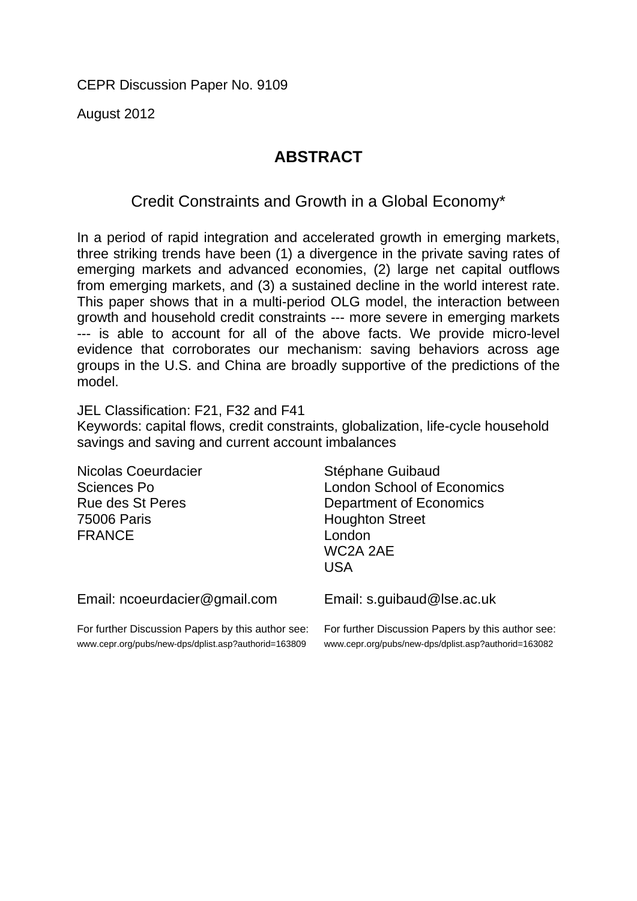CEPR Discussion Paper No. 9109

August 2012

# **ABSTRACT**

Credit Constraints and Growth in a Global Economy\*

In a period of rapid integration and accelerated growth in emerging markets, three striking trends have been (1) a divergence in the private saving rates of emerging markets and advanced economies, (2) large net capital outflows from emerging markets, and (3) a sustained decline in the world interest rate. This paper shows that in a multi-period OLG model, the interaction between growth and household credit constraints --- more severe in emerging markets --- is able to account for all of the above facts. We provide micro-level evidence that corroborates our mechanism: saving behaviors across age groups in the U.S. and China are broadly supportive of the predictions of the model.

JEL Classification: F21, F32 and F41 Keywords: capital flows, credit constraints, globalization, life-cycle household savings and saving and current account imbalances

| Nicolas Coeurdacier<br>Sciences Po<br><b>Rue des St Peres</b><br><b>75006 Paris</b><br><b>FRANCE</b>      | Stéphane Guibaud<br><b>London School of Economics</b><br>Department of Economics<br><b>Houghton Street</b><br>London<br>WC2A 2AE<br><b>USA</b> |
|-----------------------------------------------------------------------------------------------------------|------------------------------------------------------------------------------------------------------------------------------------------------|
| Email: ncoeurdacier@gmail.com                                                                             | Email: s.guibaud@lse.ac.uk                                                                                                                     |
| For further Discussion Papers by this author see:<br>www.cepr.org/pubs/new-dps/dplist.asp?authorid=163809 | For further Discussion Papers by this author see:<br>www.cepr.org/pubs/new-dps/dplist.asp?authorid=163082                                      |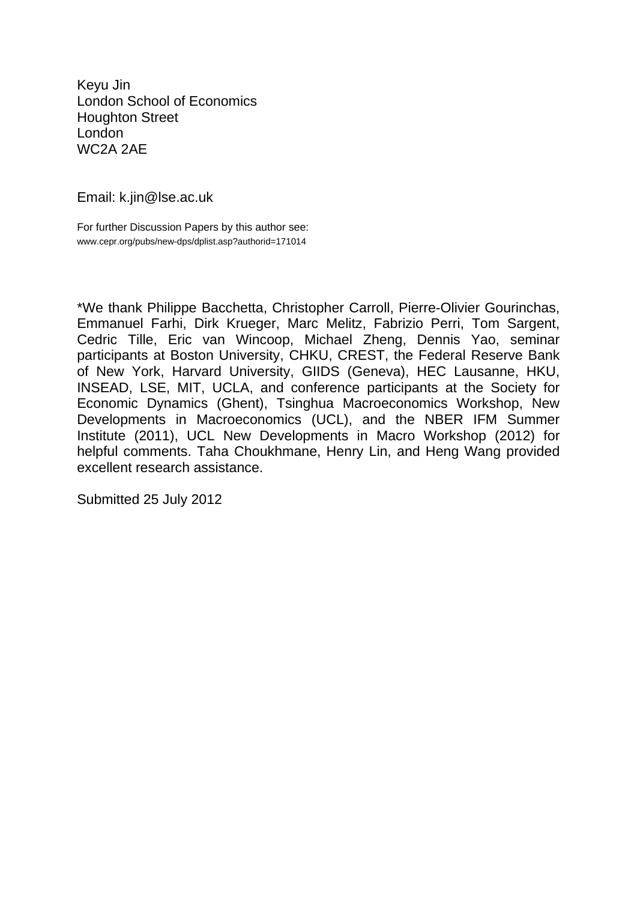Keyu Jin London School of Economics Houghton Street London WC2A 2AE

Email: k.jin@lse.ac.uk

For further Discussion Papers by this author see: www.cepr.org/pubs/new-dps/dplist.asp?authorid=171014

\*We thank Philippe Bacchetta, Christopher Carroll, Pierre-Olivier Gourinchas, Emmanuel Farhi, Dirk Krueger, Marc Melitz, Fabrizio Perri, Tom Sargent, Cedric Tille, Eric van Wincoop, Michael Zheng, Dennis Yao, seminar participants at Boston University, CHKU, CREST, the Federal Reserve Bank of New York, Harvard University, GIIDS (Geneva), HEC Lausanne, HKU, INSEAD, LSE, MIT, UCLA, and conference participants at the Society for Economic Dynamics (Ghent), Tsinghua Macroeconomics Workshop, New Developments in Macroeconomics (UCL), and the NBER IFM Summer Institute (2011), UCL New Developments in Macro Workshop (2012) for helpful comments. Taha Choukhmane, Henry Lin, and Heng Wang provided excellent research assistance.

Submitted 25 July 2012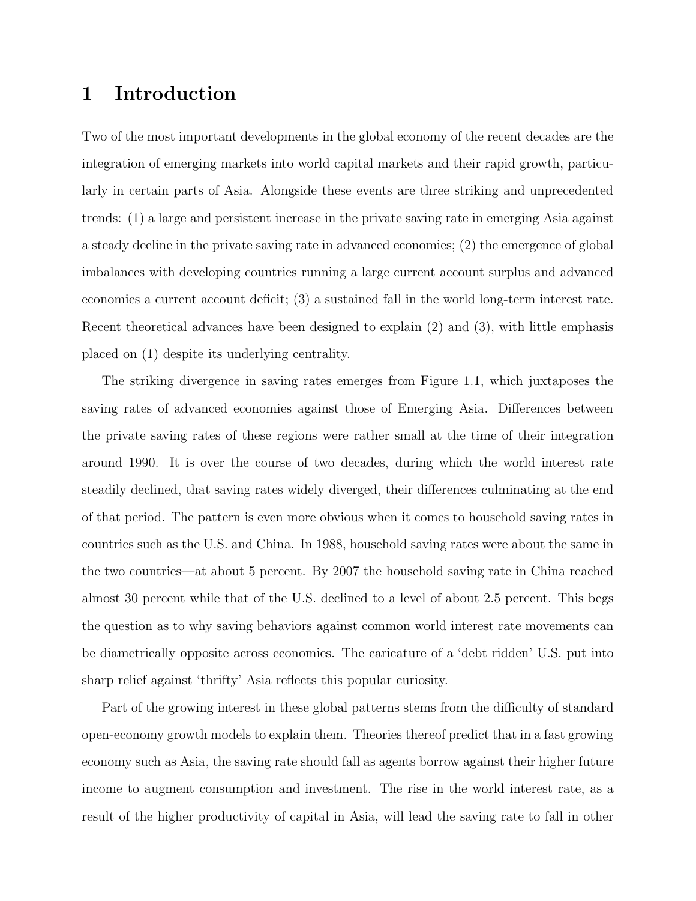# 1 Introduction

Two of the most important developments in the global economy of the recent decades are the integration of emerging markets into world capital markets and their rapid growth, particularly in certain parts of Asia. Alongside these events are three striking and unprecedented trends: (1) a large and persistent increase in the private saving rate in emerging Asia against a steady decline in the private saving rate in advanced economies; (2) the emergence of global imbalances with developing countries running a large current account surplus and advanced economies a current account deficit; (3) a sustained fall in the world long-term interest rate. Recent theoretical advances have been designed to explain (2) and (3), with little emphasis placed on (1) despite its underlying centrality.

The striking divergence in saving rates emerges from Figure 1.1, which juxtaposes the saving rates of advanced economies against those of Emerging Asia. Differences between the private saving rates of these regions were rather small at the time of their integration around 1990. It is over the course of two decades, during which the world interest rate steadily declined, that saving rates widely diverged, their differences culminating at the end of that period. The pattern is even more obvious when it comes to household saving rates in countries such as the U.S. and China. In 1988, household saving rates were about the same in the two countries—at about 5 percent. By 2007 the household saving rate in China reached almost 30 percent while that of the U.S. declined to a level of about 2.5 percent. This begs the question as to why saving behaviors against common world interest rate movements can be diametrically opposite across economies. The caricature of a 'debt ridden' U.S. put into sharp relief against 'thrifty' Asia reflects this popular curiosity.

Part of the growing interest in these global patterns stems from the difficulty of standard open-economy growth models to explain them. Theories thereof predict that in a fast growing economy such as Asia, the saving rate should fall as agents borrow against their higher future income to augment consumption and investment. The rise in the world interest rate, as a result of the higher productivity of capital in Asia, will lead the saving rate to fall in other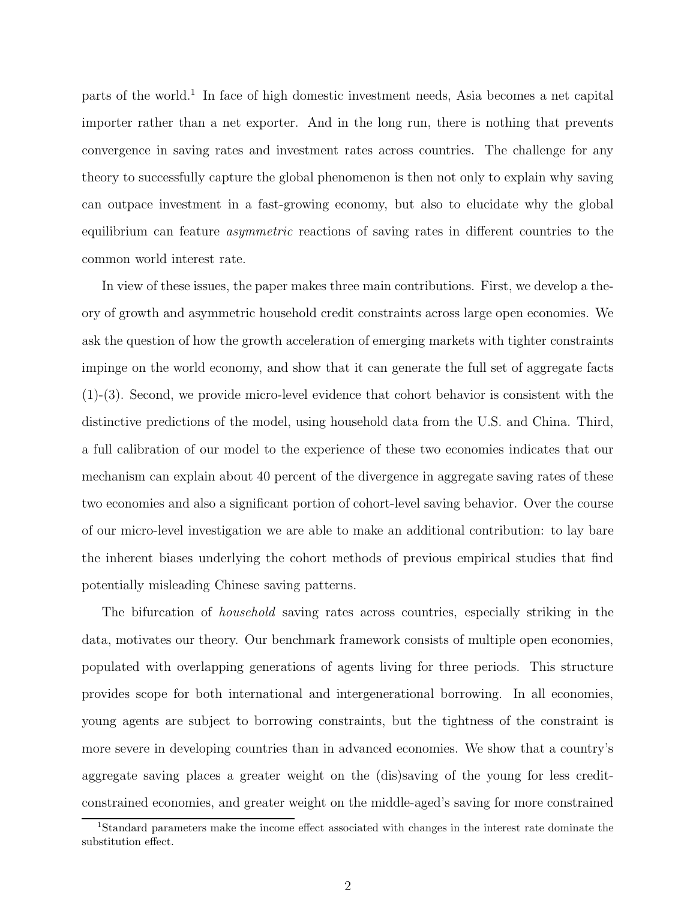parts of the world.<sup>1</sup> In face of high domestic investment needs, Asia becomes a net capital importer rather than a net exporter. And in the long run, there is nothing that prevents convergence in saving rates and investment rates across countries. The challenge for any theory to successfully capture the global phenomenon is then not only to explain why saving can outpace investment in a fast-growing economy, but also to elucidate why the global equilibrium can feature asymmetric reactions of saving rates in different countries to the common world interest rate.

In view of these issues, the paper makes three main contributions. First, we develop a theory of growth and asymmetric household credit constraints across large open economies. We ask the question of how the growth acceleration of emerging markets with tighter constraints impinge on the world economy, and show that it can generate the full set of aggregate facts (1)-(3). Second, we provide micro-level evidence that cohort behavior is consistent with the distinctive predictions of the model, using household data from the U.S. and China. Third, a full calibration of our model to the experience of these two economies indicates that our mechanism can explain about 40 percent of the divergence in aggregate saving rates of these two economies and also a significant portion of cohort-level saving behavior. Over the course of our micro-level investigation we are able to make an additional contribution: to lay bare the inherent biases underlying the cohort methods of previous empirical studies that find potentially misleading Chinese saving patterns.

The bifurcation of *household* saving rates across countries, especially striking in the data, motivates our theory. Our benchmark framework consists of multiple open economies, populated with overlapping generations of agents living for three periods. This structure provides scope for both international and intergenerational borrowing. In all economies, young agents are subject to borrowing constraints, but the tightness of the constraint is more severe in developing countries than in advanced economies. We show that a country's aggregate saving places a greater weight on the (dis)saving of the young for less creditconstrained economies, and greater weight on the middle-aged's saving for more constrained

<sup>1</sup>Standard parameters make the income effect associated with changes in the interest rate dominate the substitution effect.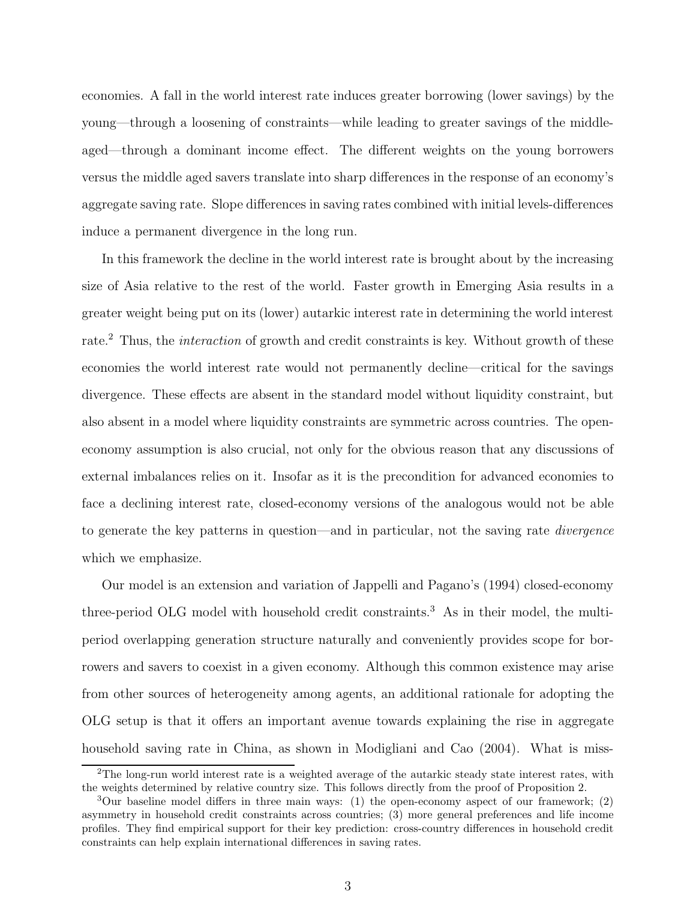economies. A fall in the world interest rate induces greater borrowing (lower savings) by the young—through a loosening of constraints—while leading to greater savings of the middleaged—through a dominant income effect. The different weights on the young borrowers versus the middle aged savers translate into sharp differences in the response of an economy's aggregate saving rate. Slope differences in saving rates combined with initial levels-differences induce a permanent divergence in the long run.

In this framework the decline in the world interest rate is brought about by the increasing size of Asia relative to the rest of the world. Faster growth in Emerging Asia results in a greater weight being put on its (lower) autarkic interest rate in determining the world interest rate.<sup>2</sup> Thus, the *interaction* of growth and credit constraints is key. Without growth of these economies the world interest rate would not permanently decline—critical for the savings divergence. These effects are absent in the standard model without liquidity constraint, but also absent in a model where liquidity constraints are symmetric across countries. The openeconomy assumption is also crucial, not only for the obvious reason that any discussions of external imbalances relies on it. Insofar as it is the precondition for advanced economies to face a declining interest rate, closed-economy versions of the analogous would not be able to generate the key patterns in question—and in particular, not the saving rate divergence which we emphasize.

Our model is an extension and variation of Jappelli and Pagano's (1994) closed-economy three-period OLG model with household credit constraints.<sup>3</sup> As in their model, the multiperiod overlapping generation structure naturally and conveniently provides scope for borrowers and savers to coexist in a given economy. Although this common existence may arise from other sources of heterogeneity among agents, an additional rationale for adopting the OLG setup is that it offers an important avenue towards explaining the rise in aggregate household saving rate in China, as shown in Modigliani and Cao (2004). What is miss-

<sup>&</sup>lt;sup>2</sup>The long-run world interest rate is a weighted average of the autarkic steady state interest rates, with the weights determined by relative country size. This follows directly from the proof of Proposition 2.

<sup>&</sup>lt;sup>3</sup>Our baseline model differs in three main ways: (1) the open-economy aspect of our framework; (2) asymmetry in household credit constraints across countries; (3) more general preferences and life income profiles. They find empirical support for their key prediction: cross-country differences in household credit constraints can help explain international differences in saving rates.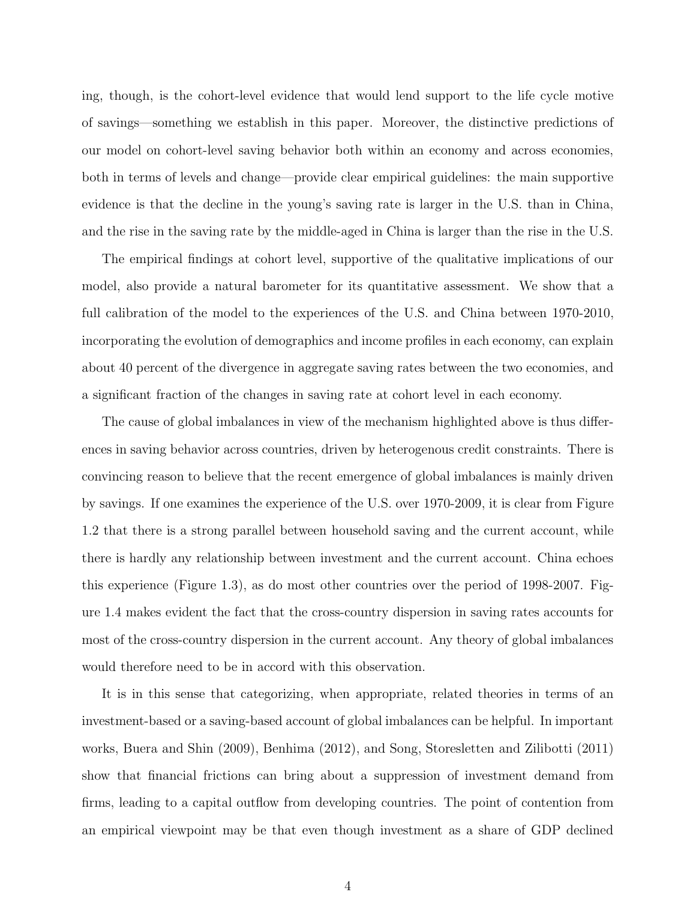ing, though, is the cohort-level evidence that would lend support to the life cycle motive of savings—something we establish in this paper. Moreover, the distinctive predictions of our model on cohort-level saving behavior both within an economy and across economies, both in terms of levels and change—provide clear empirical guidelines: the main supportive evidence is that the decline in the young's saving rate is larger in the U.S. than in China, and the rise in the saving rate by the middle-aged in China is larger than the rise in the U.S.

The empirical findings at cohort level, supportive of the qualitative implications of our model, also provide a natural barometer for its quantitative assessment. We show that a full calibration of the model to the experiences of the U.S. and China between 1970-2010, incorporating the evolution of demographics and income profiles in each economy, can explain about 40 percent of the divergence in aggregate saving rates between the two economies, and a significant fraction of the changes in saving rate at cohort level in each economy.

The cause of global imbalances in view of the mechanism highlighted above is thus differences in saving behavior across countries, driven by heterogenous credit constraints. There is convincing reason to believe that the recent emergence of global imbalances is mainly driven by savings. If one examines the experience of the U.S. over 1970-2009, it is clear from Figure 1.2 that there is a strong parallel between household saving and the current account, while there is hardly any relationship between investment and the current account. China echoes this experience (Figure 1.3), as do most other countries over the period of 1998-2007. Figure 1.4 makes evident the fact that the cross-country dispersion in saving rates accounts for most of the cross-country dispersion in the current account. Any theory of global imbalances would therefore need to be in accord with this observation.

It is in this sense that categorizing, when appropriate, related theories in terms of an investment-based or a saving-based account of global imbalances can be helpful. In important works, Buera and Shin (2009), Benhima (2012), and Song, Storesletten and Zilibotti (2011) show that financial frictions can bring about a suppression of investment demand from firms, leading to a capital outflow from developing countries. The point of contention from an empirical viewpoint may be that even though investment as a share of GDP declined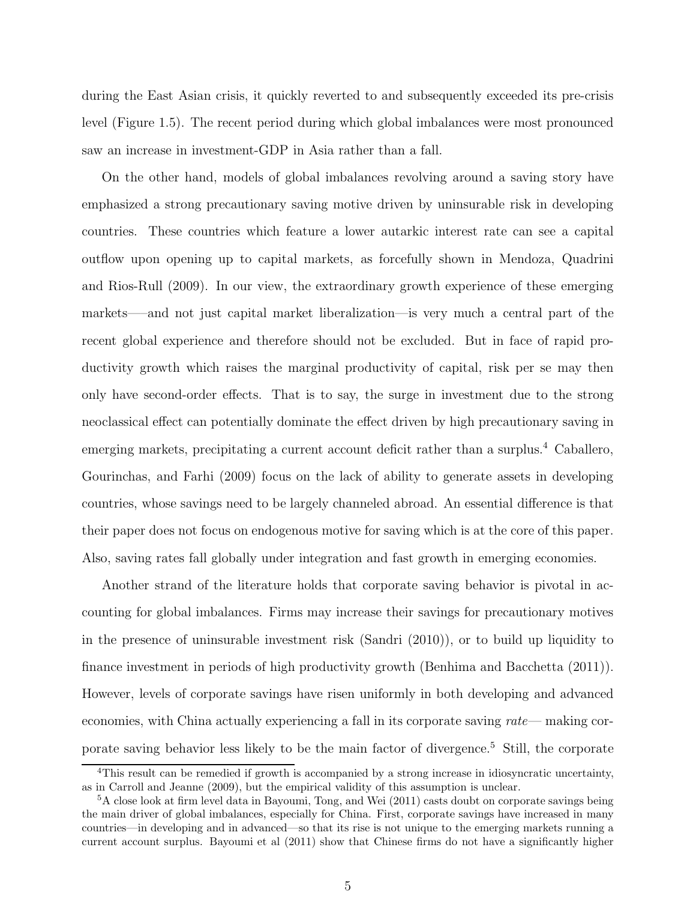during the East Asian crisis, it quickly reverted to and subsequently exceeded its pre-crisis level (Figure 1.5). The recent period during which global imbalances were most pronounced saw an increase in investment-GDP in Asia rather than a fall.

On the other hand, models of global imbalances revolving around a saving story have emphasized a strong precautionary saving motive driven by uninsurable risk in developing countries. These countries which feature a lower autarkic interest rate can see a capital outflow upon opening up to capital markets, as forcefully shown in Mendoza, Quadrini and Rios-Rull (2009). In our view, the extraordinary growth experience of these emerging markets—–and not just capital market liberalization—is very much a central part of the recent global experience and therefore should not be excluded. But in face of rapid productivity growth which raises the marginal productivity of capital, risk per se may then only have second-order effects. That is to say, the surge in investment due to the strong neoclassical effect can potentially dominate the effect driven by high precautionary saving in emerging markets, precipitating a current account deficit rather than a surplus.<sup>4</sup> Caballero, Gourinchas, and Farhi (2009) focus on the lack of ability to generate assets in developing countries, whose savings need to be largely channeled abroad. An essential difference is that their paper does not focus on endogenous motive for saving which is at the core of this paper. Also, saving rates fall globally under integration and fast growth in emerging economies.

Another strand of the literature holds that corporate saving behavior is pivotal in accounting for global imbalances. Firms may increase their savings for precautionary motives in the presence of uninsurable investment risk (Sandri (2010)), or to build up liquidity to finance investment in periods of high productivity growth (Benhima and Bacchetta (2011)). However, levels of corporate savings have risen uniformly in both developing and advanced economies, with China actually experiencing a fall in its corporate saving rate— making corporate saving behavior less likely to be the main factor of divergence.<sup>5</sup> Still, the corporate

<sup>4</sup>This result can be remedied if growth is accompanied by a strong increase in idiosyncratic uncertainty, as in Carroll and Jeanne (2009), but the empirical validity of this assumption is unclear.

<sup>5</sup>A close look at firm level data in Bayoumi, Tong, and Wei (2011) casts doubt on corporate savings being the main driver of global imbalances, especially for China. First, corporate savings have increased in many countries—in developing and in advanced—so that its rise is not unique to the emerging markets running a current account surplus. Bayoumi et al (2011) show that Chinese firms do not have a significantly higher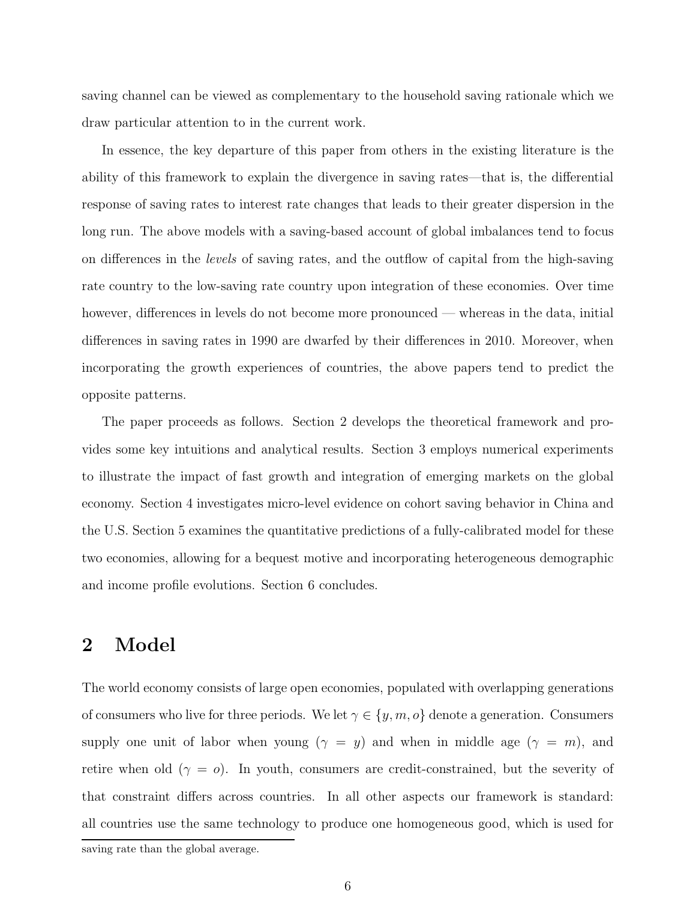saving channel can be viewed as complementary to the household saving rationale which we draw particular attention to in the current work.

In essence, the key departure of this paper from others in the existing literature is the ability of this framework to explain the divergence in saving rates—that is, the differential response of saving rates to interest rate changes that leads to their greater dispersion in the long run. The above models with a saving-based account of global imbalances tend to focus on differences in the *levels* of saving rates, and the outflow of capital from the high-saving rate country to the low-saving rate country upon integration of these economies. Over time however, differences in levels do not become more pronounced — whereas in the data, initial differences in saving rates in 1990 are dwarfed by their differences in 2010. Moreover, when incorporating the growth experiences of countries, the above papers tend to predict the opposite patterns.

The paper proceeds as follows. Section 2 develops the theoretical framework and provides some key intuitions and analytical results. Section 3 employs numerical experiments to illustrate the impact of fast growth and integration of emerging markets on the global economy. Section 4 investigates micro-level evidence on cohort saving behavior in China and the U.S. Section 5 examines the quantitative predictions of a fully-calibrated model for these two economies, allowing for a bequest motive and incorporating heterogeneous demographic and income profile evolutions. Section 6 concludes.

# 2 Model

The world economy consists of large open economies, populated with overlapping generations of consumers who live for three periods. We let  $\gamma \in \{y, m, o\}$  denote a generation. Consumers supply one unit of labor when young  $(\gamma = y)$  and when in middle age  $(\gamma = m)$ , and retire when old  $(\gamma = o)$ . In youth, consumers are credit-constrained, but the severity of that constraint differs across countries. In all other aspects our framework is standard: all countries use the same technology to produce one homogeneous good, which is used for

saving rate than the global average.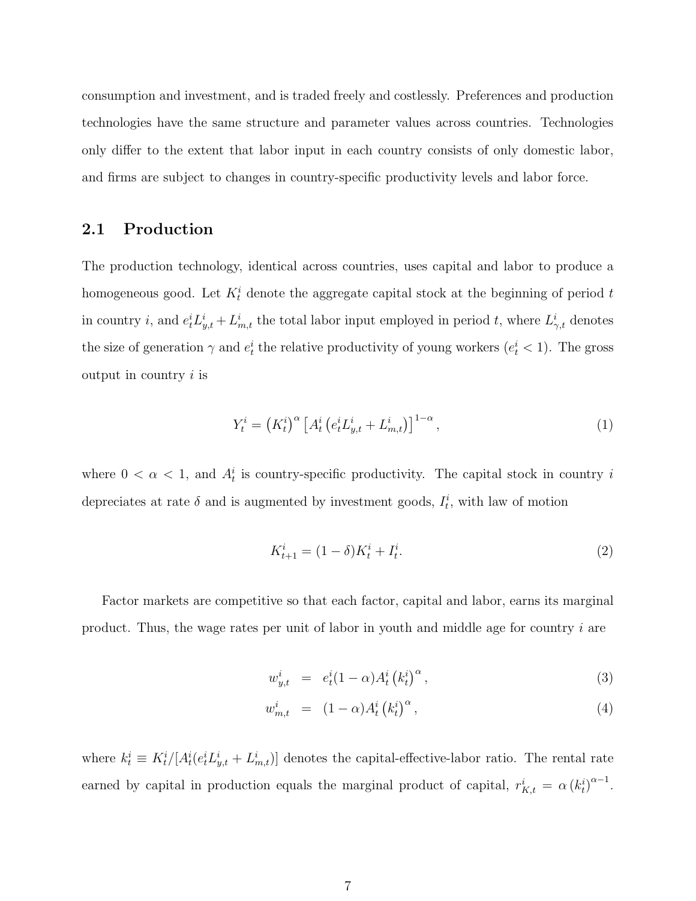consumption and investment, and is traded freely and costlessly. Preferences and production technologies have the same structure and parameter values across countries. Technologies only differ to the extent that labor input in each country consists of only domestic labor, and firms are subject to changes in country-specific productivity levels and labor force.

### 2.1 Production

The production technology, identical across countries, uses capital and labor to produce a homogeneous good. Let  $K_t^i$  denote the aggregate capital stock at the beginning of period t in country *i*, and  $e_t^i L_{y,t}^i + L_{m,t}^i$  the total labor input employed in period *t*, where  $L_{\gamma,t}^i$  denotes the size of generation  $\gamma$  and  $e_t^i$  the relative productivity of young workers  $(e_t^i < 1)$ . The gross output in country  $i$  is

$$
Y_t^i = \left(K_t^i\right)^\alpha \left[A_t^i \left(e_t^i L_{y,t}^i + L_{m,t}^i\right)\right]^{1-\alpha},\tag{1}
$$

where  $0 < \alpha < 1$ , and  $A_t^i$  is country-specific productivity. The capital stock in country i depreciates at rate  $\delta$  and is augmented by investment goods,  $I_t^i$ , with law of motion

$$
K_{t+1}^i = (1 - \delta)K_t^i + I_t^i.
$$
\n(2)

Factor markets are competitive so that each factor, capital and labor, earns its marginal product. Thus, the wage rates per unit of labor in youth and middle age for country i are

$$
w_{y,t}^i = e_t^i (1 - \alpha) A_t^i (k_t^i)^\alpha, \qquad (3)
$$

$$
w_{m,t}^i = (1 - \alpha) A_t^i (k_t^i)^\alpha, \qquad (4)
$$

where  $k_t^i \equiv K_t^i/[A_t^i(e_t^i L_{y,t}^i + L_{m,t}^i)]$  denotes the capital-effective-labor ratio. The rental rate earned by capital in production equals the marginal product of capital,  $r_{K,t}^{i} = \alpha (k_t^{i})^{\alpha - 1}$ .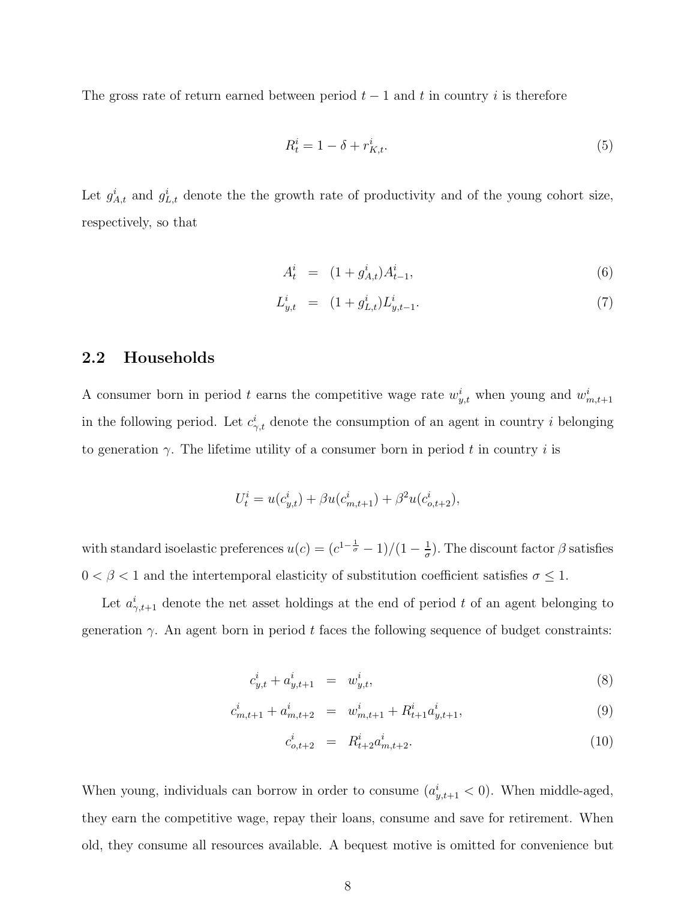The gross rate of return earned between period  $t-1$  and t in country i is therefore

$$
R_t^i = 1 - \delta + r_{K,t}^i. \tag{5}
$$

Let  $g_{A,t}^i$  and  $g_{L,t}^i$  denote the the growth rate of productivity and of the young cohort size, respectively, so that

$$
A_t^i = (1 + g_{A,t}^i) A_{t-1}^i, \tag{6}
$$

$$
L_{y,t}^{i} = (1 + g_{L,t}^{i}) L_{y,t-1}^{i}.
$$
\n(7)

#### 2.2 Households

A consumer born in period t earns the competitive wage rate  $w_{y,t}^i$  when young and  $w_{m,t+1}^i$ in the following period. Let  $c_{\gamma,t}^i$  denote the consumption of an agent in country i belonging to generation  $\gamma$ . The lifetime utility of a consumer born in period t in country i is

$$
U_t^i = u(c_{y,t}^i) + \beta u(c_{m,t+1}^i) + \beta^2 u(c_{o,t+2}^i),
$$

with standard isoelastic preferences  $u(c) = (c^{1-\frac{1}{\sigma}}-1)/(1-\frac{1}{\sigma})$  $\frac{1}{\sigma}$ ). The discount factor  $\beta$  satisfies  $0<\beta<1$  and the intertemporal elasticity of substitution coefficient satisfies  $\sigma\leq 1.$ 

Let  $a^i_{\gamma,t+1}$  denote the net asset holdings at the end of period t of an agent belonging to generation  $\gamma$ . An agent born in period t faces the following sequence of budget constraints:

$$
c_{y,t}^i + a_{y,t+1}^i = w_{y,t}^i, \tag{8}
$$

$$
c_{m,t+1}^i + a_{m,t+2}^i = w_{m,t+1}^i + R_{t+1}^i a_{y,t+1}^i,
$$
\n(9)

$$
c_{o,t+2}^i = R_{t+2}^i a_{m,t+2}^i.
$$
\n(10)

When young, individuals can borrow in order to consume  $(a_{y,t+1}^i < 0)$ . When middle-aged, they earn the competitive wage, repay their loans, consume and save for retirement. When old, they consume all resources available. A bequest motive is omitted for convenience but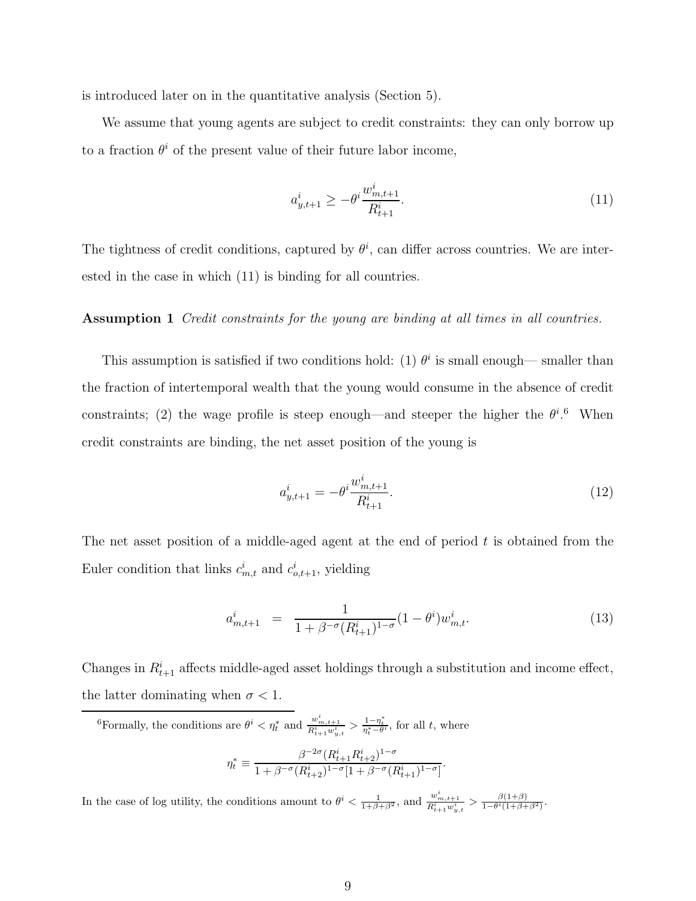is introduced later on in the quantitative analysis (Section 5).

We assume that young agents are subject to credit constraints: they can only borrow up to a fraction  $\theta^i$  of the present value of their future labor income,

$$
a_{y,t+1}^i \ge -\theta^i \frac{w_{m,t+1}^i}{R_{t+1}^i}.
$$
\n(11)

The tightness of credit conditions, captured by  $\theta^i$ , can differ across countries. We are interested in the case in which (11) is binding for all countries.

#### Assumption 1 Credit constraints for the young are binding at all times in all countries.

This assumption is satisfied if two conditions hold: (1)  $\theta^i$  is small enough— smaller than the fraction of intertemporal wealth that the young would consume in the absence of credit constraints; (2) the wage profile is steep enough—and steeper the higher the  $\theta^{i}$ . When credit constraints are binding, the net asset position of the young is

$$
a_{y,t+1}^i = -\theta^i \frac{w_{m,t+1}^i}{R_{t+1}^i}.
$$
\n(12)

The net asset position of a middle-aged agent at the end of period  $t$  is obtained from the Euler condition that links  $c_{m,t}^i$  and  $c_{o,t+1}^i$ , yielding

$$
a_{m,t+1}^i = \frac{1}{1 + \beta^{-\sigma}(R_{t+1}^i)^{1-\sigma}} (1 - \theta^i) w_{m,t}^i.
$$
 (13)

Changes in  $R_{t+1}^i$  affects middle-aged asset holdings through a substitution and income effect, the latter dominating when  $\sigma < 1$ .

<sup>6</sup>Formally, the conditions are  $\theta^i < \eta_t^*$  and  $\frac{w_{m,t+1}^i}{R_{t+1}^i w_{y,t}^i} > \frac{1-\eta_t^*}{\eta_t^*-\theta^i}$ , for all t, where

$$
\eta_t^* \equiv \frac{\beta^{-2\sigma}(R_{t+1}^i R_{t+2}^i)^{1-\sigma}}{1+\beta^{-\sigma}(R_{t+2}^i)^{1-\sigma}[1+\beta^{-\sigma}(R_{t+1}^i)^{1-\sigma}]}.
$$

In the case of log utility, the conditions amount to  $\theta^i < \frac{1}{1+\beta+\beta^2}$ , and  $\frac{w^i_{m,t+1}}{R^i_{t+1}w^i_{y,t}} > \frac{\beta(1+\beta)}{1-\theta^i(1+\beta+\beta^2)}$ .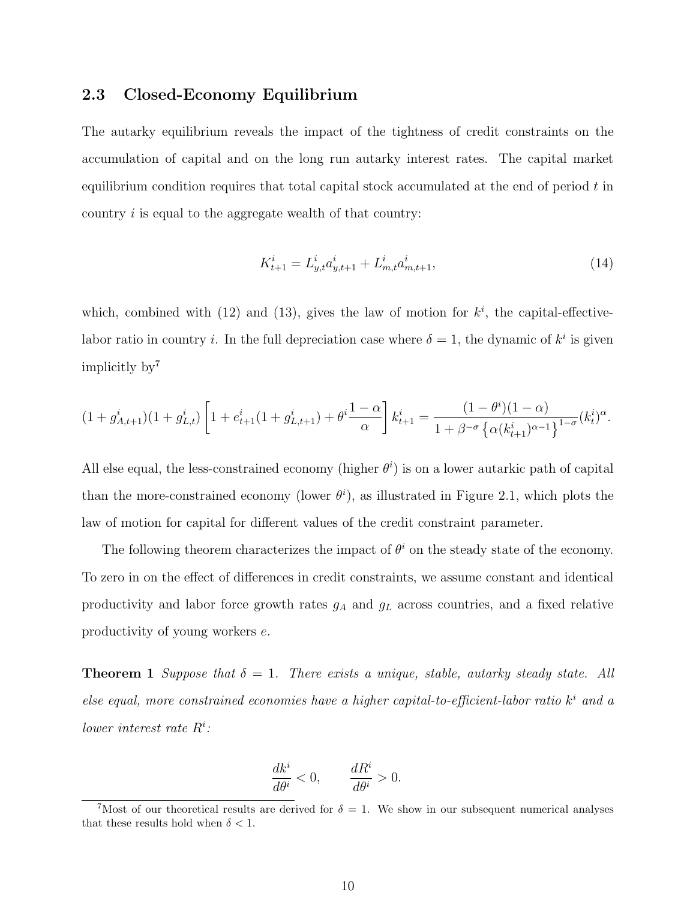#### 2.3 Closed-Economy Equilibrium

The autarky equilibrium reveals the impact of the tightness of credit constraints on the accumulation of capital and on the long run autarky interest rates. The capital market equilibrium condition requires that total capital stock accumulated at the end of period  $t$  in country i is equal to the aggregate wealth of that country:

$$
K_{t+1}^i = L_{y,t}^i a_{y,t+1}^i + L_{m,t}^i a_{m,t+1}^i,\tag{14}
$$

which, combined with (12) and (13), gives the law of motion for  $k^i$ , the capital-effectivelabor ratio in country *i*. In the full depreciation case where  $\delta = 1$ , the dynamic of  $k^i$  is given implicitly by<sup>7</sup>

$$
(1+g_{A,t+1}^i)(1+g_{L,t}^i)\left[1+e_{t+1}^i(1+g_{L,t+1}^i)+\theta^i\frac{1-\alpha}{\alpha}\right]k_{t+1}^i=\frac{(1-\theta^i)(1-\alpha)}{1+\beta^{-\sigma}\left\{\alpha(k_{t+1}^i)^{\alpha-1}\right\}^{1-\sigma}}(k_t^i)^{\alpha}.
$$

All else equal, the less-constrained economy (higher  $\theta^i$ ) is on a lower autarkic path of capital than the more-constrained economy (lower  $\theta^i$ ), as illustrated in Figure 2.1, which plots the law of motion for capital for different values of the credit constraint parameter.

The following theorem characterizes the impact of  $\theta^i$  on the steady state of the economy. To zero in on the effect of differences in credit constraints, we assume constant and identical productivity and labor force growth rates  $g_A$  and  $g_L$  across countries, and a fixed relative productivity of young workers e.

**Theorem 1** Suppose that  $\delta = 1$ . There exists a unique, stable, autarky steady state. All else equal, more constrained economies have a higher capital-to-efficient-labor ratio  $k^i$  and a lower interest rate  $R^i$ :

$$
\frac{dk^i}{d\theta^i} < 0, \qquad \frac{dR^i}{d\theta^i} > 0.
$$

<sup>&</sup>lt;sup>7</sup>Most of our theoretical results are derived for  $\delta = 1$ . We show in our subsequent numerical analyses that these results hold when  $\delta < 1$ .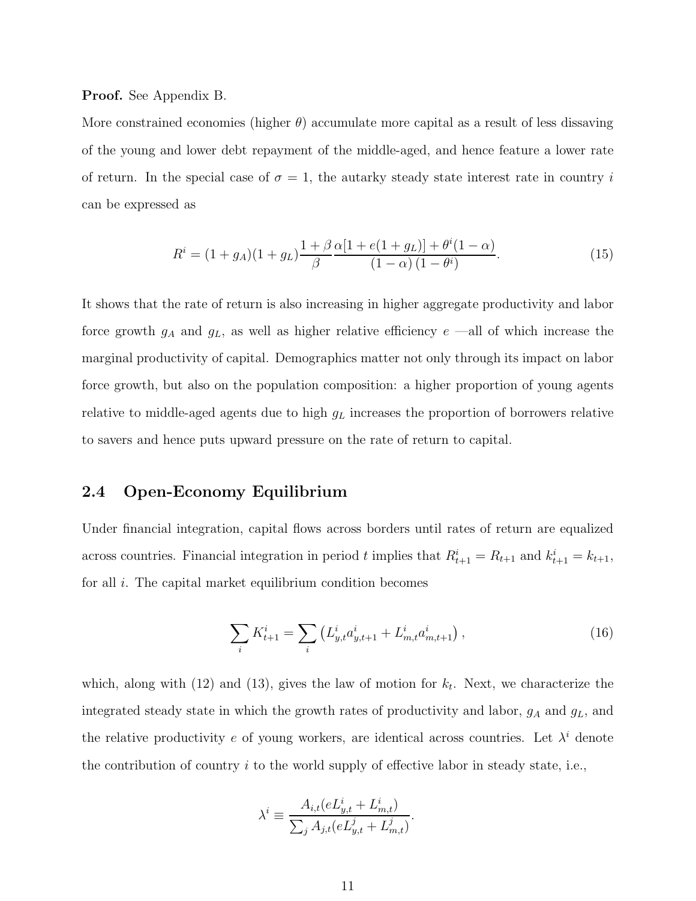#### Proof. See Appendix B.

More constrained economies (higher  $\theta$ ) accumulate more capital as a result of less dissaving of the young and lower debt repayment of the middle-aged, and hence feature a lower rate of return. In the special case of  $\sigma = 1$ , the autarky steady state interest rate in country i can be expressed as

$$
R^{i} = (1 + g_{A})(1 + g_{L})\frac{1 + \beta}{\beta}\frac{\alpha[1 + e(1 + g_{L})] + \theta^{i}(1 - \alpha)}{(1 - \alpha)(1 - \theta^{i})}.
$$
\n(15)

It shows that the rate of return is also increasing in higher aggregate productivity and labor force growth  $g_A$  and  $g_L$ , as well as higher relative efficiency  $e$  —all of which increase the marginal productivity of capital. Demographics matter not only through its impact on labor force growth, but also on the population composition: a higher proportion of young agents relative to middle-aged agents due to high  $g<sub>L</sub>$  increases the proportion of borrowers relative to savers and hence puts upward pressure on the rate of return to capital.

#### 2.4 Open-Economy Equilibrium

Under financial integration, capital flows across borders until rates of return are equalized across countries. Financial integration in period t implies that  $R_{t+1}^i = R_{t+1}$  and  $k_{t+1}^i = k_{t+1}$ , for all  $i$ . The capital market equilibrium condition becomes

$$
\sum_{i} K_{t+1}^{i} = \sum_{i} \left( L_{y,t}^{i} a_{y,t+1}^{i} + L_{m,t}^{i} a_{m,t+1}^{i} \right), \tag{16}
$$

which, along with  $(12)$  and  $(13)$ , gives the law of motion for  $k_t$ . Next, we characterize the integrated steady state in which the growth rates of productivity and labor,  $g_A$  and  $g_L$ , and the relative productivity e of young workers, are identical across countries. Let  $\lambda^i$  denote the contribution of country  $i$  to the world supply of effective labor in steady state, i.e.,

$$
\lambda^i \equiv \frac{A_{i,t}(eL^i_{y,t} + L^i_{m,t})}{\sum_j A_{j,t}(eL^j_{y,t} + L^j_{m,t})}.
$$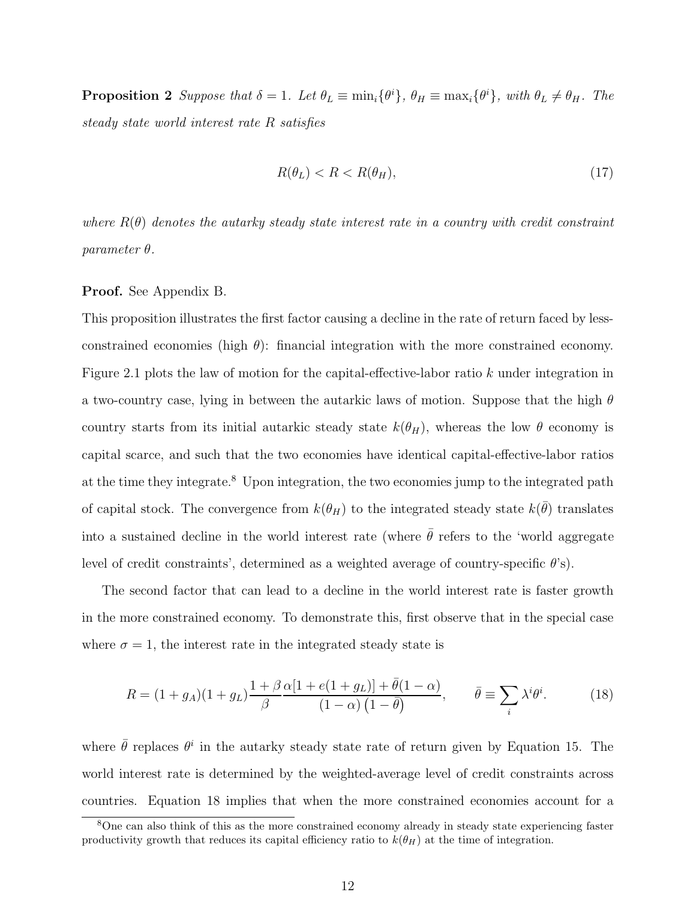**Proposition 2** Suppose that  $\delta = 1$ . Let  $\theta_L \equiv \min_i {\{\theta^i\}}, \theta_H \equiv \max_i {\{\theta^i\}}, \text{ with } \theta_L \neq \theta_H$ . The steady state world interest rate R satisfies

$$
R(\theta_L) < R < R(\theta_H),\tag{17}
$$

where  $R(\theta)$  denotes the autarky steady state interest rate in a country with credit constraint parameter θ.

#### Proof. See Appendix B.

This proposition illustrates the first factor causing a decline in the rate of return faced by lessconstrained economies (high  $\theta$ ): financial integration with the more constrained economy. Figure 2.1 plots the law of motion for the capital-effective-labor ratio k under integration in a two-country case, lying in between the autarkic laws of motion. Suppose that the high  $\theta$ country starts from its initial autarkic steady state  $k(\theta_H)$ , whereas the low  $\theta$  economy is capital scarce, and such that the two economies have identical capital-effective-labor ratios at the time they integrate.<sup>8</sup> Upon integration, the two economies jump to the integrated path of capital stock. The convergence from  $k(\theta_H)$  to the integrated steady state  $k(\bar{\theta})$  translates into a sustained decline in the world interest rate (where  $\bar{\theta}$  refers to the 'world aggregate level of credit constraints', determined as a weighted average of country-specific  $\theta$ 's).

The second factor that can lead to a decline in the world interest rate is faster growth in the more constrained economy. To demonstrate this, first observe that in the special case where  $\sigma = 1$ , the interest rate in the integrated steady state is

$$
R = (1 + g_A)(1 + g_L)\frac{1 + \beta}{\beta}\frac{\alpha[1 + e(1 + g_L)] + \bar{\theta}(1 - \alpha)}{(1 - \alpha)(1 - \bar{\theta})}, \qquad \bar{\theta} \equiv \sum_i \lambda^i \theta^i.
$$
 (18)

where  $\bar{\theta}$  replaces  $\theta^i$  in the autarky steady state rate of return given by Equation 15. The world interest rate is determined by the weighted-average level of credit constraints across countries. Equation 18 implies that when the more constrained economies account for a

<sup>8</sup>One can also think of this as the more constrained economy already in steady state experiencing faster productivity growth that reduces its capital efficiency ratio to  $k(\theta_H)$  at the time of integration.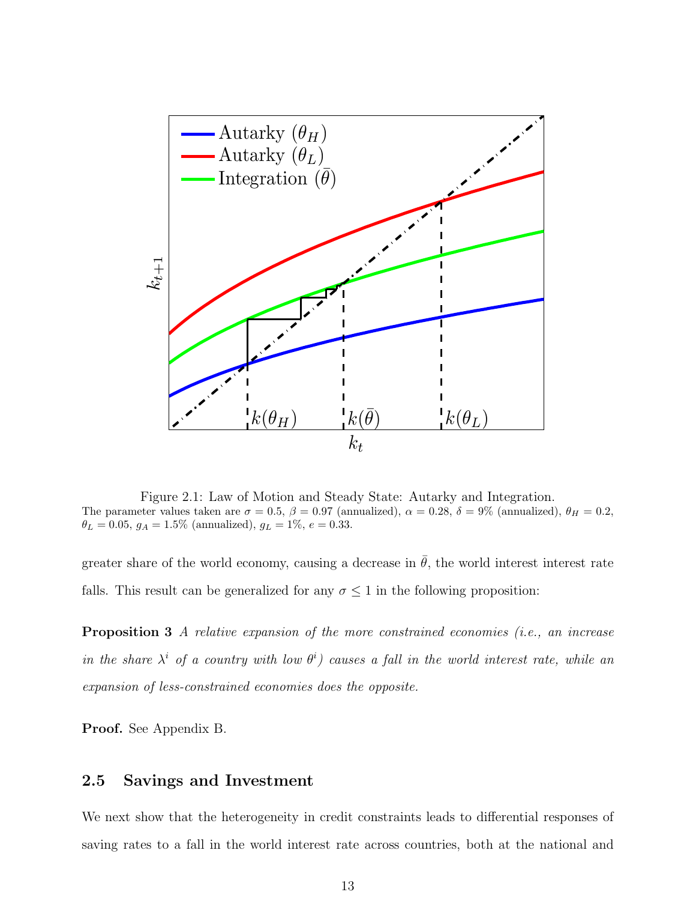

Figure 2.1: Law of Motion and Steady State: Autarky and Integration. The parameter values taken are  $\sigma = 0.5$ ,  $\beta = 0.97$  (annualized),  $\alpha = 0.28$ ,  $\delta = 9\%$  (annualized),  $\theta_H = 0.2$ ,  $\theta_L = 0.05, g_A = 1.5\%$  (annualized),  $g_L = 1\%$ ,  $e = 0.33$ .

greater share of the world economy, causing a decrease in  $\bar{\theta}$ , the world interest interest rate falls. This result can be generalized for any  $\sigma \leq 1$  in the following proposition:

Proposition 3 A relative expansion of the more constrained economies (i.e., an increase in the share  $\lambda^i$  of a country with low  $\theta^i$ ) causes a fall in the world interest rate, while an expansion of less-constrained economies does the opposite.

Proof. See Appendix B.

### 2.5 Savings and Investment

We next show that the heterogeneity in credit constraints leads to differential responses of saving rates to a fall in the world interest rate across countries, both at the national and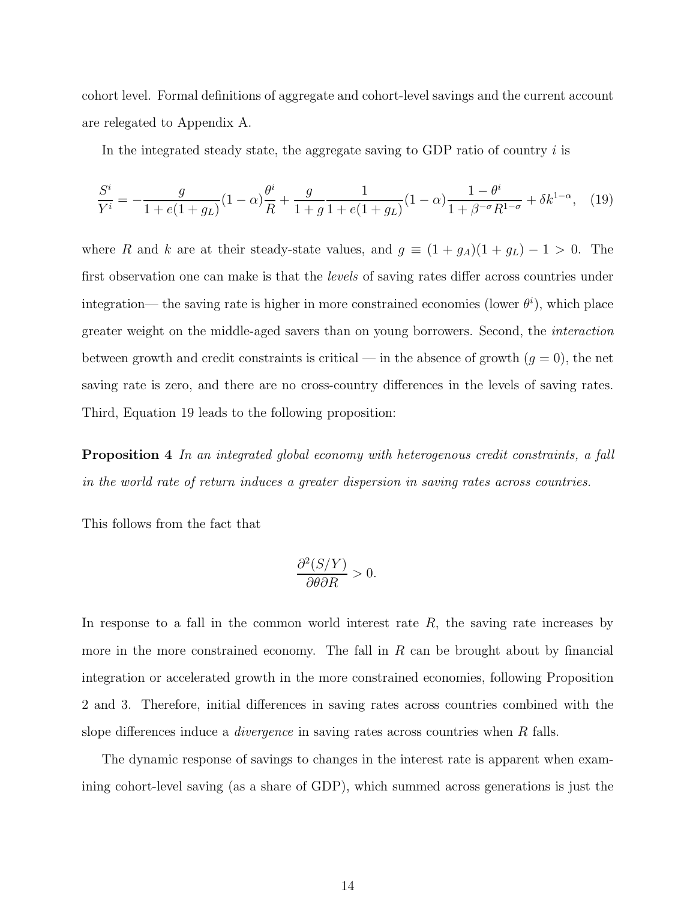cohort level. Formal definitions of aggregate and cohort-level savings and the current account are relegated to Appendix A.

In the integrated steady state, the aggregate saving to GDP ratio of country  $i$  is

$$
\frac{S^i}{Y^i} = -\frac{g}{1 + e(1 + g_L)}(1 - \alpha)\frac{\theta^i}{R} + \frac{g}{1 + g}\frac{1}{1 + e(1 + g_L)}(1 - \alpha)\frac{1 - \theta^i}{1 + \beta^{-\sigma}R^{1 - \sigma}} + \delta k^{1 - \alpha}, \quad (19)
$$

where R and k are at their steady-state values, and  $g \equiv (1 + g_A)(1 + g_L) - 1 > 0$ . The first observation one can make is that the *levels* of saving rates differ across countries under integration— the saving rate is higher in more constrained economies (lower  $\theta^i$ ), which place greater weight on the middle-aged savers than on young borrowers. Second, the interaction between growth and credit constraints is critical — in the absence of growth  $(g = 0)$ , the net saving rate is zero, and there are no cross-country differences in the levels of saving rates. Third, Equation 19 leads to the following proposition:

Proposition 4 In an integrated global economy with heterogenous credit constraints, a fall in the world rate of return induces a greater dispersion in saving rates across countries.

This follows from the fact that

$$
\frac{\partial^2 (S/Y)}{\partial \theta \partial R} > 0.
$$

In response to a fall in the common world interest rate  $R$ , the saving rate increases by more in the more constrained economy. The fall in  $R$  can be brought about by financial integration or accelerated growth in the more constrained economies, following Proposition 2 and 3. Therefore, initial differences in saving rates across countries combined with the slope differences induce a *divergence* in saving rates across countries when R falls.

The dynamic response of savings to changes in the interest rate is apparent when examining cohort-level saving (as a share of GDP), which summed across generations is just the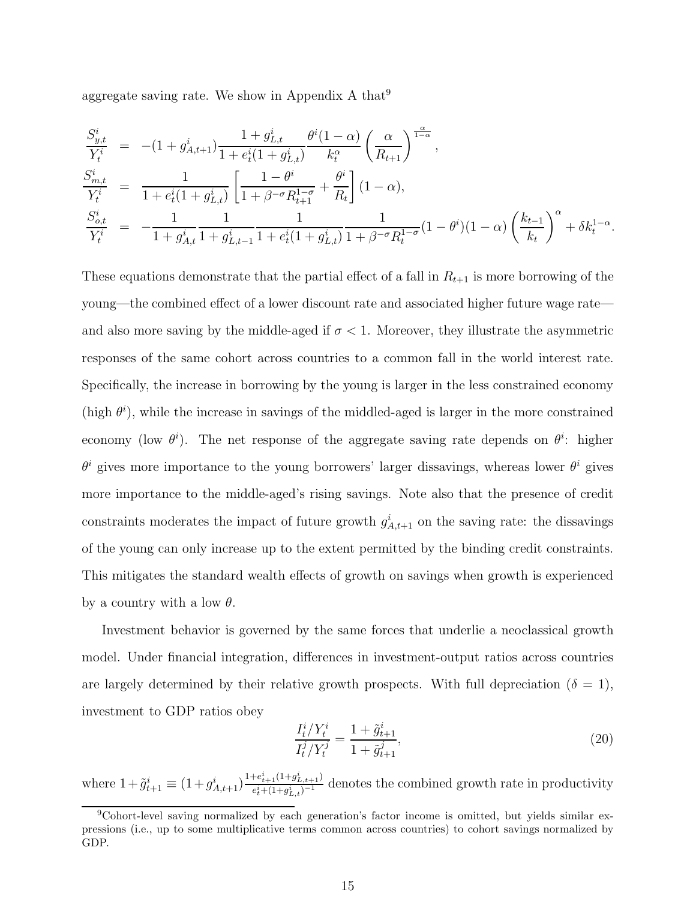aggregate saving rate. We show in Appendix A that  $9$ 

$$
\frac{S_{y,t}^{i}}{Y_{t}^{i}} = -(1+g_{A,t+1}^{i}) \frac{1+g_{L,t}^{i}}{1+e_{t}^{i}(1+g_{L,t}^{i})} \frac{\theta^{i}(1-\alpha)}{k_{t}^{\alpha}} \left(\frac{\alpha}{R_{t+1}}\right)^{\frac{\alpha}{1-\alpha}},
$$
\n
$$
\frac{S_{m,t}^{i}}{Y_{t}^{i}} = \frac{1}{1+e_{t}^{i}(1+g_{L,t}^{i})} \left[\frac{1-\theta^{i}}{1+\beta^{-\sigma}R_{t+1}^{1-\sigma}} + \frac{\theta^{i}}{R_{t}}\right] (1-\alpha),
$$
\n
$$
\frac{S_{o,t}^{i}}{Y_{t}^{i}} = -\frac{1}{1+g_{A,t}^{i}} \frac{1}{1+g_{L,t-1}^{i}} \frac{1}{1+e_{t}^{i}(1+g_{L,t}^{i})} \frac{1}{1+\beta^{-\sigma}R_{t}^{1-\sigma}} (1-\theta^{i})(1-\alpha) \left(\frac{k_{t-1}}{k_{t}}\right)^{\alpha} + \delta k_{t}^{1-\alpha}.
$$

These equations demonstrate that the partial effect of a fall in  $R_{t+1}$  is more borrowing of the young—the combined effect of a lower discount rate and associated higher future wage rate and also more saving by the middle-aged if  $\sigma < 1$ . Moreover, they illustrate the asymmetric responses of the same cohort across countries to a common fall in the world interest rate. Specifically, the increase in borrowing by the young is larger in the less constrained economy (high  $\theta^i$ ), while the increase in savings of the middled-aged is larger in the more constrained economy (low  $\theta^i$ ). The net response of the aggregate saving rate depends on  $\theta^i$ : higher  $\theta^i$  gives more importance to the young borrowers' larger dissavings, whereas lower  $\theta^i$  gives more importance to the middle-aged's rising savings. Note also that the presence of credit constraints moderates the impact of future growth  $g_{A,t+1}^i$  on the saving rate: the dissavings of the young can only increase up to the extent permitted by the binding credit constraints. This mitigates the standard wealth effects of growth on savings when growth is experienced by a country with a low  $\theta$ .

Investment behavior is governed by the same forces that underlie a neoclassical growth model. Under financial integration, differences in investment-output ratios across countries are largely determined by their relative growth prospects. With full depreciation ( $\delta = 1$ ), investment to GDP ratios obey

$$
\frac{I_t^i/Y_t^i}{I_t^j/Y_t^j} = \frac{1 + \tilde{g}_{t+1}^i}{1 + \tilde{g}_{t+1}^j},\tag{20}
$$

where  $1+\tilde{g}_{t+1}^i \equiv (1+g_{A,t+1}^i)^{\frac{1+e_{t+1}^i(1+g_{L,t+1}^i)}{e_t^i+(1+g_{t-1}^i)^{-1}}}$  $\frac{e_{t+1}(1+g_{L,t+1})}{e_t^2+(1+g_{L,t}^i)^{-1}}$  denotes the combined growth rate in productivity

<sup>&</sup>lt;sup>9</sup>Cohort-level saving normalized by each generation's factor income is omitted, but yields similar expressions (i.e., up to some multiplicative terms common across countries) to cohort savings normalized by GDP.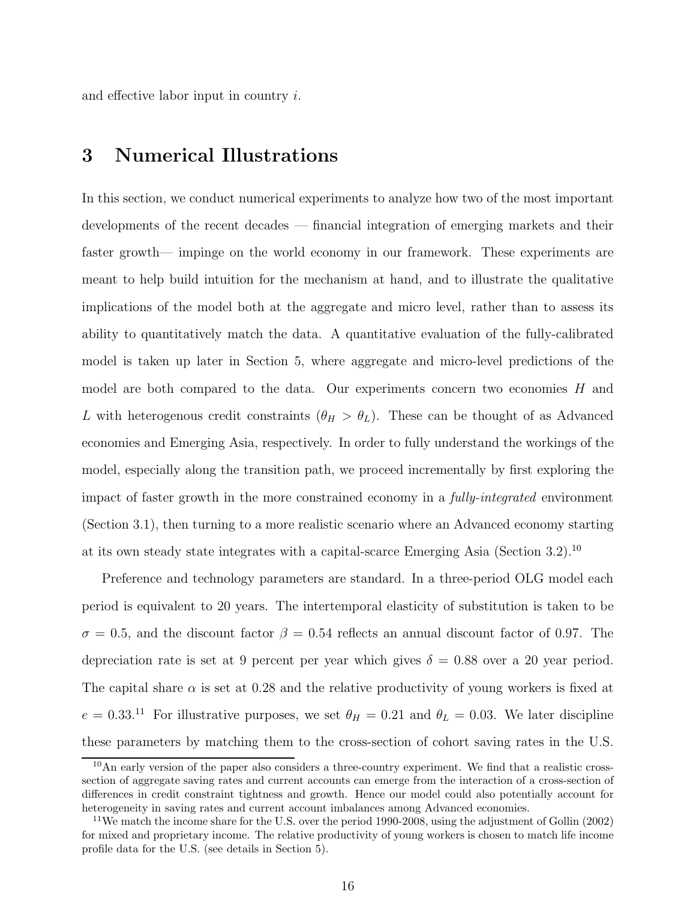and effective labor input in country i.

# 3 Numerical Illustrations

In this section, we conduct numerical experiments to analyze how two of the most important developments of the recent decades — financial integration of emerging markets and their faster growth— impinge on the world economy in our framework. These experiments are meant to help build intuition for the mechanism at hand, and to illustrate the qualitative implications of the model both at the aggregate and micro level, rather than to assess its ability to quantitatively match the data. A quantitative evaluation of the fully-calibrated model is taken up later in Section 5, where aggregate and micro-level predictions of the model are both compared to the data. Our experiments concern two economies  $H$  and L with heterogenous credit constraints  $(\theta_H > \theta_L)$ . These can be thought of as Advanced economies and Emerging Asia, respectively. In order to fully understand the workings of the model, especially along the transition path, we proceed incrementally by first exploring the impact of faster growth in the more constrained economy in a fully-integrated environment (Section 3.1), then turning to a more realistic scenario where an Advanced economy starting at its own steady state integrates with a capital-scarce Emerging Asia (Section 3.2).<sup>10</sup>

Preference and technology parameters are standard. In a three-period OLG model each period is equivalent to 20 years. The intertemporal elasticity of substitution is taken to be  $\sigma = 0.5$ , and the discount factor  $\beta = 0.54$  reflects an annual discount factor of 0.97. The depreciation rate is set at 9 percent per year which gives  $\delta = 0.88$  over a 20 year period. The capital share  $\alpha$  is set at 0.28 and the relative productivity of young workers is fixed at  $e = 0.33^{11}$  For illustrative purposes, we set  $\theta_H = 0.21$  and  $\theta_L = 0.03$ . We later discipline these parameters by matching them to the cross-section of cohort saving rates in the U.S.

 $10$ An early version of the paper also considers a three-country experiment. We find that a realistic crosssection of aggregate saving rates and current accounts can emerge from the interaction of a cross-section of differences in credit constraint tightness and growth. Hence our model could also potentially account for heterogeneity in saving rates and current account imbalances among Advanced economies.

<sup>&</sup>lt;sup>11</sup>We match the income share for the U.S. over the period 1990-2008, using the adjustment of Gollin (2002) for mixed and proprietary income. The relative productivity of young workers is chosen to match life income profile data for the U.S. (see details in Section 5).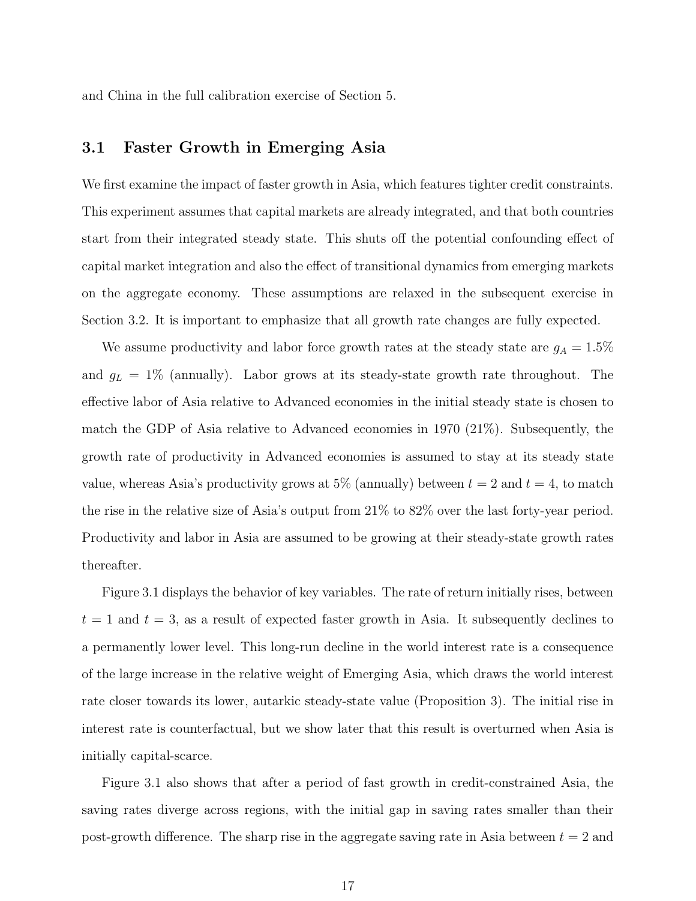and China in the full calibration exercise of Section 5.

#### 3.1 Faster Growth in Emerging Asia

We first examine the impact of faster growth in Asia, which features tighter credit constraints. This experiment assumes that capital markets are already integrated, and that both countries start from their integrated steady state. This shuts off the potential confounding effect of capital market integration and also the effect of transitional dynamics from emerging markets on the aggregate economy. These assumptions are relaxed in the subsequent exercise in Section 3.2. It is important to emphasize that all growth rate changes are fully expected.

We assume productivity and labor force growth rates at the steady state are  $g_A = 1.5\%$ and  $g_L = 1\%$  (annually). Labor grows at its steady-state growth rate throughout. The effective labor of Asia relative to Advanced economies in the initial steady state is chosen to match the GDP of Asia relative to Advanced economies in 1970 (21%). Subsequently, the growth rate of productivity in Advanced economies is assumed to stay at its steady state value, whereas Asia's productivity grows at 5% (annually) between  $t = 2$  and  $t = 4$ , to match the rise in the relative size of Asia's output from 21% to 82% over the last forty-year period. Productivity and labor in Asia are assumed to be growing at their steady-state growth rates thereafter.

Figure 3.1 displays the behavior of key variables. The rate of return initially rises, between  $t = 1$  and  $t = 3$ , as a result of expected faster growth in Asia. It subsequently declines to a permanently lower level. This long-run decline in the world interest rate is a consequence of the large increase in the relative weight of Emerging Asia, which draws the world interest rate closer towards its lower, autarkic steady-state value (Proposition 3). The initial rise in interest rate is counterfactual, but we show later that this result is overturned when Asia is initially capital-scarce.

Figure 3.1 also shows that after a period of fast growth in credit-constrained Asia, the saving rates diverge across regions, with the initial gap in saving rates smaller than their post-growth difference. The sharp rise in the aggregate saving rate in Asia between  $t = 2$  and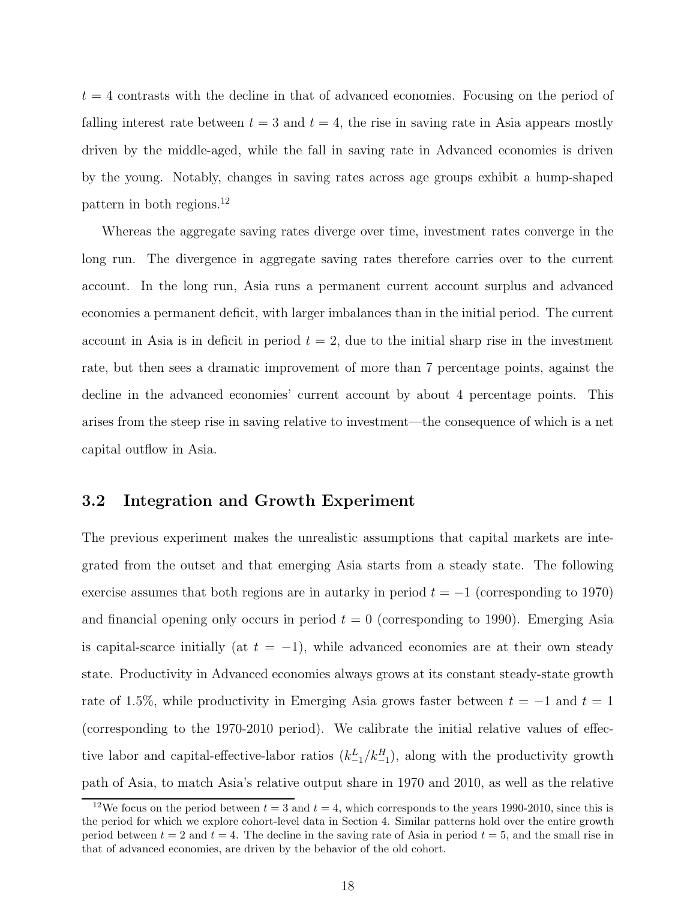$t = 4$  contrasts with the decline in that of advanced economies. Focusing on the period of falling interest rate between  $t = 3$  and  $t = 4$ , the rise in saving rate in Asia appears mostly driven by the middle-aged, while the fall in saving rate in Advanced economies is driven by the young. Notably, changes in saving rates across age groups exhibit a hump-shaped pattern in both regions.<sup>12</sup>

Whereas the aggregate saving rates diverge over time, investment rates converge in the long run. The divergence in aggregate saving rates therefore carries over to the current account. In the long run, Asia runs a permanent current account surplus and advanced economies a permanent deficit, with larger imbalances than in the initial period. The current account in Asia is in deficit in period  $t = 2$ , due to the initial sharp rise in the investment rate, but then sees a dramatic improvement of more than 7 percentage points, against the decline in the advanced economies' current account by about 4 percentage points. This arises from the steep rise in saving relative to investment—the consequence of which is a net capital outflow in Asia.

#### 3.2 Integration and Growth Experiment

The previous experiment makes the unrealistic assumptions that capital markets are integrated from the outset and that emerging Asia starts from a steady state. The following exercise assumes that both regions are in autarky in period  $t = -1$  (corresponding to 1970) and financial opening only occurs in period  $t = 0$  (corresponding to 1990). Emerging Asia is capital-scarce initially (at  $t = -1$ ), while advanced economies are at their own steady state. Productivity in Advanced economies always grows at its constant steady-state growth rate of 1.5%, while productivity in Emerging Asia grows faster between  $t = -1$  and  $t = 1$ (corresponding to the 1970-2010 period). We calibrate the initial relative values of effective labor and capital-effective-labor ratios  $(k_{-1}^L / k_{-1}^H)$ , along with the productivity growth path of Asia, to match Asia's relative output share in 1970 and 2010, as well as the relative

<sup>&</sup>lt;sup>12</sup>We focus on the period between  $t = 3$  and  $t = 4$ , which corresponds to the years 1990-2010, since this is the period for which we explore cohort-level data in Section 4. Similar patterns hold over the entire growth period between  $t = 2$  and  $t = 4$ . The decline in the saving rate of Asia in period  $t = 5$ , and the small rise in that of advanced economies, are driven by the behavior of the old cohort.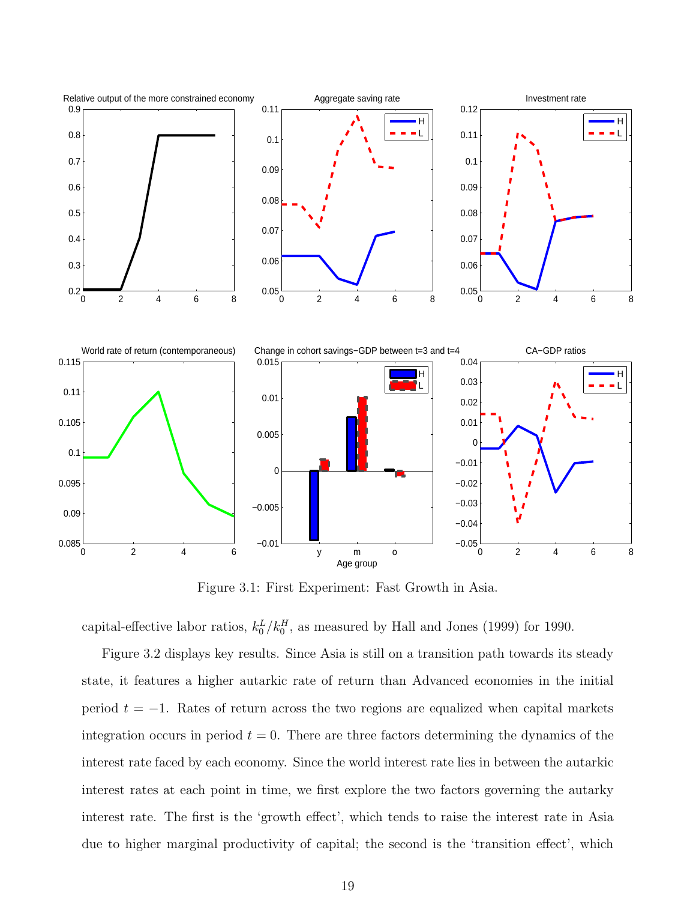

Figure 3.1: First Experiment: Fast Growth in Asia.

capital-effective labor ratios,  $k_0^L / k_0^H$ , as measured by Hall and Jones (1999) for 1990.

Figure 3.2 displays key results. Since Asia is still on a transition path towards its steady state, it features a higher autarkic rate of return than Advanced economies in the initial period  $t = -1$ . Rates of return across the two regions are equalized when capital markets integration occurs in period  $t = 0$ . There are three factors determining the dynamics of the interest rate faced by each economy. Since the world interest rate lies in between the autarkic interest rates at each point in time, we first explore the two factors governing the autarky interest rate. The first is the 'growth effect', which tends to raise the interest rate in Asia due to higher marginal productivity of capital; the second is the 'transition effect', which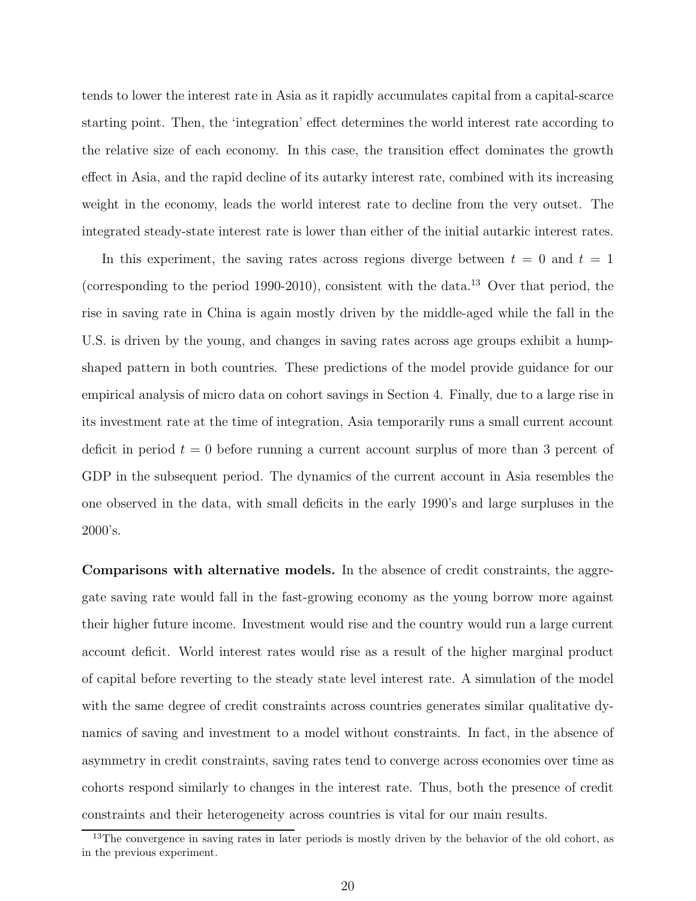tends to lower the interest rate in Asia as it rapidly accumulates capital from a capital-scarce starting point. Then, the 'integration' effect determines the world interest rate according to the relative size of each economy. In this case, the transition effect dominates the growth effect in Asia, and the rapid decline of its autarky interest rate, combined with its increasing weight in the economy, leads the world interest rate to decline from the very outset. The integrated steady-state interest rate is lower than either of the initial autarkic interest rates.

In this experiment, the saving rates across regions diverge between  $t = 0$  and  $t = 1$ (corresponding to the period 1990-2010), consistent with the data.<sup>13</sup> Over that period, the rise in saving rate in China is again mostly driven by the middle-aged while the fall in the U.S. is driven by the young, and changes in saving rates across age groups exhibit a humpshaped pattern in both countries. These predictions of the model provide guidance for our empirical analysis of micro data on cohort savings in Section 4. Finally, due to a large rise in its investment rate at the time of integration, Asia temporarily runs a small current account deficit in period  $t = 0$  before running a current account surplus of more than 3 percent of GDP in the subsequent period. The dynamics of the current account in Asia resembles the one observed in the data, with small deficits in the early 1990's and large surpluses in the 2000's.

Comparisons with alternative models. In the absence of credit constraints, the aggregate saving rate would fall in the fast-growing economy as the young borrow more against their higher future income. Investment would rise and the country would run a large current account deficit. World interest rates would rise as a result of the higher marginal product of capital before reverting to the steady state level interest rate. A simulation of the model with the same degree of credit constraints across countries generates similar qualitative dynamics of saving and investment to a model without constraints. In fact, in the absence of asymmetry in credit constraints, saving rates tend to converge across economies over time as cohorts respond similarly to changes in the interest rate. Thus, both the presence of credit constraints and their heterogeneity across countries is vital for our main results.

<sup>&</sup>lt;sup>13</sup>The convergence in saving rates in later periods is mostly driven by the behavior of the old cohort, as in the previous experiment.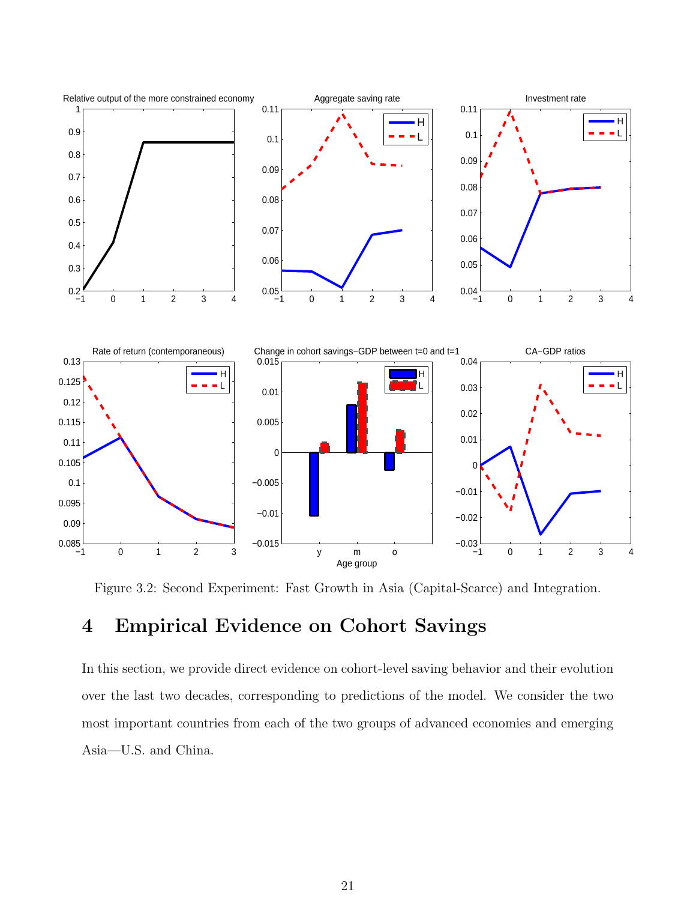

Figure 3.2: Second Experiment: Fast Growth in Asia (Capital-Scarce) and Integration.

# 4 Empirical Evidence on Cohort Savings

In this section, we provide direct evidence on cohort-level saving behavior and their evolution over the last two decades, corresponding to predictions of the model. We consider the two most important countries from each of the two groups of advanced economies and emerging Asia—U.S. and China.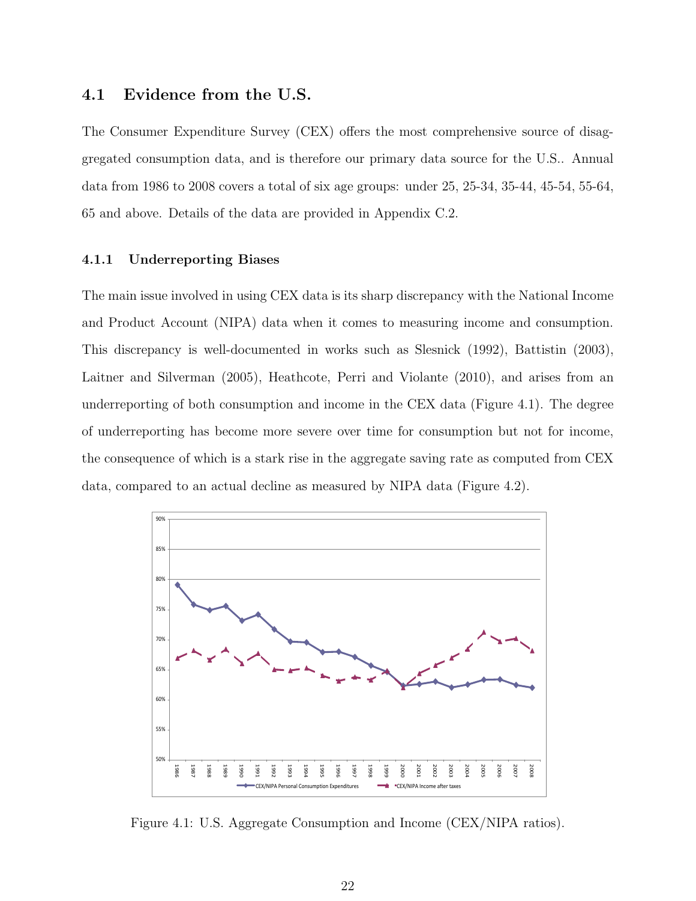#### 4.1 Evidence from the U.S.

The Consumer Expenditure Survey (CEX) offers the most comprehensive source of disaggregated consumption data, and is therefore our primary data source for the U.S.. Annual data from 1986 to 2008 covers a total of six age groups: under 25, 25-34, 35-44, 45-54, 55-64, 65 and above. Details of the data are provided in Appendix C.2.

#### 4.1.1 Underreporting Biases

The main issue involved in using CEX data is its sharp discrepancy with the National Income and Product Account (NIPA) data when it comes to measuring income and consumption. This discrepancy is well-documented in works such as Slesnick (1992), Battistin (2003), Laitner and Silverman (2005), Heathcote, Perri and Violante (2010), and arises from an underreporting of both consumption and income in the CEX data (Figure 4.1). The degree of underreporting has become more severe over time for consumption but not for income, the consequence of which is a stark rise in the aggregate saving rate as computed from CEX data, compared to an actual decline as measured by NIPA data (Figure 4.2).



Figure 4.1: U.S. Aggregate Consumption and Income (CEX/NIPA ratios).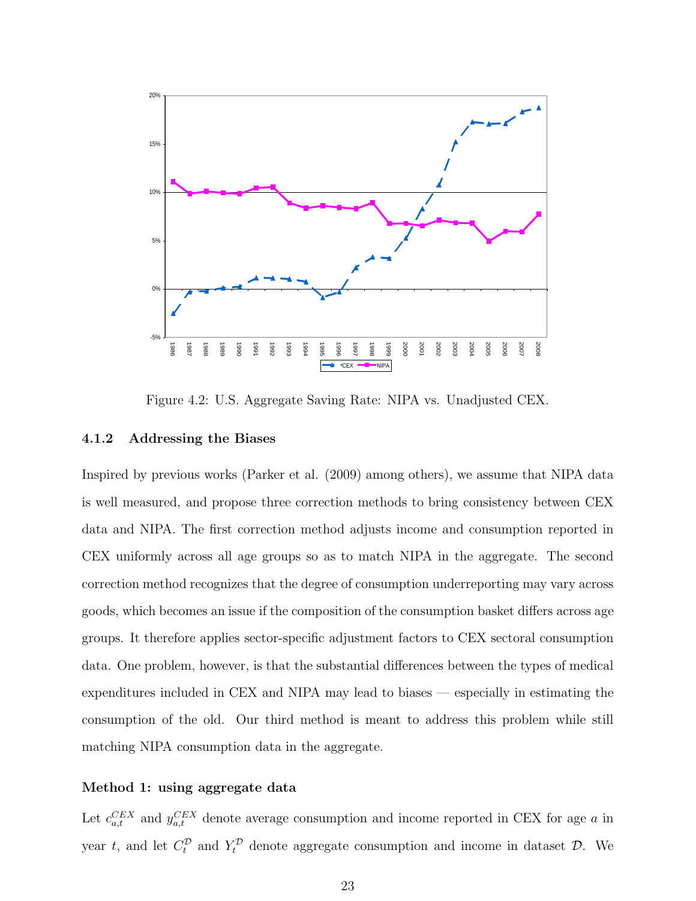

Figure 4.2: U.S. Aggregate Saving Rate: NIPA vs. Unadjusted CEX.

#### 4.1.2 Addressing the Biases

Inspired by previous works (Parker et al. (2009) among others), we assume that NIPA data is well measured, and propose three correction methods to bring consistency between CEX data and NIPA. The first correction method adjusts income and consumption reported in CEX uniformly across all age groups so as to match NIPA in the aggregate. The second correction method recognizes that the degree of consumption underreporting may vary across goods, which becomes an issue if the composition of the consumption basket differs across age groups. It therefore applies sector-specific adjustment factors to CEX sectoral consumption data. One problem, however, is that the substantial differences between the types of medical expenditures included in CEX and NIPA may lead to biases — especially in estimating the consumption of the old. Our third method is meant to address this problem while still matching NIPA consumption data in the aggregate.

#### Method 1: using aggregate data

Let  $c_{a,t}^{CEX}$  and  $y_{a,t}^{CEX}$  denote average consumption and income reported in CEX for age a in year t, and let  $C_t^{\mathcal{D}}$  and  $Y_t^{\mathcal{D}}$  denote aggregate consumption and income in dataset  $\mathcal{D}$ . We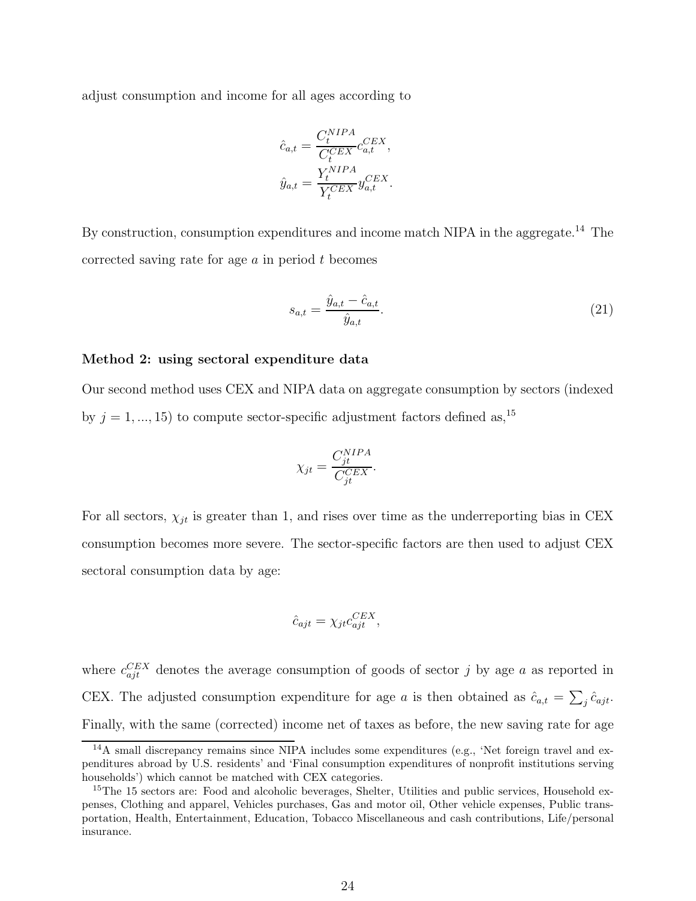adjust consumption and income for all ages according to

$$
\begin{aligned} \hat{c}_{a,t} &= \frac{C_t^{NIPA}}{C_t^{CEX}} c_{a,t}^{CEX}, \\ \hat{y}_{a,t} &= \frac{Y_t^{NIPA}}{Y_t^{CEX}} y_{a,t}^{CEX}. \end{aligned}
$$

By construction, consumption expenditures and income match NIPA in the aggregate.<sup>14</sup> The corrected saving rate for age  $a$  in period  $t$  becomes

$$
s_{a,t} = \frac{\hat{y}_{a,t} - \hat{c}_{a,t}}{\hat{y}_{a,t}}.
$$
\n(21)

#### Method 2: using sectoral expenditure data

Our second method uses CEX and NIPA data on aggregate consumption by sectors (indexed by  $j = 1, ..., 15$ ) to compute sector-specific adjustment factors defined as,<sup>15</sup>

$$
\chi_{jt} = \frac{C_{jt}^{NIPA}}{C_{jt}^{CEX}}.
$$

For all sectors,  $\chi_{jt}$  is greater than 1, and rises over time as the underreporting bias in CEX consumption becomes more severe. The sector-specific factors are then used to adjust CEX sectoral consumption data by age:

$$
\hat{c}_{ajt} = \chi_{jt} c_{ajt}^{CEX},
$$

where  $c_{ajt}^{CEX}$  denotes the average consumption of goods of sector j by age a as reported in CEX. The adjusted consumption expenditure for age a is then obtained as  $\hat{c}_{a,t} = \sum_j \hat{c}_{ajt}$ . Finally, with the same (corrected) income net of taxes as before, the new saving rate for age

<sup>14</sup>A small discrepancy remains since NIPA includes some expenditures (e.g., 'Net foreign travel and expenditures abroad by U.S. residents' and 'Final consumption expenditures of nonprofit institutions serving households') which cannot be matched with CEX categories.

<sup>&</sup>lt;sup>15</sup>The 15 sectors are: Food and alcoholic beverages, Shelter, Utilities and public services, Household expenses, Clothing and apparel, Vehicles purchases, Gas and motor oil, Other vehicle expenses, Public transportation, Health, Entertainment, Education, Tobacco Miscellaneous and cash contributions, Life/personal insurance.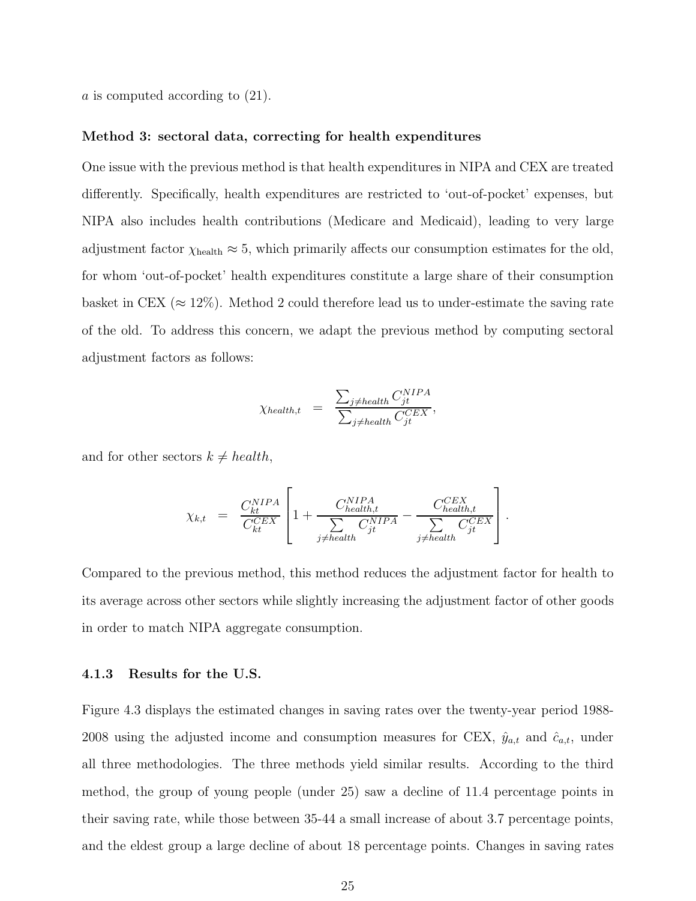a is computed according to (21).

#### Method 3: sectoral data, correcting for health expenditures

One issue with the previous method is that health expenditures in NIPA and CEX are treated differently. Specifically, health expenditures are restricted to 'out-of-pocket' expenses, but NIPA also includes health contributions (Medicare and Medicaid), leading to very large adjustment factor  $\chi_{\text{health}} \approx 5$ , which primarily affects our consumption estimates for the old, for whom 'out-of-pocket' health expenditures constitute a large share of their consumption basket in CEX ( $\approx 12\%$ ). Method 2 could therefore lead us to under-estimate the saving rate of the old. To address this concern, we adapt the previous method by computing sectoral adjustment factors as follows:

$$
\chi_{\text{health},t} = \frac{\sum_{j \neq \text{health}} C_{jt}^{NIPA}}{\sum_{j \neq \text{health}} C_{jt}^{CEX}},
$$

and for other sectors  $k \neq health$ ,

$$
\chi_{k,t} = \frac{C_{kt}^{NIPA}}{C_{kt}^{CEX}} \left[ 1 + \frac{C_{health,t}^{NIPA}}{ \sum_{j \neq health} C_{jt}^{NIPA}} - \frac{C_{health,t}^{CEX}}{ \sum_{j \neq health} C_{jt}^{CEX}} \right].
$$

Compared to the previous method, this method reduces the adjustment factor for health to its average across other sectors while slightly increasing the adjustment factor of other goods in order to match NIPA aggregate consumption.

#### 4.1.3 Results for the U.S.

Figure 4.3 displays the estimated changes in saving rates over the twenty-year period 1988- 2008 using the adjusted income and consumption measures for CEX,  $\hat{y}_{a,t}$  and  $\hat{c}_{a,t}$ , under all three methodologies. The three methods yield similar results. According to the third method, the group of young people (under 25) saw a decline of 11.4 percentage points in their saving rate, while those between 35-44 a small increase of about 3.7 percentage points, and the eldest group a large decline of about 18 percentage points. Changes in saving rates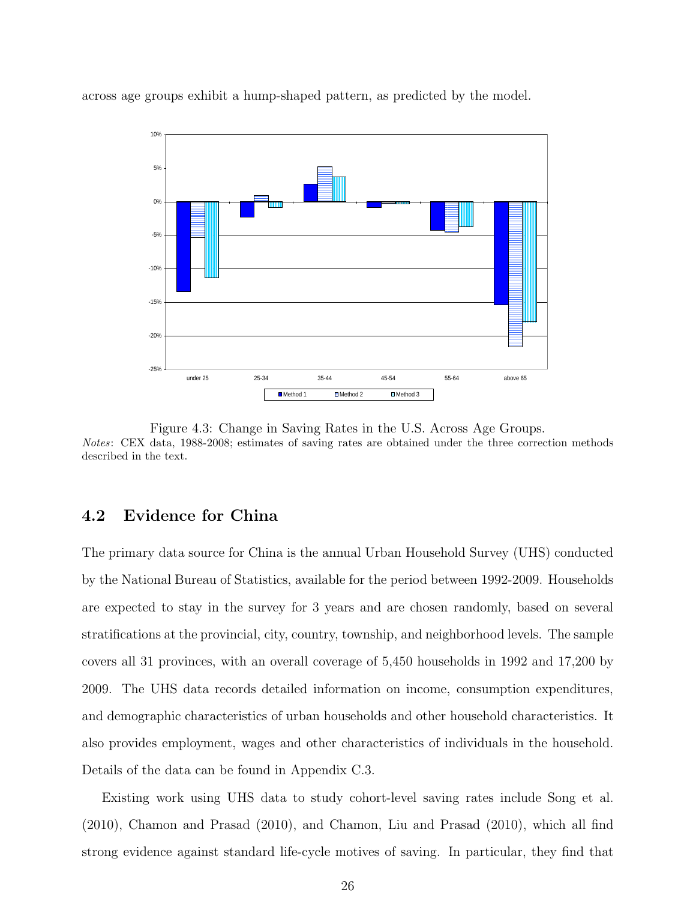

across age groups exhibit a hump-shaped pattern, as predicted by the model.

Figure 4.3: Change in Saving Rates in the U.S. Across Age Groups. Notes: CEX data, 1988-2008; estimates of saving rates are obtained under the three correction methods described in the text.

### 4.2 Evidence for China

The primary data source for China is the annual Urban Household Survey (UHS) conducted by the National Bureau of Statistics, available for the period between 1992-2009. Households are expected to stay in the survey for 3 years and are chosen randomly, based on several stratifications at the provincial, city, country, township, and neighborhood levels. The sample covers all 31 provinces, with an overall coverage of 5,450 households in 1992 and 17,200 by 2009. The UHS data records detailed information on income, consumption expenditures, and demographic characteristics of urban households and other household characteristics. It also provides employment, wages and other characteristics of individuals in the household. Details of the data can be found in Appendix C.3.

Existing work using UHS data to study cohort-level saving rates include Song et al. (2010), Chamon and Prasad (2010), and Chamon, Liu and Prasad (2010), which all find strong evidence against standard life-cycle motives of saving. In particular, they find that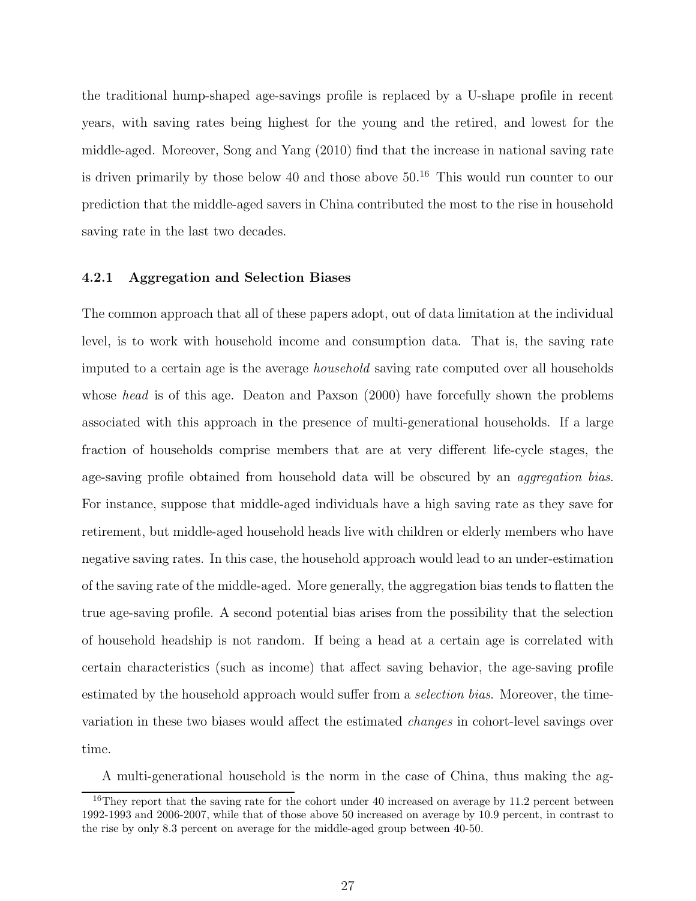the traditional hump-shaped age-savings profile is replaced by a U-shape profile in recent years, with saving rates being highest for the young and the retired, and lowest for the middle-aged. Moreover, Song and Yang (2010) find that the increase in national saving rate is driven primarily by those below 40 and those above  $50<sup>16</sup>$ . This would run counter to our prediction that the middle-aged savers in China contributed the most to the rise in household saving rate in the last two decades.

#### 4.2.1 Aggregation and Selection Biases

The common approach that all of these papers adopt, out of data limitation at the individual level, is to work with household income and consumption data. That is, the saving rate imputed to a certain age is the average household saving rate computed over all households whose *head* is of this age. Deaton and Paxson (2000) have forcefully shown the problems associated with this approach in the presence of multi-generational households. If a large fraction of households comprise members that are at very different life-cycle stages, the age-saving profile obtained from household data will be obscured by an aggregation bias. For instance, suppose that middle-aged individuals have a high saving rate as they save for retirement, but middle-aged household heads live with children or elderly members who have negative saving rates. In this case, the household approach would lead to an under-estimation of the saving rate of the middle-aged. More generally, the aggregation bias tends to flatten the true age-saving profile. A second potential bias arises from the possibility that the selection of household headship is not random. If being a head at a certain age is correlated with certain characteristics (such as income) that affect saving behavior, the age-saving profile estimated by the household approach would suffer from a *selection bias*. Moreover, the timevariation in these two biases would affect the estimated changes in cohort-level savings over time.

A multi-generational household is the norm in the case of China, thus making the ag-

 $16$ They report that the saving rate for the cohort under 40 increased on average by 11.2 percent between 1992-1993 and 2006-2007, while that of those above 50 increased on average by 10.9 percent, in contrast to the rise by only 8.3 percent on average for the middle-aged group between 40-50.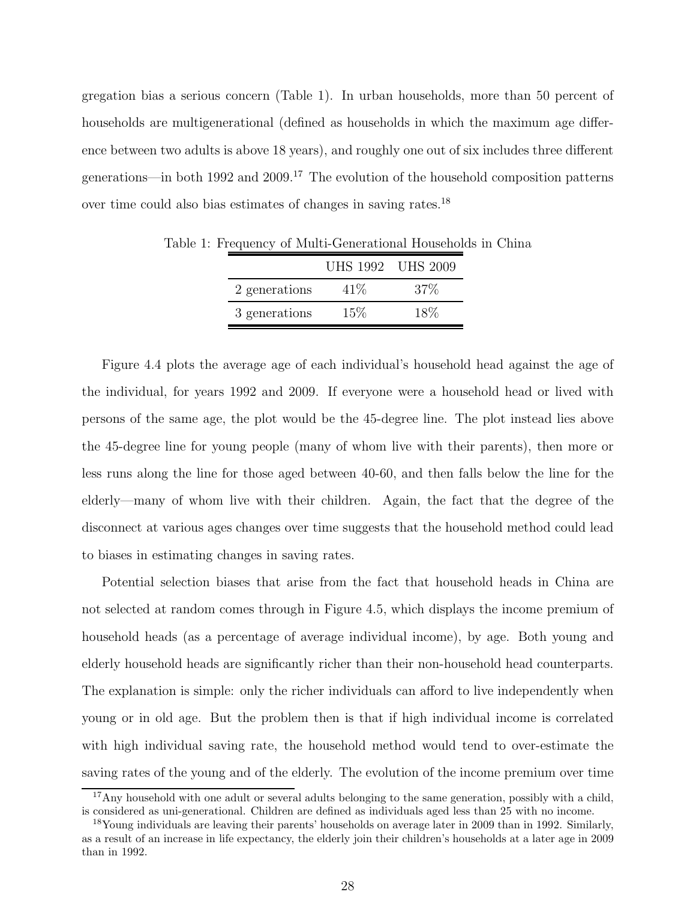gregation bias a serious concern (Table 1). In urban households, more than 50 percent of households are multigenerational (defined as households in which the maximum age difference between two adults is above 18 years), and roughly one out of six includes three different generations—in both 1992 and  $2009$ .<sup>17</sup> The evolution of the household composition patterns over time could also bias estimates of changes in saving rates.<sup>18</sup>

|               | UHS 1992 UHS 2009 |        |
|---------------|-------------------|--------|
| 2 generations | 41%               | $37\%$ |
| 3 generations | $15\%$            | 18%    |

Table 1: Frequency of Multi-Generational Households in China

Figure 4.4 plots the average age of each individual's household head against the age of the individual, for years 1992 and 2009. If everyone were a household head or lived with persons of the same age, the plot would be the 45-degree line. The plot instead lies above the 45-degree line for young people (many of whom live with their parents), then more or less runs along the line for those aged between 40-60, and then falls below the line for the elderly—many of whom live with their children. Again, the fact that the degree of the disconnect at various ages changes over time suggests that the household method could lead to biases in estimating changes in saving rates.

Potential selection biases that arise from the fact that household heads in China are not selected at random comes through in Figure 4.5, which displays the income premium of household heads (as a percentage of average individual income), by age. Both young and elderly household heads are significantly richer than their non-household head counterparts. The explanation is simple: only the richer individuals can afford to live independently when young or in old age. But the problem then is that if high individual income is correlated with high individual saving rate, the household method would tend to over-estimate the saving rates of the young and of the elderly. The evolution of the income premium over time

<sup>&</sup>lt;sup>17</sup>Any household with one adult or several adults belonging to the same generation, possibly with a child, is considered as uni-generational. Children are defined as individuals aged less than 25 with no income.

<sup>&</sup>lt;sup>18</sup>Young individuals are leaving their parents' households on average later in 2009 than in 1992. Similarly, as a result of an increase in life expectancy, the elderly join their children's households at a later age in 2009 than in 1992.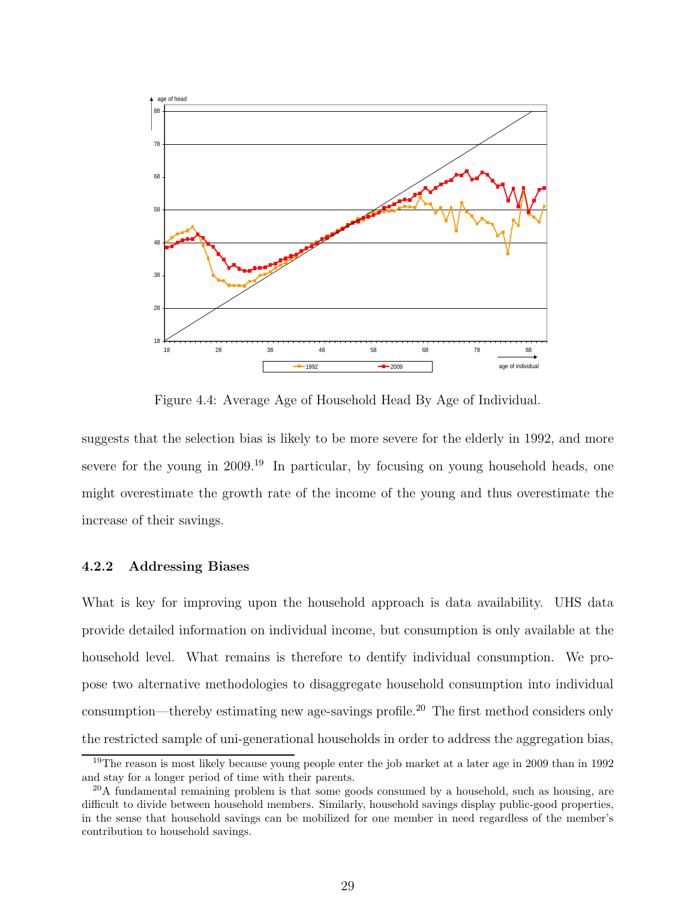

Figure 4.4: Average Age of Household Head By Age of Individual.

suggests that the selection bias is likely to be more severe for the elderly in 1992, and more severe for the young in 2009.<sup>19</sup> In particular, by focusing on young household heads, one might overestimate the growth rate of the income of the young and thus overestimate the increase of their savings.

#### 4.2.2 Addressing Biases

What is key for improving upon the household approach is data availability. UHS data provide detailed information on individual income, but consumption is only available at the household level. What remains is therefore to dentify individual consumption. We propose two alternative methodologies to disaggregate household consumption into individual consumption—thereby estimating new age-savings profile.<sup>20</sup> The first method considers only the restricted sample of uni-generational households in order to address the aggregation bias,

<sup>&</sup>lt;sup>19</sup>The reason is most likely because young people enter the job market at a later age in 2009 than in 1992 and stay for a longer period of time with their parents.

 $^{20}$ A fundamental remaining problem is that some goods consumed by a household, such as housing, are difficult to divide between household members. Similarly, household savings display public-good properties, in the sense that household savings can be mobilized for one member in need regardless of the member's contribution to household savings.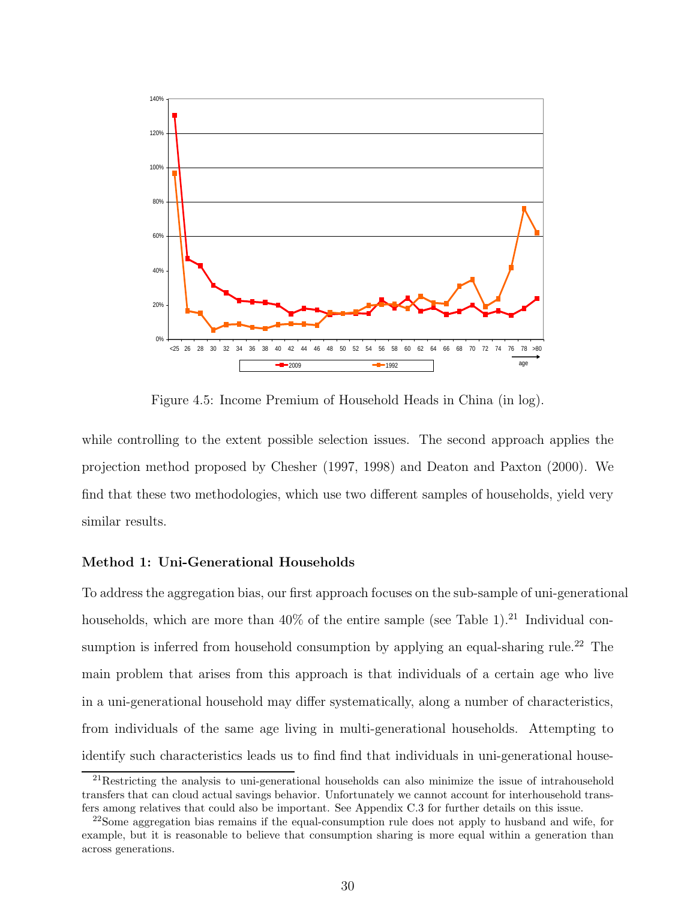

Figure 4.5: Income Premium of Household Heads in China (in log).

while controlling to the extent possible selection issues. The second approach applies the projection method proposed by Chesher (1997, 1998) and Deaton and Paxton (2000). We find that these two methodologies, which use two different samples of households, yield very similar results.

#### Method 1: Uni-Generational Households

To address the aggregation bias, our first approach focuses on the sub-sample of uni-generational households, which are more than  $40\%$  of the entire sample (see Table 1).<sup>21</sup> Individual consumption is inferred from household consumption by applying an equal-sharing rule.<sup>22</sup> The main problem that arises from this approach is that individuals of a certain age who live in a uni-generational household may differ systematically, along a number of characteristics, from individuals of the same age living in multi-generational households. Attempting to identify such characteristics leads us to find find that individuals in uni-generational house-

<sup>&</sup>lt;sup>21</sup>Restricting the analysis to uni-generational households can also minimize the issue of intrahousehold transfers that can cloud actual savings behavior. Unfortunately we cannot account for interhousehold transfers among relatives that could also be important. See Appendix C.3 for further details on this issue.

 $22$ Some aggregation bias remains if the equal-consumption rule does not apply to husband and wife, for example, but it is reasonable to believe that consumption sharing is more equal within a generation than across generations.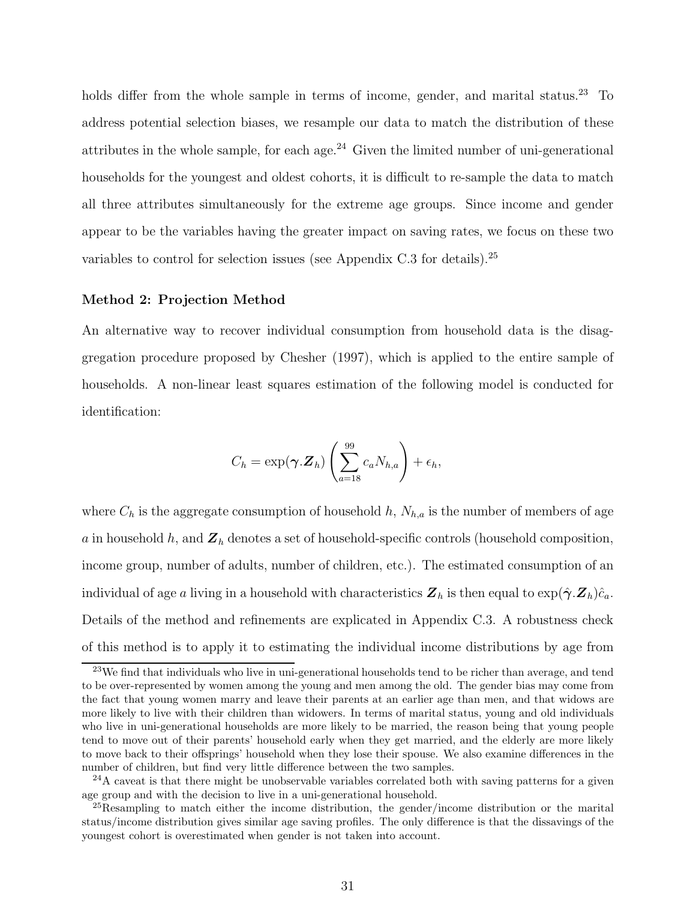holds differ from the whole sample in terms of income, gender, and marital status.<sup>23</sup> To address potential selection biases, we resample our data to match the distribution of these attributes in the whole sample, for each age.<sup>24</sup> Given the limited number of uni-generational households for the youngest and oldest cohorts, it is difficult to re-sample the data to match all three attributes simultaneously for the extreme age groups. Since income and gender appear to be the variables having the greater impact on saving rates, we focus on these two variables to control for selection issues (see Appendix C.3 for details).<sup>25</sup>

#### Method 2: Projection Method

An alternative way to recover individual consumption from household data is the disaggregation procedure proposed by Chesher (1997), which is applied to the entire sample of households. A non-linear least squares estimation of the following model is conducted for identification:

$$
C_h = \exp(\boldsymbol{\gamma}.\mathbf{Z}_h) \left( \sum_{a=18}^{99} c_a N_{h,a} \right) + \epsilon_h,
$$

where  $C_h$  is the aggregate consumption of household h,  $N_{h,a}$  is the number of members of age a in household h, and  $\mathbf{Z}_h$  denotes a set of household-specific controls (household composition, income group, number of adults, number of children, etc.). The estimated consumption of an individual of age a living in a household with characteristics  $\mathbf{Z}_h$  is then equal to  $\exp(\hat{\boldsymbol{\gamma}}.\mathbf{Z}_h)\hat{c}_a$ . Details of the method and refinements are explicated in Appendix C.3. A robustness check of this method is to apply it to estimating the individual income distributions by age from

<sup>&</sup>lt;sup>23</sup>We find that individuals who live in uni-generational households tend to be richer than average, and tend to be over-represented by women among the young and men among the old. The gender bias may come from the fact that young women marry and leave their parents at an earlier age than men, and that widows are more likely to live with their children than widowers. In terms of marital status, young and old individuals who live in uni-generational households are more likely to be married, the reason being that young people tend to move out of their parents' household early when they get married, and the elderly are more likely to move back to their offsprings' household when they lose their spouse. We also examine differences in the number of children, but find very little difference between the two samples.

<sup>&</sup>lt;sup>24</sup>A caveat is that there might be unobservable variables correlated both with saving patterns for a given age group and with the decision to live in a uni-generational household.

<sup>&</sup>lt;sup>25</sup>Resampling to match either the income distribution, the gender/income distribution or the marital status/income distribution gives similar age saving profiles. The only difference is that the dissavings of the youngest cohort is overestimated when gender is not taken into account.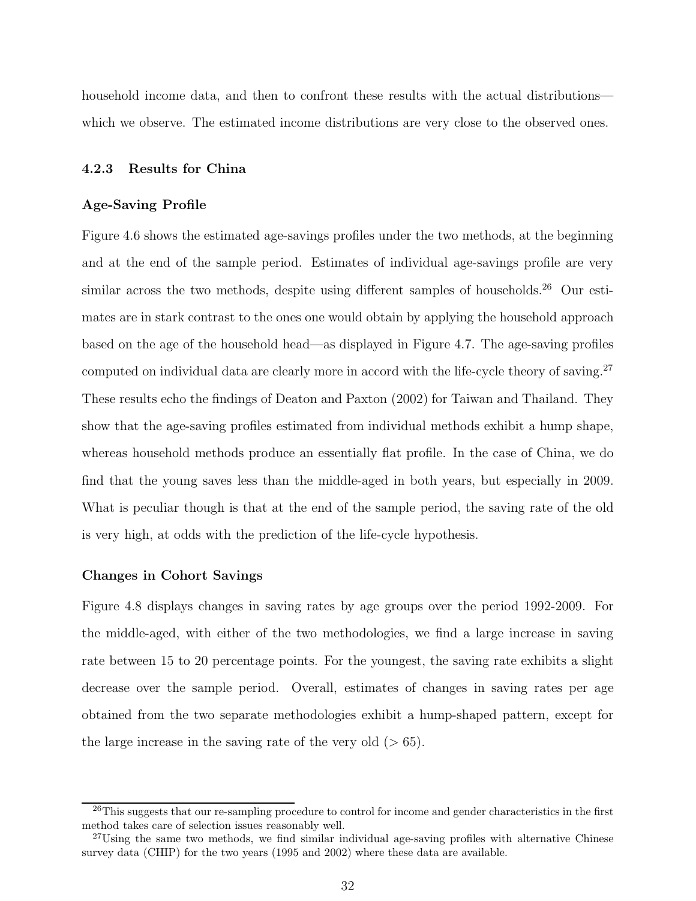household income data, and then to confront these results with the actual distributions which we observe. The estimated income distributions are very close to the observed ones.

#### 4.2.3 Results for China

#### Age-Saving Profile

Figure 4.6 shows the estimated age-savings profiles under the two methods, at the beginning and at the end of the sample period. Estimates of individual age-savings profile are very similar across the two methods, despite using different samples of households.<sup>26</sup> Our estimates are in stark contrast to the ones one would obtain by applying the household approach based on the age of the household head—as displayed in Figure 4.7. The age-saving profiles computed on individual data are clearly more in accord with the life-cycle theory of saving.<sup>27</sup> These results echo the findings of Deaton and Paxton (2002) for Taiwan and Thailand. They show that the age-saving profiles estimated from individual methods exhibit a hump shape, whereas household methods produce an essentially flat profile. In the case of China, we do find that the young saves less than the middle-aged in both years, but especially in 2009. What is peculiar though is that at the end of the sample period, the saving rate of the old is very high, at odds with the prediction of the life-cycle hypothesis.

#### Changes in Cohort Savings

Figure 4.8 displays changes in saving rates by age groups over the period 1992-2009. For the middle-aged, with either of the two methodologies, we find a large increase in saving rate between 15 to 20 percentage points. For the youngest, the saving rate exhibits a slight decrease over the sample period. Overall, estimates of changes in saving rates per age obtained from the two separate methodologies exhibit a hump-shaped pattern, except for the large increase in the saving rate of the very old  $(> 65)$ .

<sup>&</sup>lt;sup>26</sup>This suggests that our re-sampling procedure to control for income and gender characteristics in the first method takes care of selection issues reasonably well.

<sup>&</sup>lt;sup>27</sup>Using the same two methods, we find similar individual age-saving profiles with alternative Chinese survey data (CHIP) for the two years (1995 and 2002) where these data are available.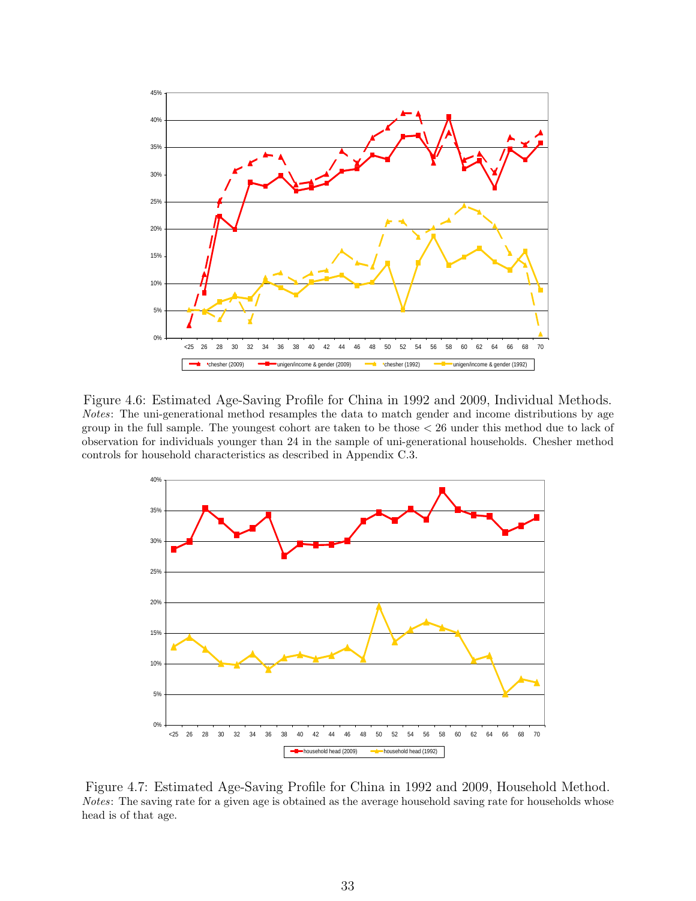

Figure 4.6: Estimated Age-Saving Profile for China in 1992 and 2009, Individual Methods. Notes: The uni-generational method resamples the data to match gender and income distributions by age group in the full sample. The youngest cohort are taken to be those < 26 under this method due to lack of observation for individuals younger than 24 in the sample of uni-generational households. Chesher method controls for household characteristics as described in Appendix C.3.



Figure 4.7: Estimated Age-Saving Profile for China in 1992 and 2009, Household Method. Notes: The saving rate for a given age is obtained as the average household saving rate for households whose head is of that age.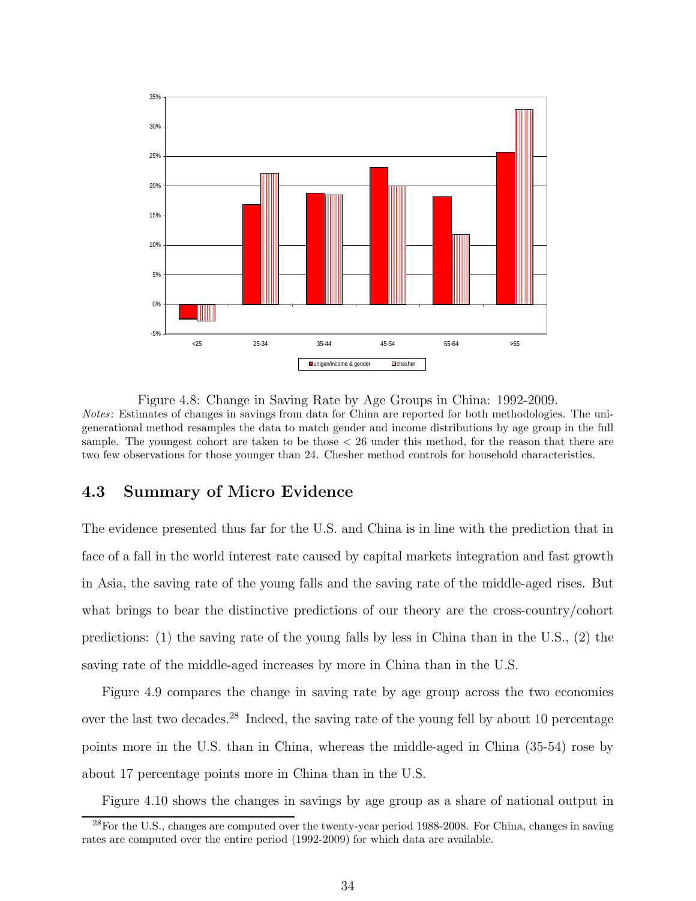

Figure 4.8: Change in Saving Rate by Age Groups in China: 1992-2009. Notes: Estimates of changes in savings from data for China are reported for both methodologies. The unigenerational method resamples the data to match gender and income distributions by age group in the full sample. The youngest cohort are taken to be those < 26 under this method, for the reason that there are two few observations for those younger than 24. Chesher method controls for household characteristics.

### 4.3 Summary of Micro Evidence

The evidence presented thus far for the U.S. and China is in line with the prediction that in face of a fall in the world interest rate caused by capital markets integration and fast growth in Asia, the saving rate of the young falls and the saving rate of the middle-aged rises. But what brings to bear the distinctive predictions of our theory are the cross-country/cohort predictions: (1) the saving rate of the young falls by less in China than in the U.S., (2) the saving rate of the middle-aged increases by more in China than in the U.S.

Figure 4.9 compares the change in saving rate by age group across the two economies over the last two decades.<sup>28</sup> Indeed, the saving rate of the young fell by about 10 percentage points more in the U.S. than in China, whereas the middle-aged in China (35-54) rose by about 17 percentage points more in China than in the U.S.

Figure 4.10 shows the changes in savings by age group as a share of national output in

<sup>28</sup>For the U.S., changes are computed over the twenty-year period 1988-2008. For China, changes in saving rates are computed over the entire period (1992-2009) for which data are available.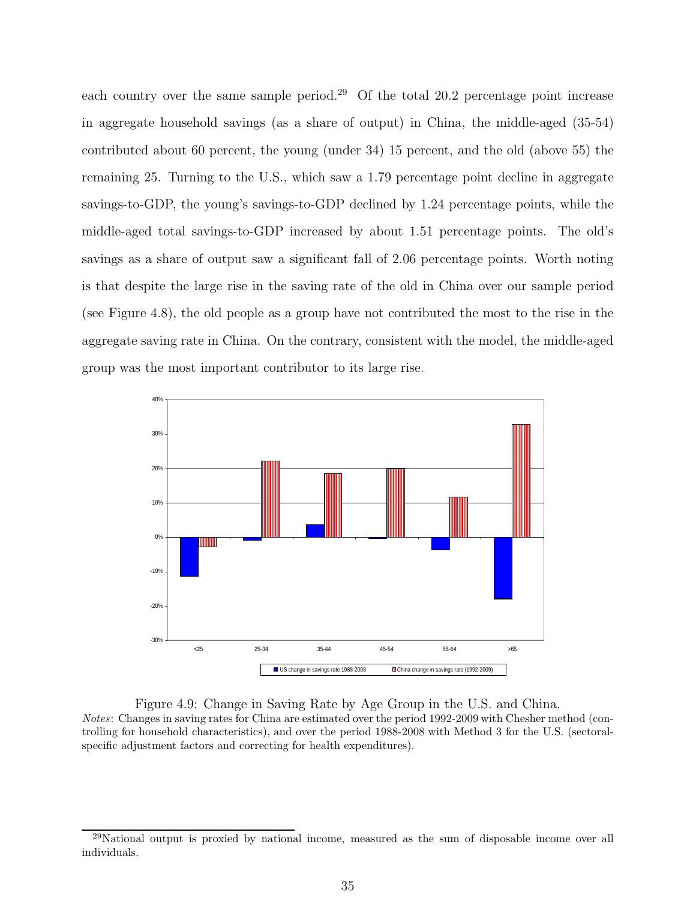each country over the same sample period.<sup>29</sup> Of the total 20.2 percentage point increase in aggregate household savings (as a share of output) in China, the middle-aged (35-54) contributed about 60 percent, the young (under 34) 15 percent, and the old (above 55) the remaining 25. Turning to the U.S., which saw a 1.79 percentage point decline in aggregate savings-to-GDP, the young's savings-to-GDP declined by 1.24 percentage points, while the middle-aged total savings-to-GDP increased by about 1.51 percentage points. The old's savings as a share of output saw a significant fall of 2.06 percentage points. Worth noting is that despite the large rise in the saving rate of the old in China over our sample period (see Figure 4.8), the old people as a group have not contributed the most to the rise in the aggregate saving rate in China. On the contrary, consistent with the model, the middle-aged group was the most important contributor to its large rise.



Figure 4.9: Change in Saving Rate by Age Group in the U.S. and China. Notes: Changes in saving rates for China are estimated over the period 1992-2009 with Chesher method (controlling for household characteristics), and over the period 1988-2008 with Method 3 for the U.S. (sectoralspecific adjustment factors and correcting for health expenditures).

<sup>29</sup>National output is proxied by national income, measured as the sum of disposable income over all individuals.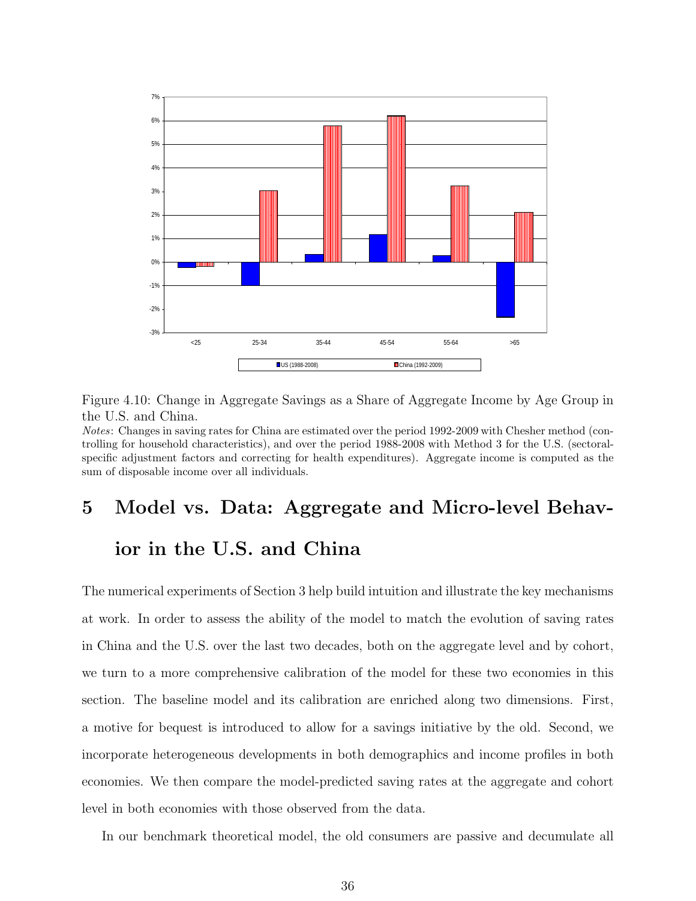

Figure 4.10: Change in Aggregate Savings as a Share of Aggregate Income by Age Group in the U.S. and China.

Notes: Changes in saving rates for China are estimated over the period 1992-2009 with Chesher method (controlling for household characteristics), and over the period 1988-2008 with Method 3 for the U.S. (sectoralspecific adjustment factors and correcting for health expenditures). Aggregate income is computed as the sum of disposable income over all individuals.

# 5 Model vs. Data: Aggregate and Micro-level Behavior in the U.S. and China

The numerical experiments of Section 3 help build intuition and illustrate the key mechanisms at work. In order to assess the ability of the model to match the evolution of saving rates in China and the U.S. over the last two decades, both on the aggregate level and by cohort, we turn to a more comprehensive calibration of the model for these two economies in this section. The baseline model and its calibration are enriched along two dimensions. First, a motive for bequest is introduced to allow for a savings initiative by the old. Second, we incorporate heterogeneous developments in both demographics and income profiles in both economies. We then compare the model-predicted saving rates at the aggregate and cohort level in both economies with those observed from the data.

In our benchmark theoretical model, the old consumers are passive and decumulate all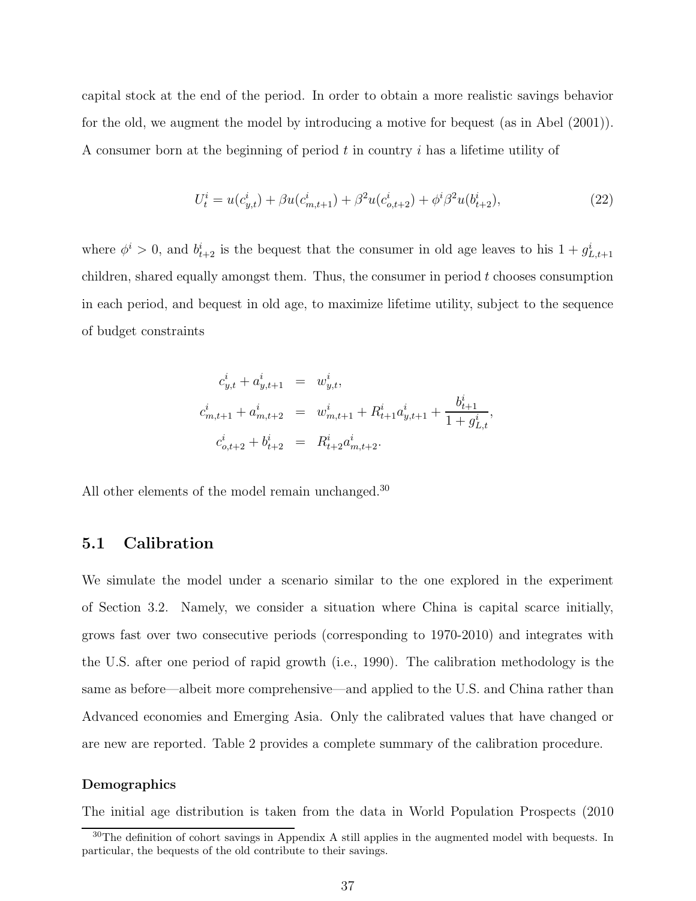capital stock at the end of the period. In order to obtain a more realistic savings behavior for the old, we augment the model by introducing a motive for bequest (as in Abel (2001)). A consumer born at the beginning of period  $t$  in country  $i$  has a lifetime utility of

$$
U_t^i = u(c_{y,t}^i) + \beta u(c_{m,t+1}^i) + \beta^2 u(c_{o,t+2}^i) + \phi^i \beta^2 u(b_{t+2}^i), \tag{22}
$$

where  $\phi^i > 0$ , and  $b_{t+2}^i$  is the bequest that the consumer in old age leaves to his  $1 + g_{L,t+1}^i$ children, shared equally amongst them. Thus, the consumer in period  $t$  chooses consumption in each period, and bequest in old age, to maximize lifetime utility, subject to the sequence of budget constraints

$$
c_{y,t}^i + a_{y,t+1}^i = w_{y,t}^i,
$$
  
\n
$$
c_{m,t+1}^i + a_{m,t+2}^i = w_{m,t+1}^i + R_{t+1}^i a_{y,t+1}^i + \frac{b_{t+1}^i}{1 + g_{L,t}^i},
$$
  
\n
$$
c_{o,t+2}^i + b_{t+2}^i = R_{t+2}^i a_{m,t+2}^i.
$$

All other elements of the model remain unchanged.<sup>30</sup>

#### 5.1 Calibration

We simulate the model under a scenario similar to the one explored in the experiment of Section 3.2. Namely, we consider a situation where China is capital scarce initially, grows fast over two consecutive periods (corresponding to 1970-2010) and integrates with the U.S. after one period of rapid growth (i.e., 1990). The calibration methodology is the same as before—albeit more comprehensive—and applied to the U.S. and China rather than Advanced economies and Emerging Asia. Only the calibrated values that have changed or are new are reported. Table 2 provides a complete summary of the calibration procedure.

#### Demographics

The initial age distribution is taken from the data in World Population Prospects (2010

<sup>&</sup>lt;sup>30</sup>The definition of cohort savings in Appendix A still applies in the augmented model with bequests. In particular, the bequests of the old contribute to their savings.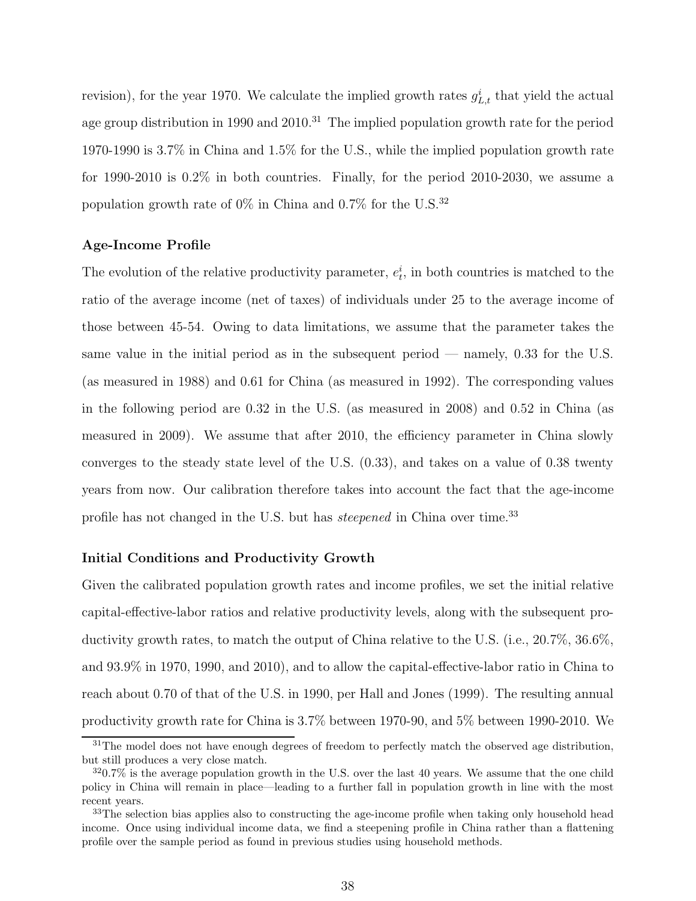revision), for the year 1970. We calculate the implied growth rates  $g_{L,t}^i$  that yield the actual age group distribution in 1990 and  $2010<sup>31</sup>$  The implied population growth rate for the period 1970-1990 is 3.7% in China and 1.5% for the U.S., while the implied population growth rate for 1990-2010 is 0.2% in both countries. Finally, for the period 2010-2030, we assume a population growth rate of  $0\%$  in China and  $0.7\%$  for the U.S.<sup>32</sup>

#### Age-Income Profile

The evolution of the relative productivity parameter,  $e_t^i$ , in both countries is matched to the ratio of the average income (net of taxes) of individuals under 25 to the average income of those between 45-54. Owing to data limitations, we assume that the parameter takes the same value in the initial period as in the subsequent period — namely, 0.33 for the U.S. (as measured in 1988) and 0.61 for China (as measured in 1992). The corresponding values in the following period are 0.32 in the U.S. (as measured in 2008) and 0.52 in China (as measured in 2009). We assume that after 2010, the efficiency parameter in China slowly converges to the steady state level of the U.S. (0.33), and takes on a value of 0.38 twenty years from now. Our calibration therefore takes into account the fact that the age-income profile has not changed in the U.S. but has *steepened* in China over time.<sup>33</sup>

#### Initial Conditions and Productivity Growth

Given the calibrated population growth rates and income profiles, we set the initial relative capital-effective-labor ratios and relative productivity levels, along with the subsequent productivity growth rates, to match the output of China relative to the U.S. (i.e., 20.7%, 36.6%, and 93.9% in 1970, 1990, and 2010), and to allow the capital-effective-labor ratio in China to reach about 0.70 of that of the U.S. in 1990, per Hall and Jones (1999). The resulting annual productivity growth rate for China is 3.7% between 1970-90, and 5% between 1990-2010. We

 $31$ The model does not have enough degrees of freedom to perfectly match the observed age distribution, but still produces a very close match.

 $320.7\%$  is the average population growth in the U.S. over the last 40 years. We assume that the one child policy in China will remain in place—leading to a further fall in population growth in line with the most recent years.

<sup>&</sup>lt;sup>33</sup>The selection bias applies also to constructing the age-income profile when taking only household head income. Once using individual income data, we find a steepening profile in China rather than a flattening profile over the sample period as found in previous studies using household methods.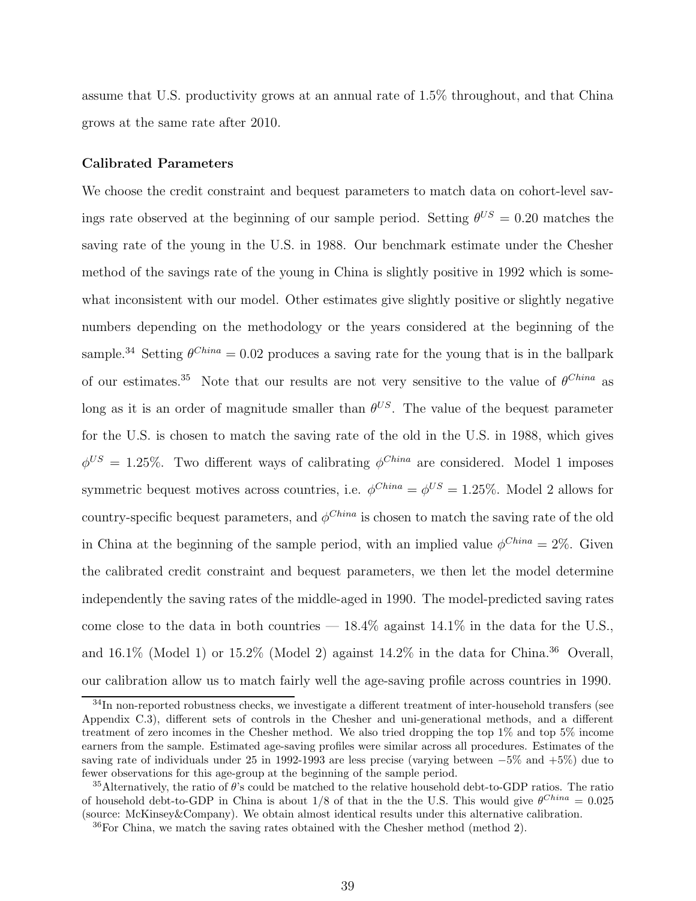assume that U.S. productivity grows at an annual rate of 1.5% throughout, and that China grows at the same rate after 2010.

#### Calibrated Parameters

We choose the credit constraint and bequest parameters to match data on cohort-level savings rate observed at the beginning of our sample period. Setting  $\theta^{US} = 0.20$  matches the saving rate of the young in the U.S. in 1988. Our benchmark estimate under the Chesher method of the savings rate of the young in China is slightly positive in 1992 which is somewhat inconsistent with our model. Other estimates give slightly positive or slightly negative numbers depending on the methodology or the years considered at the beginning of the sample.<sup>34</sup> Setting  $\theta^{China} = 0.02$  produces a saving rate for the young that is in the ballpark of our estimates.<sup>35</sup> Note that our results are not very sensitive to the value of  $\theta^{China}$  as long as it is an order of magnitude smaller than  $\theta^{US}$ . The value of the bequest parameter for the U.S. is chosen to match the saving rate of the old in the U.S. in 1988, which gives  $\phi^{US} = 1.25\%$ . Two different ways of calibrating  $\phi^{China}$  are considered. Model 1 imposes symmetric bequest motives across countries, i.e.  $\phi^{China} = \phi^{US} = 1.25\%$ . Model 2 allows for country-specific bequest parameters, and  $\phi^{China}$  is chosen to match the saving rate of the old in China at the beginning of the sample period, with an implied value  $\phi^{China} = 2\%$ . Given the calibrated credit constraint and bequest parameters, we then let the model determine independently the saving rates of the middle-aged in 1990. The model-predicted saving rates come close to the data in both countries  $-18.4\%$  against  $14.1\%$  in the data for the U.S., and  $16.1\%$  (Model 1) or  $15.2\%$  (Model 2) against  $14.2\%$  in the data for China.<sup>36</sup> Overall, our calibration allow us to match fairly well the age-saving profile across countries in 1990.

<sup>&</sup>lt;sup>34</sup>In non-reported robustness checks, we investigate a different treatment of inter-household transfers (see Appendix C.3), different sets of controls in the Chesher and uni-generational methods, and a different treatment of zero incomes in the Chesher method. We also tried dropping the top 1% and top 5% income earners from the sample. Estimated age-saving profiles were similar across all procedures. Estimates of the saving rate of individuals under 25 in 1992-1993 are less precise (varying between −5% and +5%) due to fewer observations for this age-group at the beginning of the sample period.

 $35$ Alternatively, the ratio of  $\theta$ 's could be matched to the relative household debt-to-GDP ratios. The ratio of household debt-to-GDP in China is about  $1/8$  of that in the the U.S. This would give  $\theta^{China} = 0.025$ (source: McKinsey&Company). We obtain almost identical results under this alternative calibration.

 $36$  For China, we match the saving rates obtained with the Chesher method (method 2).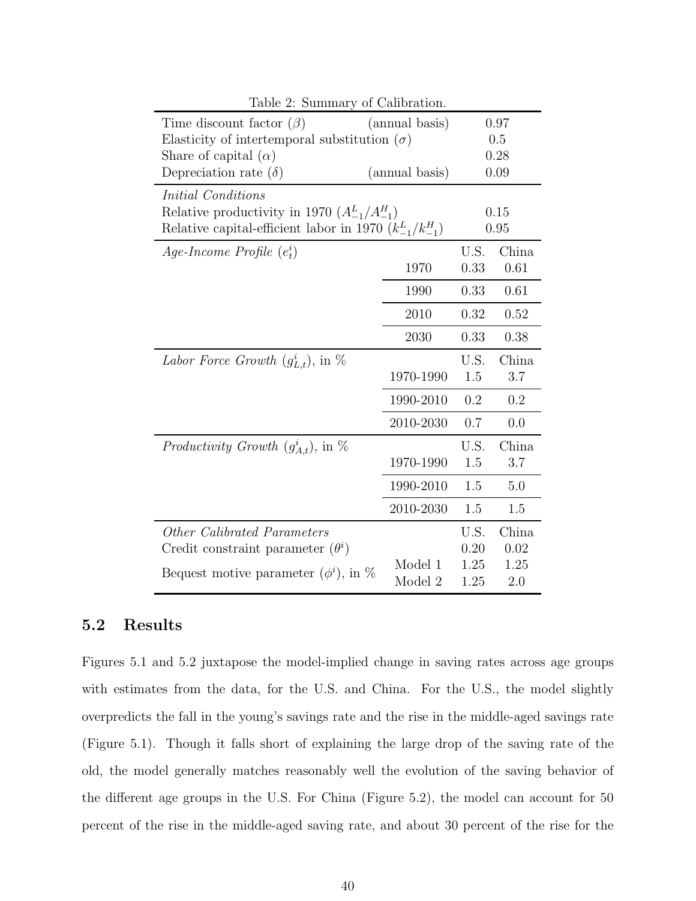| Table 2: Summary of Calibration.                               |                |      |       |  |  |
|----------------------------------------------------------------|----------------|------|-------|--|--|
| Time discount factor $(\beta)$                                 | (annual basis) | 0.97 |       |  |  |
| Elasticity of intertemporal substitution $(\sigma)$            |                |      | 0.5   |  |  |
| Share of capital $(\alpha)$                                    |                | 0.28 |       |  |  |
| Depreciation rate $(\delta)$                                   | (annual basis) | 0.09 |       |  |  |
| Initial Conditions                                             |                |      |       |  |  |
| Relative productivity in 1970 $(A_{-1}^L/A_{-1}^H)$            |                |      | 0.15  |  |  |
| Relative capital-efficient labor in 1970 $(k_{-1}^L/k_{-1}^H)$ |                |      | 0.95  |  |  |
| Age-Income Profile $(e_t^i)$                                   |                | U.S. | China |  |  |
|                                                                | 1970           | 0.33 | 0.61  |  |  |
|                                                                | 1990           | 0.33 | 0.61  |  |  |
|                                                                | 2010           | 0.32 | 0.52  |  |  |
|                                                                | 2030           | 0.33 | 0.38  |  |  |
| Labor Force Growth $(g_{L,t}^i)$ , in $\%$                     |                | U.S. | China |  |  |
|                                                                | 1970-1990      | 1.5  | 3.7   |  |  |
|                                                                | 1990-2010      | 0.2  | 0.2   |  |  |
|                                                                | 2010-2030      | 0.7  | 0.0   |  |  |
| Productivity Growth $(g_{A,t}^i)$ , in $\%$                    |                | U.S. | China |  |  |
|                                                                | 1970-1990      | 1.5  | 3.7   |  |  |
|                                                                | 1990-2010      | 1.5  | 5.0   |  |  |
|                                                                | 2010-2030      | 1.5  | 1.5   |  |  |
| Other Calibrated Parameters                                    |                | U.S. | China |  |  |
| Credit constraint parameter $(\theta^i)$                       |                | 0.20 | 0.02  |  |  |
| Bequest motive parameter $(\phi^i)$ , in %                     | Model 1        | 1.25 | 1.25  |  |  |
|                                                                | Model 2        | 1.25 | 2.0   |  |  |

### 5.2 Results

Figures 5.1 and 5.2 juxtapose the model-implied change in saving rates across age groups with estimates from the data, for the U.S. and China. For the U.S., the model slightly overpredicts the fall in the young's savings rate and the rise in the middle-aged savings rate (Figure 5.1). Though it falls short of explaining the large drop of the saving rate of the old, the model generally matches reasonably well the evolution of the saving behavior of the different age groups in the U.S. For China (Figure 5.2), the model can account for 50 percent of the rise in the middle-aged saving rate, and about 30 percent of the rise for the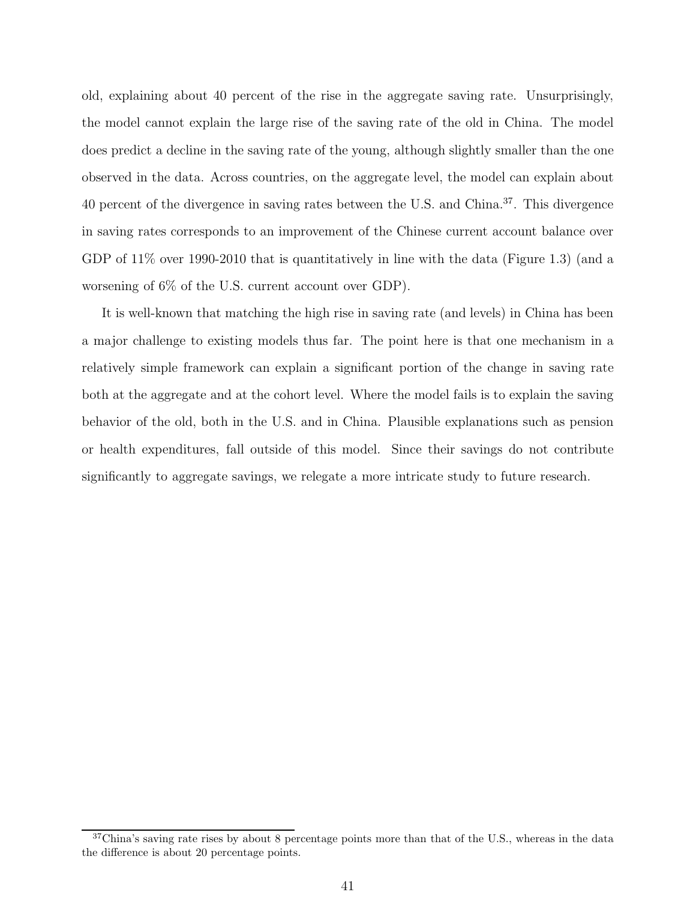old, explaining about 40 percent of the rise in the aggregate saving rate. Unsurprisingly, the model cannot explain the large rise of the saving rate of the old in China. The model does predict a decline in the saving rate of the young, although slightly smaller than the one observed in the data. Across countries, on the aggregate level, the model can explain about 40 percent of the divergence in saving rates between the U.S. and China.<sup>37</sup>. This divergence in saving rates corresponds to an improvement of the Chinese current account balance over GDP of  $11\%$  over 1990-2010 that is quantitatively in line with the data (Figure 1.3) (and a worsening of 6% of the U.S. current account over GDP).

It is well-known that matching the high rise in saving rate (and levels) in China has been a major challenge to existing models thus far. The point here is that one mechanism in a relatively simple framework can explain a significant portion of the change in saving rate both at the aggregate and at the cohort level. Where the model fails is to explain the saving behavior of the old, both in the U.S. and in China. Plausible explanations such as pension or health expenditures, fall outside of this model. Since their savings do not contribute significantly to aggregate savings, we relegate a more intricate study to future research.

 $37$ China's saving rate rises by about 8 percentage points more than that of the U.S., whereas in the data the difference is about 20 percentage points.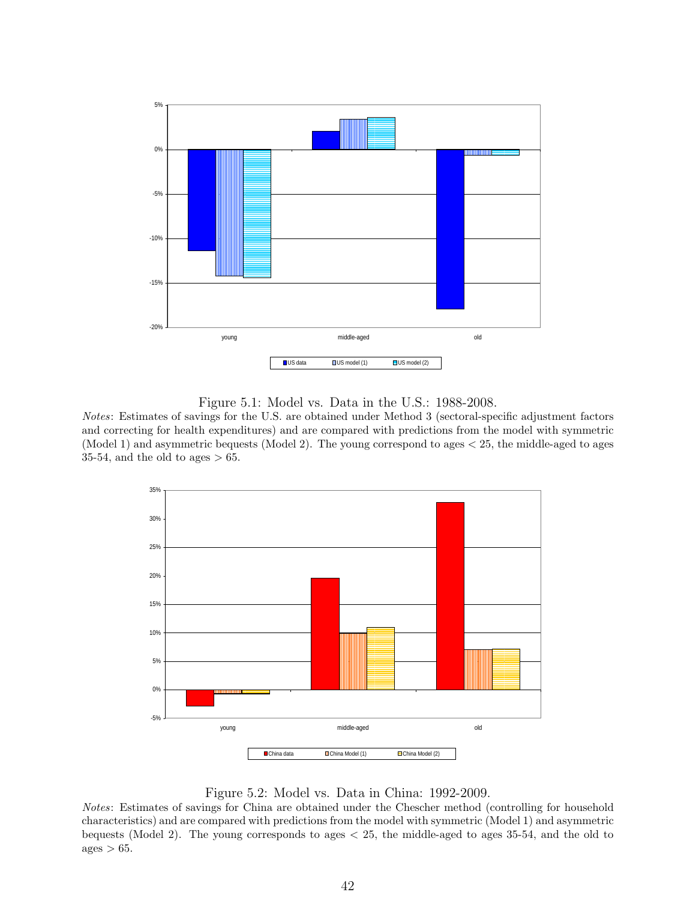

Figure 5.1: Model vs. Data in the U.S.: 1988-2008.

Notes: Estimates of savings for the U.S. are obtained under Method 3 (sectoral-specific adjustment factors and correcting for health expenditures) and are compared with predictions from the model with symmetric (Model 1) and asymmetric bequests (Model 2). The young correspond to ages < 25, the middle-aged to ages 35-54, and the old to ages  $> 65$ .



Figure 5.2: Model vs. Data in China: 1992-2009.

Notes: Estimates of savings for China are obtained under the Chescher method (controlling for household characteristics) and are compared with predictions from the model with symmetric (Model 1) and asymmetric bequests (Model 2). The young corresponds to ages < 25, the middle-aged to ages 35-54, and the old to  $ages > 65.$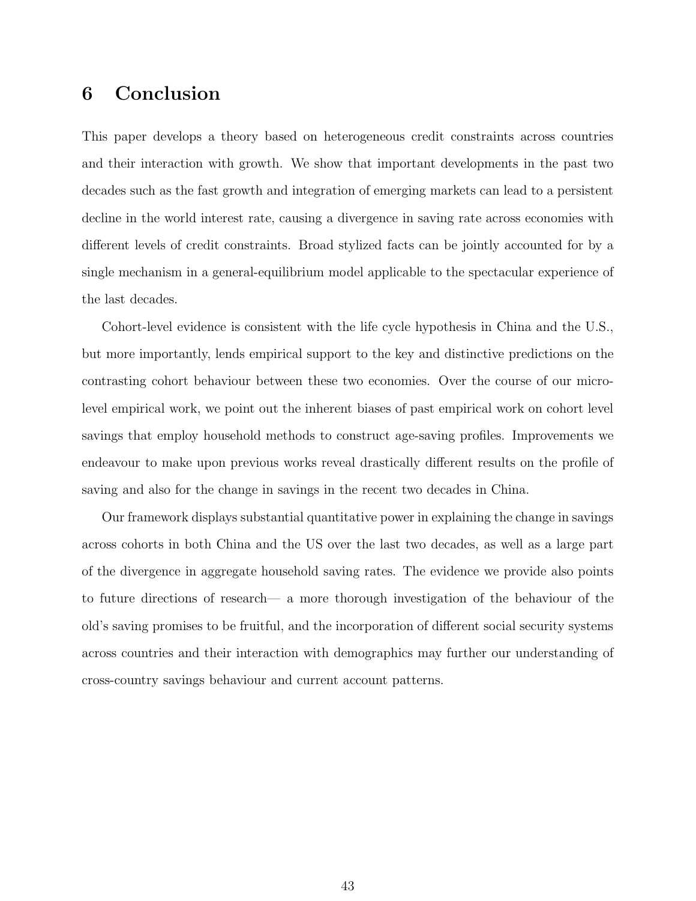# 6 Conclusion

This paper develops a theory based on heterogeneous credit constraints across countries and their interaction with growth. We show that important developments in the past two decades such as the fast growth and integration of emerging markets can lead to a persistent decline in the world interest rate, causing a divergence in saving rate across economies with different levels of credit constraints. Broad stylized facts can be jointly accounted for by a single mechanism in a general-equilibrium model applicable to the spectacular experience of the last decades.

Cohort-level evidence is consistent with the life cycle hypothesis in China and the U.S., but more importantly, lends empirical support to the key and distinctive predictions on the contrasting cohort behaviour between these two economies. Over the course of our microlevel empirical work, we point out the inherent biases of past empirical work on cohort level savings that employ household methods to construct age-saving profiles. Improvements we endeavour to make upon previous works reveal drastically different results on the profile of saving and also for the change in savings in the recent two decades in China.

Our framework displays substantial quantitative power in explaining the change in savings across cohorts in both China and the US over the last two decades, as well as a large part of the divergence in aggregate household saving rates. The evidence we provide also points to future directions of research— a more thorough investigation of the behaviour of the old's saving promises to be fruitful, and the incorporation of different social security systems across countries and their interaction with demographics may further our understanding of cross-country savings behaviour and current account patterns.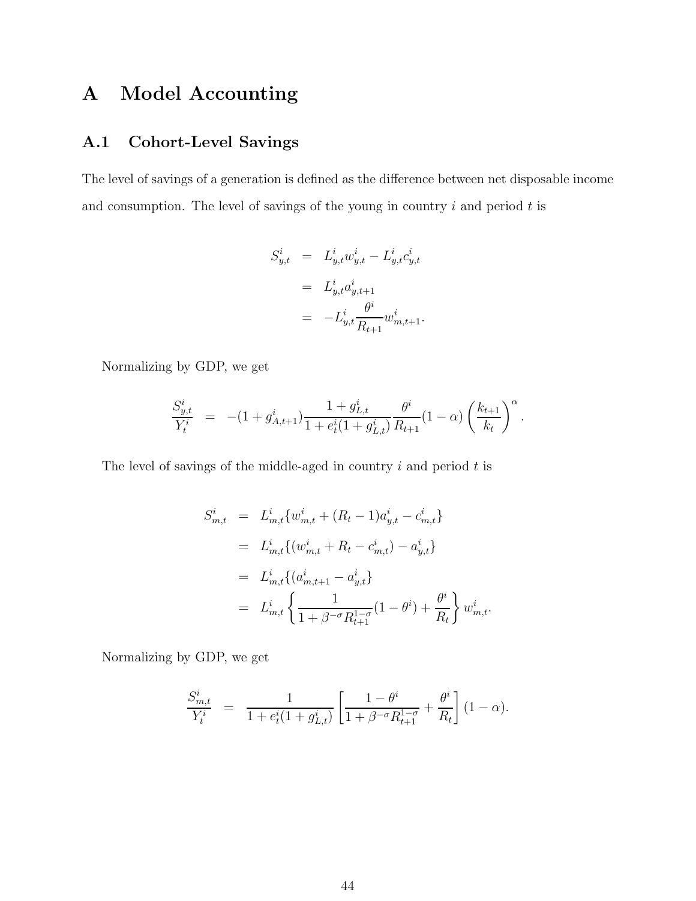# A Model Accounting

## A.1 Cohort-Level Savings

The level of savings of a generation is defined as the difference between net disposable income and consumption. The level of savings of the young in country  $i$  and period  $t$  is

$$
S_{y,t}^{i} = L_{y,t}^{i} w_{y,t}^{i} - L_{y,t}^{i} c_{y,t}^{i}
$$
  
=  $L_{y,t}^{i} a_{y,t+1}^{i}$   
=  $-L_{y,t}^{i} \frac{\theta^{i}}{R_{t+1}} w_{m,t+1}^{i}.$ 

Normalizing by GDP, we get

$$
\frac{S_{y,t}^i}{Y_t^i} = -(1+g_{A,t+1}^i)\frac{1+g_{L,t}^i}{1+e_t^i(1+g_{L,t}^i)}\frac{\theta^i}{R_{t+1}}(1-\alpha)\left(\frac{k_{t+1}}{k_t}\right)^{\alpha}.
$$

The level of savings of the middle-aged in country  $i$  and period  $t$  is

$$
S_{m,t}^{i} = L_{m,t}^{i} \{ w_{m,t}^{i} + (R_{t} - 1) a_{y,t}^{i} - c_{m,t}^{i} \}
$$
  
\n
$$
= L_{m,t}^{i} \{ (w_{m,t}^{i} + R_{t} - c_{m,t}^{i}) - a_{y,t}^{i} \}
$$
  
\n
$$
= L_{m,t}^{i} \{ (a_{m,t+1}^{i} - a_{y,t}^{i}) \}
$$
  
\n
$$
= L_{m,t}^{i} \{ \frac{1}{1 + \beta^{-\sigma} R_{t+1}^{1-\sigma}} (1 - \theta^{i}) + \frac{\theta^{i}}{R_{t}} \} w_{m,t}^{i}.
$$

Normalizing by GDP, we get

$$
\frac{S_{m,t}^i}{Y_t^i} = \frac{1}{1 + e_t^i (1 + g_{L,t}^i)} \left[ \frac{1 - \theta^i}{1 + \beta^{-\sigma} R_{t+1}^{1-\sigma}} + \frac{\theta^i}{R_t} \right] (1 - \alpha).
$$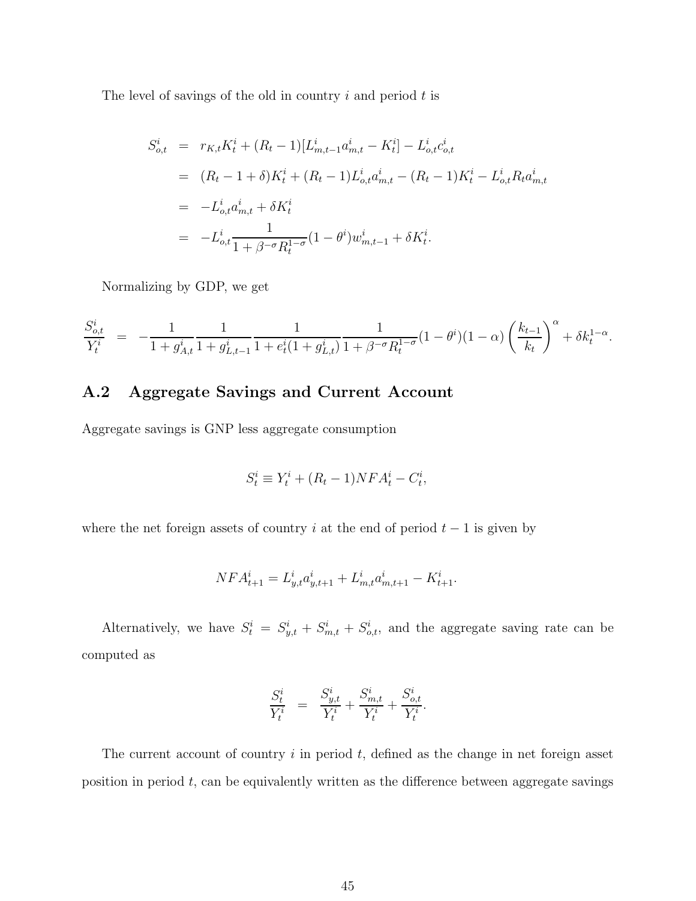The level of savings of the old in country  $i$  and period  $t$  is

$$
S_{o,t}^{i} = r_{K,t}K_{t}^{i} + (R_{t} - 1)[L_{m,t-1}^{i}a_{m,t}^{i} - K_{t}^{i}] - L_{o,t}^{i}c_{o,t}^{i}
$$
  
\n
$$
= (R_{t} - 1 + \delta)K_{t}^{i} + (R_{t} - 1)L_{o,t}^{i}a_{m,t}^{i} - (R_{t} - 1)K_{t}^{i} - L_{o,t}^{i}R_{t}a_{m,t}^{i}
$$
  
\n
$$
= -L_{o,t}^{i}a_{m,t}^{i} + \delta K_{t}^{i}
$$
  
\n
$$
= -L_{o,t}^{i} \frac{1}{1 + \beta^{-\sigma}R_{t}^{1-\sigma}}(1 - \theta^{i})w_{m,t-1}^{i} + \delta K_{t}^{i}.
$$

Normalizing by GDP, we get

$$
\frac{S_{o,t}^i}{Y_t^i} = -\frac{1}{1+g_{A,t}^i} \frac{1}{1+g_{L,t-1}^i} \frac{1}{1+e_t^i(1+g_{L,t}^i)} \frac{1}{1+\beta^{-\sigma}R_t^{1-\sigma}} (1-\theta^i)(1-\alpha) \left(\frac{k_{t-1}}{k_t}\right)^{\alpha} + \delta k_t^{1-\alpha}.
$$

# A.2 Aggregate Savings and Current Account

Aggregate savings is GNP less aggregate consumption

$$
S_t^i \equiv Y_t^i + (R_t - 1)NFA_t^i - C_t^i,
$$

where the net foreign assets of country i at the end of period  $t - 1$  is given by

$$
NFA_{t+1}^i = L_{y,t}^i a_{y,t+1}^i + L_{m,t}^i a_{m,t+1}^i - K_{t+1}^i.
$$

Alternatively, we have  $S_t^i = S_{y,t}^i + S_{m,t}^i + S_{o,t}^i$ , and the aggregate saving rate can be computed as

$$
\frac{S_t^i}{Y_t^i} = \frac{S_{y,t}^i}{Y_t^i} + \frac{S_{m,t}^i}{Y_t^i} + \frac{S_{o,t}^i}{Y_t^i}.
$$

The current account of country  $i$  in period  $t$ , defined as the change in net foreign asset position in period  $t$ , can be equivalently written as the difference between aggregate savings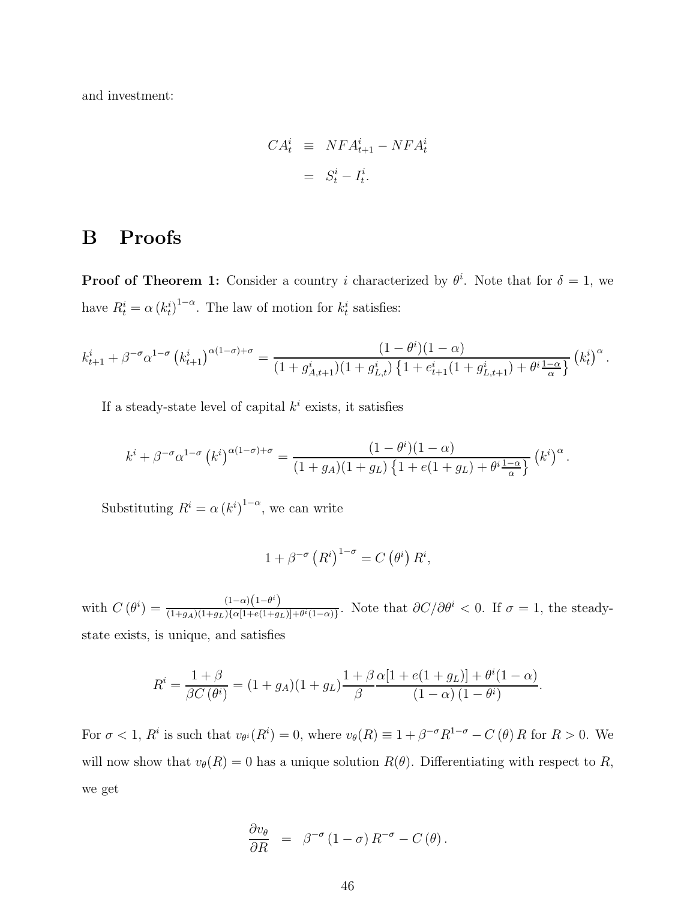and investment:

$$
CA_t^i \equiv NFA_{t+1}^i - NFA_t^i
$$

$$
= S_t^i - I_t^i.
$$

# B Proofs

**Proof of Theorem 1:** Consider a country i characterized by  $\theta^i$ . Note that for  $\delta = 1$ , we have  $R_t^i = \alpha (k_t^i)^{1-\alpha}$ . The law of motion for  $k_t^i$  satisfies:

$$
k_{t+1}^{i} + \beta^{-\sigma} \alpha^{1-\sigma} \left(k_{t+1}^{i}\right)^{\alpha(1-\sigma)+\sigma} = \frac{(1-\theta^{i})(1-\alpha)}{(1+g_{A,t+1}^{i})(1+g_{L,t}^{i})\left\{1+e_{t+1}^{i}(1+g_{L,t+1}^{i})+\theta^{i}\frac{1-\alpha}{\alpha}\right\}} \left(k_{t}^{i}\right)^{\alpha}.
$$

If a steady-state level of capital  $k^i$  exists, it satisfies

$$
k^{i} + \beta^{-\sigma} \alpha^{1-\sigma} (k^{i})^{\alpha(1-\sigma)+\sigma} = \frac{(1-\theta^{i})(1-\alpha)}{(1+g_{A})(1+g_{L})\left\{1+e(1+g_{L})+\theta^{i}\frac{1-\alpha}{\alpha}\right\}} (k^{i})^{\alpha}.
$$

Substituting  $R^i = \alpha (k^i)^{1-\alpha}$ , we can write

$$
1 + \beta^{-\sigma} (R^i)^{1-\sigma} = C (\theta^i) R^i,
$$

with  $C(\theta^i) = \frac{(1-\alpha)(1-\theta^i)}{(1+\alpha)^i(1+\alpha)^j\alpha(1+\theta^i)}$  $\frac{(1-\alpha)(1-\sigma)}{(1+g_A)(1+g_L)\{\alpha[1+e(1+g_L)]+\theta^i(1-\alpha)\}}$ . Note that  $\partial C/\partial\theta^i < 0$ . If  $\sigma = 1$ , the steadystate exists, is unique, and satisfies

$$
R^{i} = \frac{1+\beta}{\beta C(\theta^{i})} = (1+g_{A})(1+g_{L})\frac{1+\beta}{\beta}\frac{\alpha[1+e(1+g_{L})] + \theta^{i}(1-\alpha)}{(1-\alpha)(1-\theta^{i})}.
$$

For  $\sigma < 1$ ,  $R^i$  is such that  $v_{\theta^i}(R^i) = 0$ , where  $v_{\theta}(R) \equiv 1 + \beta^{-\sigma} R^{1-\sigma} - C(\theta) R$  for  $R > 0$ . We will now show that  $v_{\theta}(R) = 0$  has a unique solution  $R(\theta)$ . Differentiating with respect to R, we get

$$
\frac{\partial v_{\theta}}{\partial R} = \beta^{-\sigma} (1 - \sigma) R^{-\sigma} - C(\theta).
$$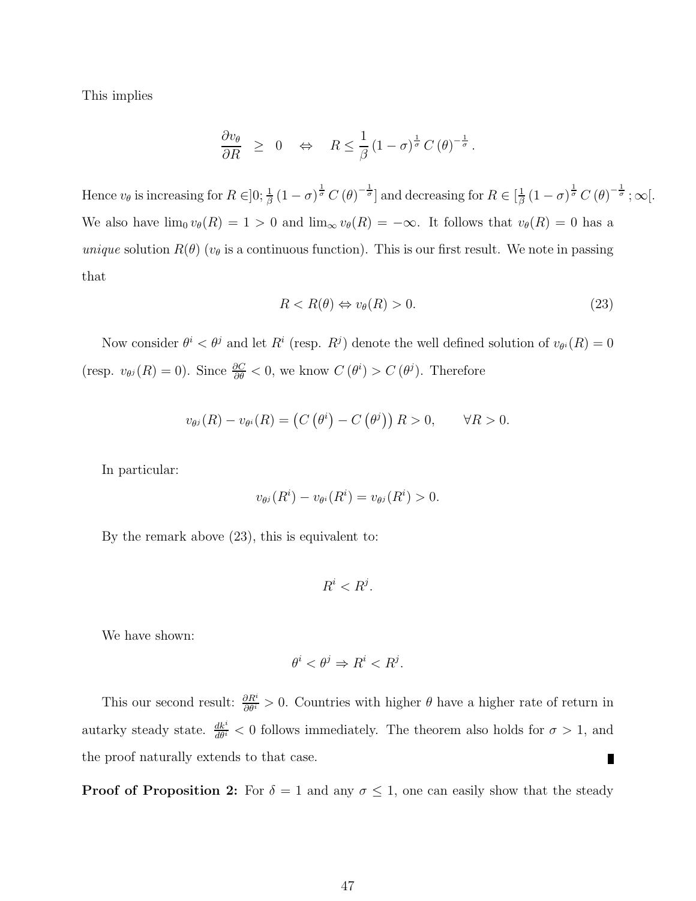This implies

$$
\frac{\partial v_{\theta}}{\partial R} \geq 0 \quad \Leftrightarrow \quad R \leq \frac{1}{\beta} \left(1 - \sigma\right)^{\frac{1}{\sigma}} C\left(\theta\right)^{-\frac{1}{\sigma}}.
$$

Hence  $v_{\theta}$  is increasing for  $R \in ]0; \frac{1}{\beta} (1 - \sigma)^{\frac{1}{\sigma}} C(\theta)^{-\frac{1}{\sigma}}]$  and decreasing for  $R \in [\frac{1}{\beta}]$  $\frac{1}{\beta}\left(1-\sigma\right)^{\frac{1}{\sigma}}C\left(\theta\right)^{-\frac{1}{\sigma}};\infty\lbrack.$ We also have  $\lim_{\theta} v_{\theta}(R) = 1 > 0$  and  $\lim_{\infty} v_{\theta}(R) = -\infty$ . It follows that  $v_{\theta}(R) = 0$  has a unique solution  $R(\theta)$  ( $v_{\theta}$  is a continuous function). This is our first result. We note in passing that

$$
R < R(\theta) \Leftrightarrow v_{\theta}(R) > 0. \tag{23}
$$

Now consider  $\theta^i < \theta^j$  and let  $R^i$  (resp.  $R^j$ ) denote the well defined solution of  $v_{\theta^i}(R) = 0$ (resp.  $v_{\theta^j}(R) = 0$ ). Since  $\frac{\partial C}{\partial \theta} < 0$ , we know  $C(\theta^i) > C(\theta^j)$ . Therefore

$$
v_{\theta^{j}}(R) - v_{\theta^{i}}(R) = (C(\theta^{i}) - C(\theta^{j})) R > 0, \qquad \forall R > 0.
$$

In particular:

$$
v_{\theta^j}(R^i) - v_{\theta^i}(R^i) = v_{\theta^j}(R^i) > 0.
$$

By the remark above (23), this is equivalent to:

$$
R^i < R^j.
$$

We have shown:

$$
\theta^i < \theta^j \Rightarrow R^i < R^j.
$$

This our second result:  $\frac{\partial R^i}{\partial \theta^i} > 0$ . Countries with higher  $\theta$  have a higher rate of return in autarky steady state.  $\frac{dk^i}{d\theta^i} < 0$  follows immediately. The theorem also holds for  $\sigma > 1$ , and the proof naturally extends to that case.  $\blacksquare$ 

**Proof of Proposition 2:** For  $\delta = 1$  and any  $\sigma \leq 1$ , one can easily show that the steady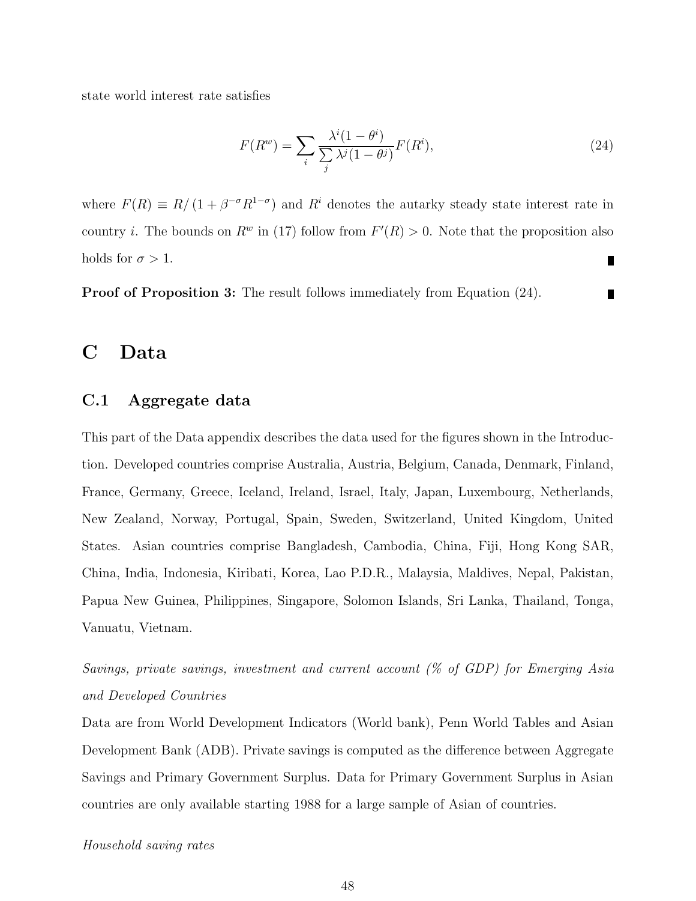state world interest rate satisfies

$$
F(R^w) = \sum_{i} \frac{\lambda^i (1 - \theta^i)}{\sum_{j} \lambda^j (1 - \theta^j)} F(R^i),\tag{24}
$$

where  $F(R) \equiv R/(1 + \beta^{-\sigma} R^{1-\sigma})$  and  $R^i$  denotes the autarky steady state interest rate in country *i*. The bounds on  $R^w$  in (17) follow from  $F'(R) > 0$ . Note that the proposition also holds for  $\sigma > 1$ . П

Proof of Proposition 3: The result follows immediately from Equation (24).

## C Data

### C.1 Aggregate data

This part of the Data appendix describes the data used for the figures shown in the Introduction. Developed countries comprise Australia, Austria, Belgium, Canada, Denmark, Finland, France, Germany, Greece, Iceland, Ireland, Israel, Italy, Japan, Luxembourg, Netherlands, New Zealand, Norway, Portugal, Spain, Sweden, Switzerland, United Kingdom, United States. Asian countries comprise Bangladesh, Cambodia, China, Fiji, Hong Kong SAR, China, India, Indonesia, Kiribati, Korea, Lao P.D.R., Malaysia, Maldives, Nepal, Pakistan, Papua New Guinea, Philippines, Singapore, Solomon Islands, Sri Lanka, Thailand, Tonga, Vanuatu, Vietnam.

Savings, private savings, investment and current account (% of GDP) for Emerging Asia and Developed Countries

Data are from World Development Indicators (World bank), Penn World Tables and Asian Development Bank (ADB). Private savings is computed as the difference between Aggregate Savings and Primary Government Surplus. Data for Primary Government Surplus in Asian countries are only available starting 1988 for a large sample of Asian of countries.

#### Household saving rates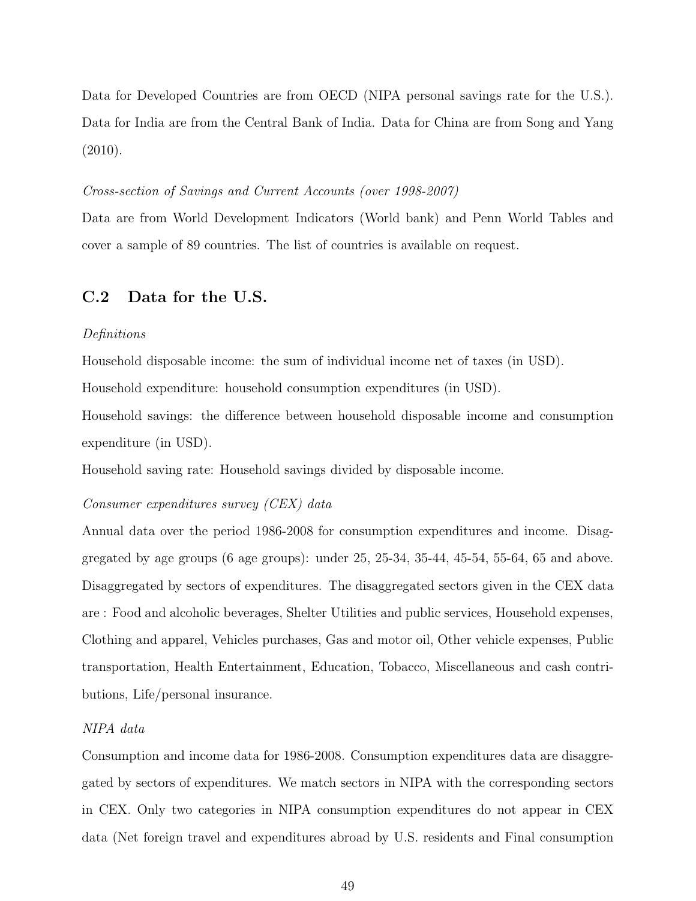Data for Developed Countries are from OECD (NIPA personal savings rate for the U.S.). Data for India are from the Central Bank of India. Data for China are from Song and Yang (2010).

#### Cross-section of Savings and Current Accounts (over 1998-2007)

Data are from World Development Indicators (World bank) and Penn World Tables and cover a sample of 89 countries. The list of countries is available on request.

### C.2 Data for the U.S.

#### Definitions

Household disposable income: the sum of individual income net of taxes (in USD).

Household expenditure: household consumption expenditures (in USD).

Household savings: the difference between household disposable income and consumption expenditure (in USD).

Household saving rate: Household savings divided by disposable income.

#### Consumer expenditures survey (CEX) data

Annual data over the period 1986-2008 for consumption expenditures and income. Disaggregated by age groups  $(6 \text{ age groups})$ : under  $25, 25-34, 35-44, 45-54, 55-64, 65 \text{ and above.}$ Disaggregated by sectors of expenditures. The disaggregated sectors given in the CEX data are : Food and alcoholic beverages, Shelter Utilities and public services, Household expenses, Clothing and apparel, Vehicles purchases, Gas and motor oil, Other vehicle expenses, Public transportation, Health Entertainment, Education, Tobacco, Miscellaneous and cash contributions, Life/personal insurance.

#### NIPA data

Consumption and income data for 1986-2008. Consumption expenditures data are disaggregated by sectors of expenditures. We match sectors in NIPA with the corresponding sectors in CEX. Only two categories in NIPA consumption expenditures do not appear in CEX data (Net foreign travel and expenditures abroad by U.S. residents and Final consumption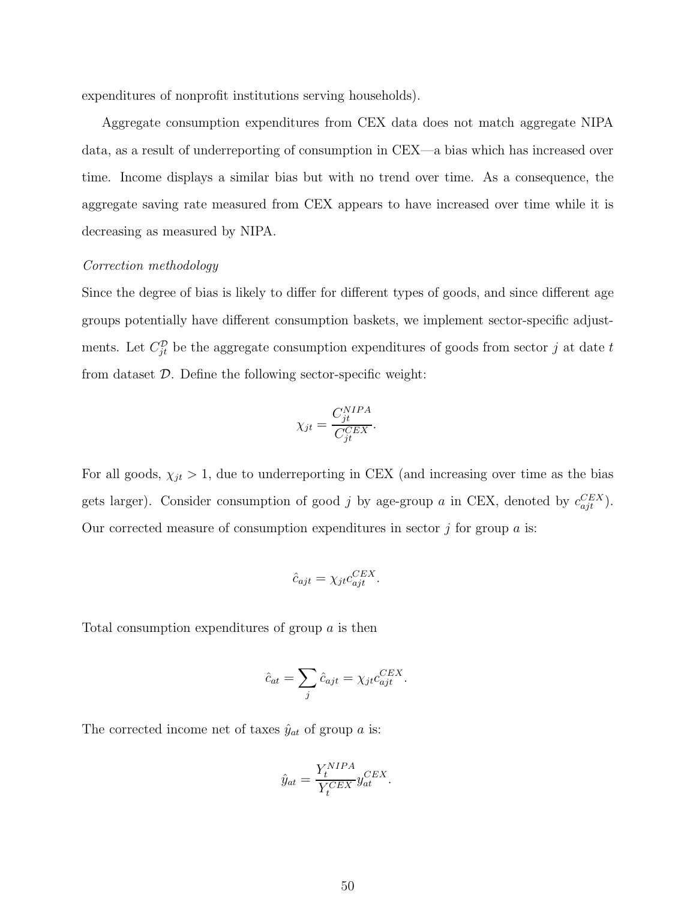expenditures of nonprofit institutions serving households).

Aggregate consumption expenditures from CEX data does not match aggregate NIPA data, as a result of underreporting of consumption in CEX—a bias which has increased over time. Income displays a similar bias but with no trend over time. As a consequence, the aggregate saving rate measured from CEX appears to have increased over time while it is decreasing as measured by NIPA.

#### Correction methodology

Since the degree of bias is likely to differ for different types of goods, and since different age groups potentially have different consumption baskets, we implement sector-specific adjustments. Let  $C_{jt}^{\mathcal{D}}$  be the aggregate consumption expenditures of goods from sector j at date t from dataset  $\mathcal{D}$ . Define the following sector-specific weight:

$$
\chi_{jt} = \frac{C_{jt}^{NIPA}}{C_{jt}^{CEX}}.
$$

For all goods,  $\chi_{jt} > 1$ , due to underreporting in CEX (and increasing over time as the bias gets larger). Consider consumption of good j by age-group a in CEX, denoted by  $c_{ajt}^{CEX}$ . Our corrected measure of consumption expenditures in sector  $j$  for group  $a$  is:

$$
\hat{c}_{ajt} = \chi_{jt} c_{ajt}^{CEX}.
$$

Total consumption expenditures of group a is then

$$
\hat{c}_{at} = \sum_{j} \hat{c}_{ajt} = \chi_{jt} c_{ajt}^{CEX}.
$$

The corrected income net of taxes  $\hat{y}_{at}$  of group a is:

$$
\hat{y}_{at} = \frac{Y_t^{NIPA}}{Y_t^{CEX}} y_{at}^{CEX}.
$$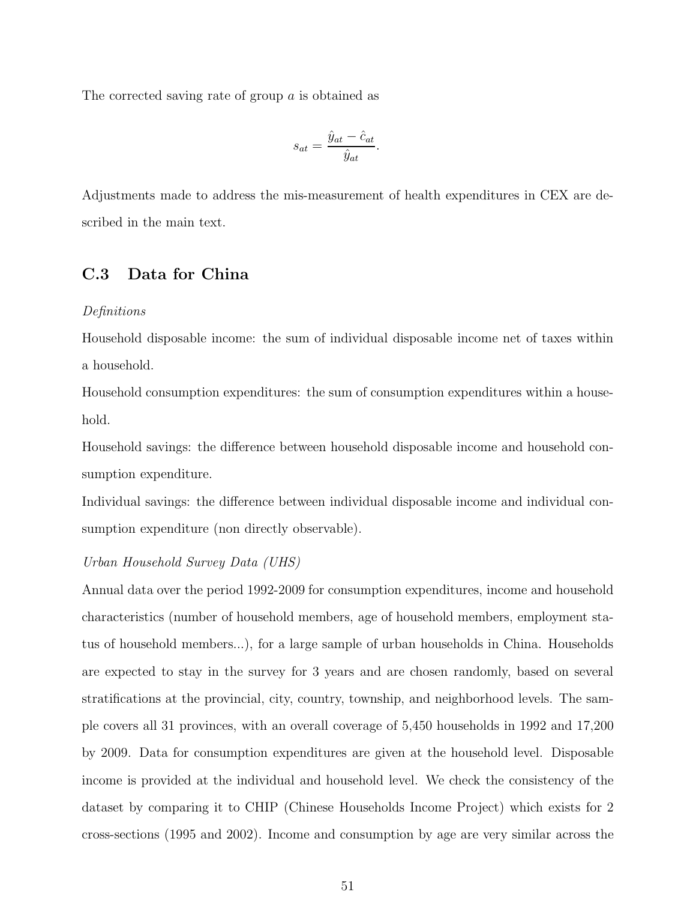The corrected saving rate of group a is obtained as

$$
s_{at} = \frac{\hat{y}_{at} - \hat{c}_{at}}{\hat{y}_{at}}
$$

.

Adjustments made to address the mis-measurement of health expenditures in CEX are described in the main text.

### C.3 Data for China

#### Definitions

Household disposable income: the sum of individual disposable income net of taxes within a household.

Household consumption expenditures: the sum of consumption expenditures within a household.

Household savings: the difference between household disposable income and household consumption expenditure.

Individual savings: the difference between individual disposable income and individual consumption expenditure (non directly observable).

#### Urban Household Survey Data (UHS)

Annual data over the period 1992-2009 for consumption expenditures, income and household characteristics (number of household members, age of household members, employment status of household members...), for a large sample of urban households in China. Households are expected to stay in the survey for 3 years and are chosen randomly, based on several stratifications at the provincial, city, country, township, and neighborhood levels. The sample covers all 31 provinces, with an overall coverage of 5,450 households in 1992 and 17,200 by 2009. Data for consumption expenditures are given at the household level. Disposable income is provided at the individual and household level. We check the consistency of the dataset by comparing it to CHIP (Chinese Households Income Project) which exists for 2 cross-sections (1995 and 2002). Income and consumption by age are very similar across the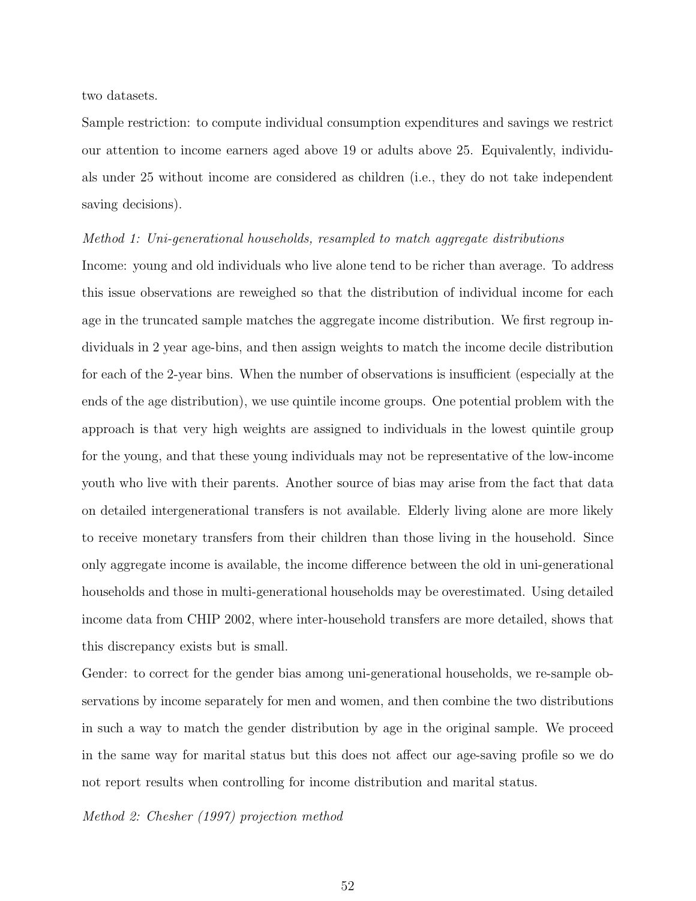two datasets.

Sample restriction: to compute individual consumption expenditures and savings we restrict our attention to income earners aged above 19 or adults above 25. Equivalently, individuals under 25 without income are considered as children (i.e., they do not take independent saving decisions).

#### Method 1: Uni-generational households, resampled to match aggregate distributions

Income: young and old individuals who live alone tend to be richer than average. To address this issue observations are reweighed so that the distribution of individual income for each age in the truncated sample matches the aggregate income distribution. We first regroup individuals in 2 year age-bins, and then assign weights to match the income decile distribution for each of the 2-year bins. When the number of observations is insufficient (especially at the ends of the age distribution), we use quintile income groups. One potential problem with the approach is that very high weights are assigned to individuals in the lowest quintile group for the young, and that these young individuals may not be representative of the low-income youth who live with their parents. Another source of bias may arise from the fact that data on detailed intergenerational transfers is not available. Elderly living alone are more likely to receive monetary transfers from their children than those living in the household. Since only aggregate income is available, the income difference between the old in uni-generational households and those in multi-generational households may be overestimated. Using detailed income data from CHIP 2002, where inter-household transfers are more detailed, shows that this discrepancy exists but is small.

Gender: to correct for the gender bias among uni-generational households, we re-sample observations by income separately for men and women, and then combine the two distributions in such a way to match the gender distribution by age in the original sample. We proceed in the same way for marital status but this does not affect our age-saving profile so we do not report results when controlling for income distribution and marital status.

Method 2: Chesher (1997) projection method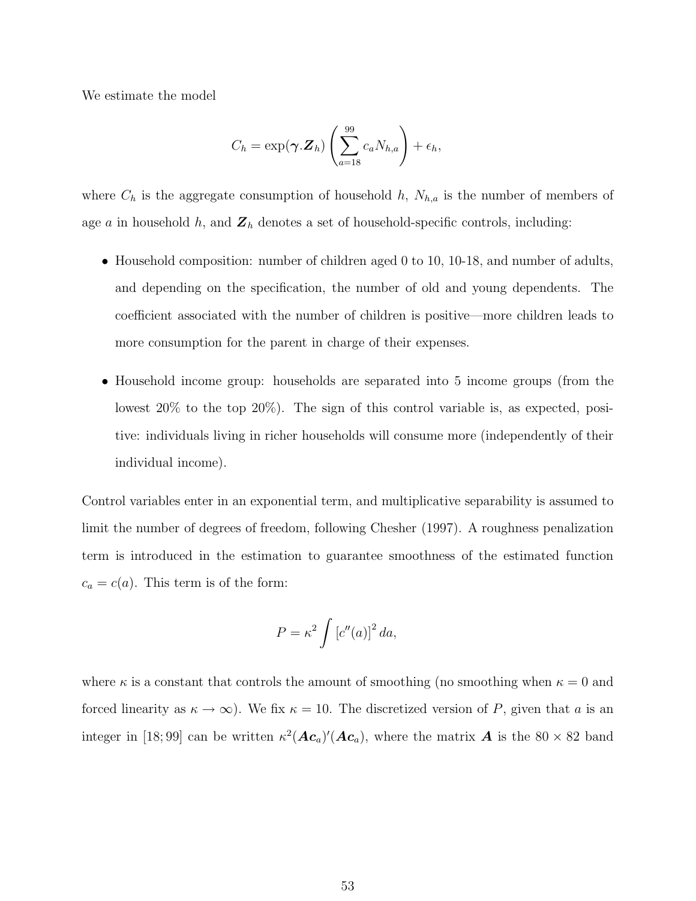We estimate the model

$$
C_h = \exp(\boldsymbol{\gamma}.\mathbf{Z}_h) \left( \sum_{a=18}^{99} c_a N_{h,a} \right) + \epsilon_h,
$$

where  $C_h$  is the aggregate consumption of household h,  $N_{h,a}$  is the number of members of age a in household h, and  $\mathbf{Z}_h$  denotes a set of household-specific controls, including:

- Household composition: number of children aged 0 to 10, 10-18, and number of adults, and depending on the specification, the number of old and young dependents. The coefficient associated with the number of children is positive—more children leads to more consumption for the parent in charge of their expenses.
- Household income group: households are separated into 5 income groups (from the lowest 20% to the top 20%). The sign of this control variable is, as expected, positive: individuals living in richer households will consume more (independently of their individual income).

Control variables enter in an exponential term, and multiplicative separability is assumed to limit the number of degrees of freedom, following Chesher (1997). A roughness penalization term is introduced in the estimation to guarantee smoothness of the estimated function  $c_a = c(a)$ . This term is of the form:

$$
P = \kappa^2 \int \left[ c''(a) \right]^2 da,
$$

where  $\kappa$  is a constant that controls the amount of smoothing (no smoothing when  $\kappa = 0$  and forced linearity as  $\kappa \to \infty$ ). We fix  $\kappa = 10$ . The discretized version of P, given that a is an integer in [18;99] can be written  $\kappa^2(\mathbf{A}\mathbf{c}_a)'(\mathbf{A}\mathbf{c}_a)$ , where the matrix  $\mathbf{A}$  is the 80 × 82 band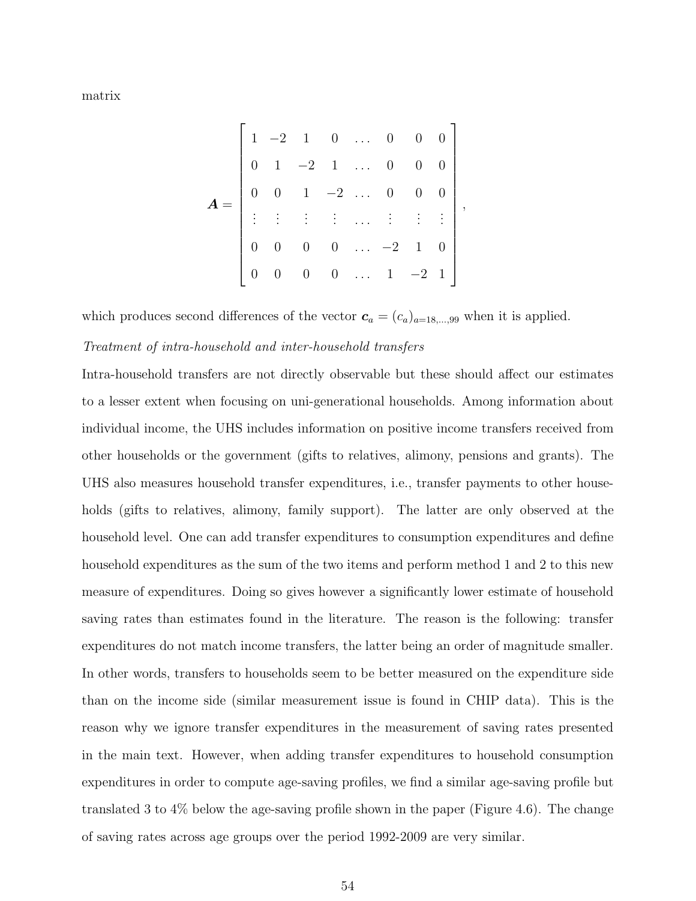matrix

$$
\mathbf{A} = \begin{bmatrix} 1 & -2 & 1 & 0 & \dots & 0 & 0 & 0 \\ 0 & 1 & -2 & 1 & \dots & 0 & 0 & 0 \\ 0 & 0 & 1 & -2 & \dots & 0 & 0 & 0 \\ \vdots & \vdots & \vdots & \vdots & \dots & \vdots & \vdots & \vdots \\ 0 & 0 & 0 & 0 & \dots & -2 & 1 & 0 \\ 0 & 0 & 0 & 0 & \dots & 1 & -2 & 1 \end{bmatrix},
$$

which produces second differences of the vector  $c_a = (c_a)_{a=18,\dots,99}$  when it is applied.

#### Treatment of intra-household and inter-household transfers

Intra-household transfers are not directly observable but these should affect our estimates to a lesser extent when focusing on uni-generational households. Among information about individual income, the UHS includes information on positive income transfers received from other households or the government (gifts to relatives, alimony, pensions and grants). The UHS also measures household transfer expenditures, i.e., transfer payments to other households (gifts to relatives, alimony, family support). The latter are only observed at the household level. One can add transfer expenditures to consumption expenditures and define household expenditures as the sum of the two items and perform method 1 and 2 to this new measure of expenditures. Doing so gives however a significantly lower estimate of household saving rates than estimates found in the literature. The reason is the following: transfer expenditures do not match income transfers, the latter being an order of magnitude smaller. In other words, transfers to households seem to be better measured on the expenditure side than on the income side (similar measurement issue is found in CHIP data). This is the reason why we ignore transfer expenditures in the measurement of saving rates presented in the main text. However, when adding transfer expenditures to household consumption expenditures in order to compute age-saving profiles, we find a similar age-saving profile but translated 3 to 4% below the age-saving profile shown in the paper (Figure 4.6). The change of saving rates across age groups over the period 1992-2009 are very similar.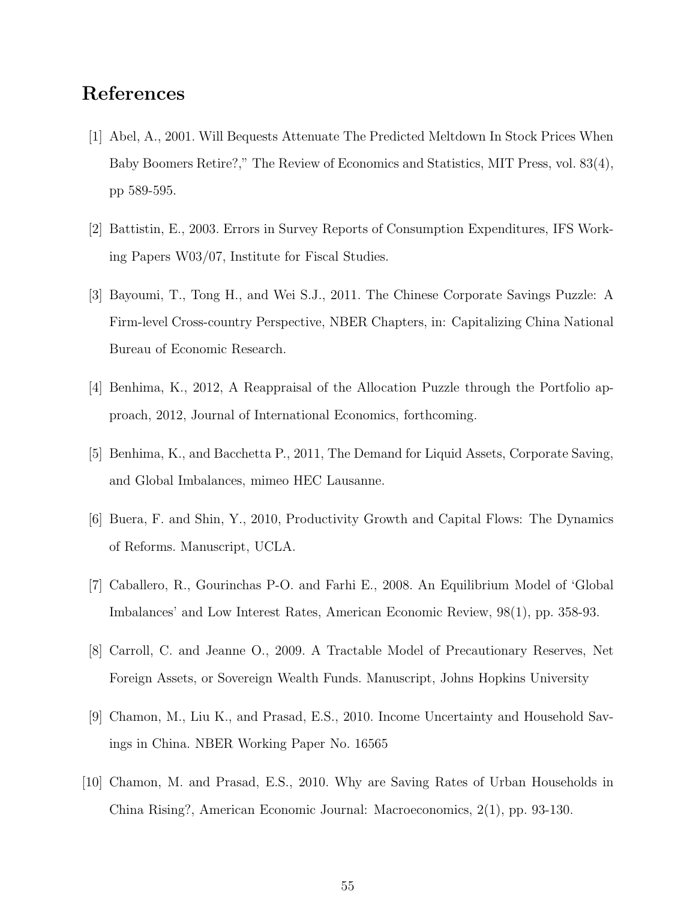# References

- [1] Abel, A., 2001. Will Bequests Attenuate The Predicted Meltdown In Stock Prices When Baby Boomers Retire?," The Review of Economics and Statistics, MIT Press, vol. 83(4), pp 589-595.
- [2] Battistin, E., 2003. Errors in Survey Reports of Consumption Expenditures, IFS Working Papers W03/07, Institute for Fiscal Studies.
- [3] Bayoumi, T., Tong H., and Wei S.J., 2011. The Chinese Corporate Savings Puzzle: A Firm-level Cross-country Perspective, NBER Chapters, in: Capitalizing China National Bureau of Economic Research.
- [4] Benhima, K., 2012, A Reappraisal of the Allocation Puzzle through the Portfolio approach, 2012, Journal of International Economics, forthcoming.
- [5] Benhima, K., and Bacchetta P., 2011, The Demand for Liquid Assets, Corporate Saving, and Global Imbalances, mimeo HEC Lausanne.
- [6] Buera, F. and Shin, Y., 2010, Productivity Growth and Capital Flows: The Dynamics of Reforms. Manuscript, UCLA.
- [7] Caballero, R., Gourinchas P-O. and Farhi E., 2008. An Equilibrium Model of 'Global Imbalances' and Low Interest Rates, American Economic Review, 98(1), pp. 358-93.
- [8] Carroll, C. and Jeanne O., 2009. A Tractable Model of Precautionary Reserves, Net Foreign Assets, or Sovereign Wealth Funds. Manuscript, Johns Hopkins University
- [9] Chamon, M., Liu K., and Prasad, E.S., 2010. Income Uncertainty and Household Savings in China. NBER Working Paper No. 16565
- [10] Chamon, M. and Prasad, E.S., 2010. Why are Saving Rates of Urban Households in China Rising?, American Economic Journal: Macroeconomics, 2(1), pp. 93-130.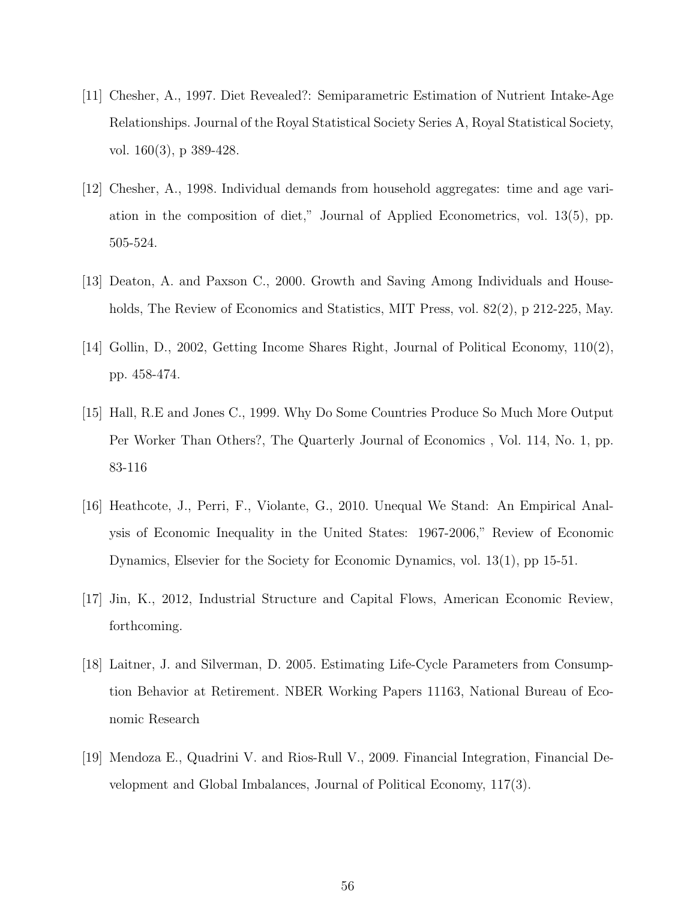- [11] Chesher, A., 1997. Diet Revealed?: Semiparametric Estimation of Nutrient Intake-Age Relationships. Journal of the Royal Statistical Society Series A, Royal Statistical Society, vol. 160(3), p 389-428.
- [12] Chesher, A., 1998. Individual demands from household aggregates: time and age variation in the composition of diet," Journal of Applied Econometrics, vol. 13(5), pp. 505-524.
- [13] Deaton, A. and Paxson C., 2000. Growth and Saving Among Individuals and Households, The Review of Economics and Statistics, MIT Press, vol. 82(2), p 212-225, May.
- [14] Gollin, D., 2002, Getting Income Shares Right, Journal of Political Economy, 110(2), pp. 458-474.
- [15] Hall, R.E and Jones C., 1999. Why Do Some Countries Produce So Much More Output Per Worker Than Others?, The Quarterly Journal of Economics , Vol. 114, No. 1, pp. 83-116
- [16] Heathcote, J., Perri, F., Violante, G., 2010. Unequal We Stand: An Empirical Analysis of Economic Inequality in the United States: 1967-2006," Review of Economic Dynamics, Elsevier for the Society for Economic Dynamics, vol. 13(1), pp 15-51.
- [17] Jin, K., 2012, Industrial Structure and Capital Flows, American Economic Review, forthcoming.
- [18] Laitner, J. and Silverman, D. 2005. Estimating Life-Cycle Parameters from Consumption Behavior at Retirement. NBER Working Papers 11163, National Bureau of Economic Research
- [19] Mendoza E., Quadrini V. and Rios-Rull V., 2009. Financial Integration, Financial Development and Global Imbalances, Journal of Political Economy, 117(3).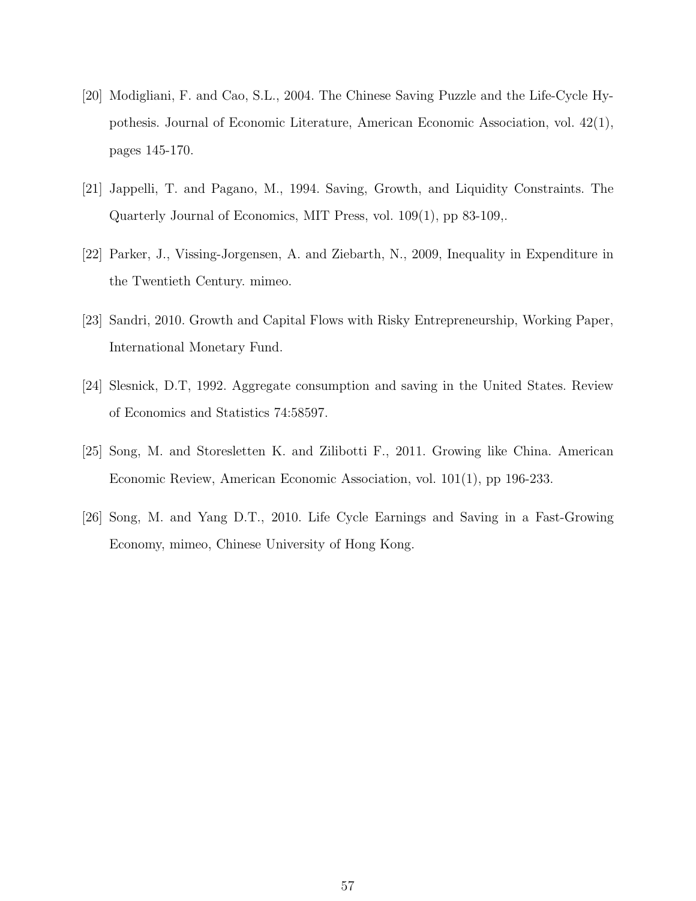- [20] Modigliani, F. and Cao, S.L., 2004. The Chinese Saving Puzzle and the Life-Cycle Hypothesis. Journal of Economic Literature, American Economic Association, vol. 42(1), pages 145-170.
- [21] Jappelli, T. and Pagano, M., 1994. Saving, Growth, and Liquidity Constraints. The Quarterly Journal of Economics, MIT Press, vol. 109(1), pp 83-109,.
- [22] Parker, J., Vissing-Jorgensen, A. and Ziebarth, N., 2009, Inequality in Expenditure in the Twentieth Century. mimeo.
- [23] Sandri, 2010. Growth and Capital Flows with Risky Entrepreneurship, Working Paper, International Monetary Fund.
- [24] Slesnick, D.T, 1992. Aggregate consumption and saving in the United States. Review of Economics and Statistics 74:58597.
- [25] Song, M. and Storesletten K. and Zilibotti F., 2011. Growing like China. American Economic Review, American Economic Association, vol. 101(1), pp 196-233.
- [26] Song, M. and Yang D.T., 2010. Life Cycle Earnings and Saving in a Fast-Growing Economy, mimeo, Chinese University of Hong Kong.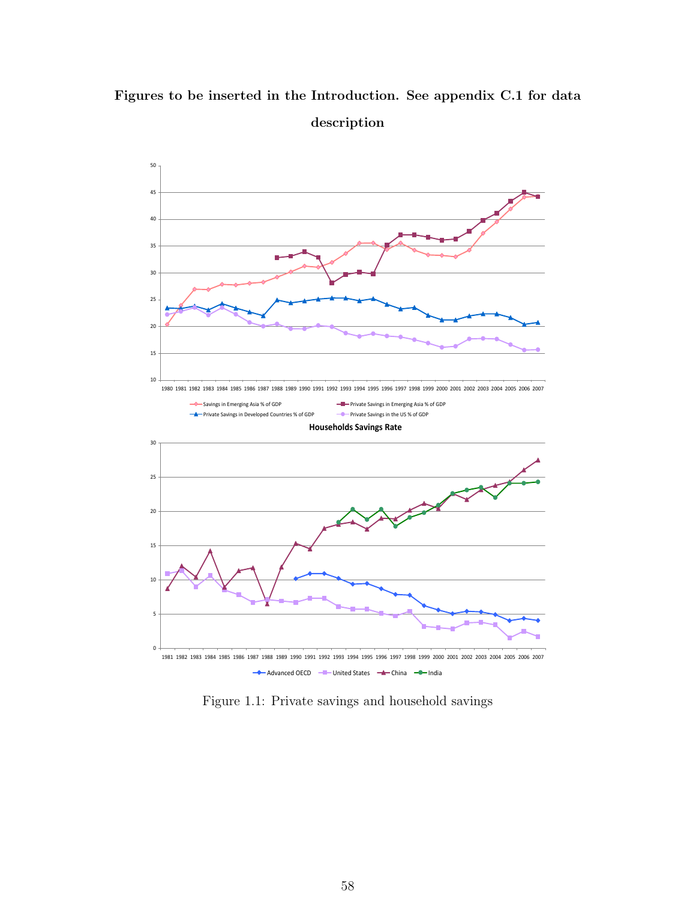# Figures to be inserted in the Introduction. See appendix C.1 for data description



Figure 1.1: Private savings and household savings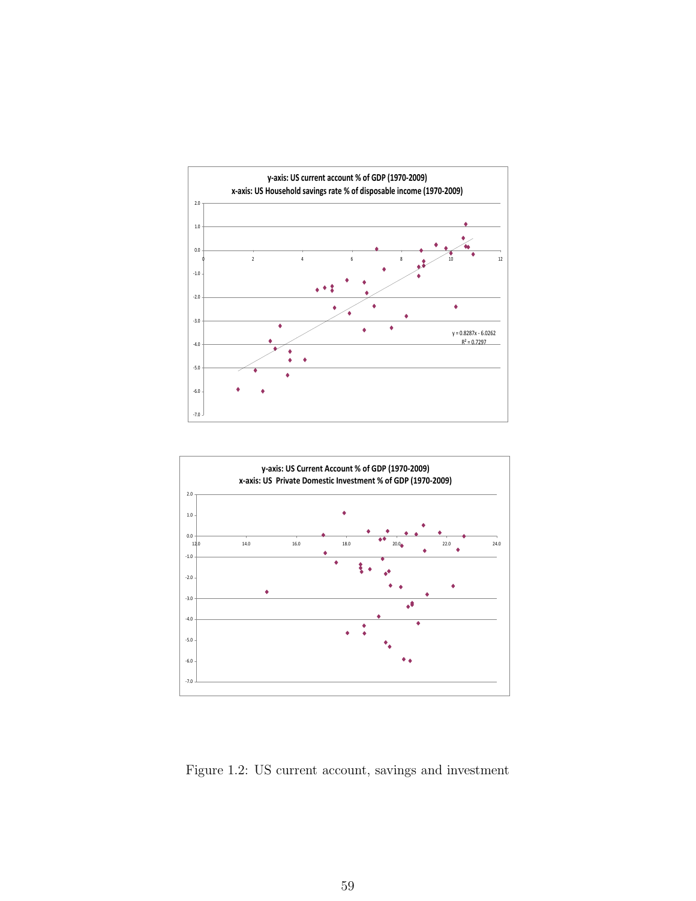



Figure 1.2: US current account, savings and investment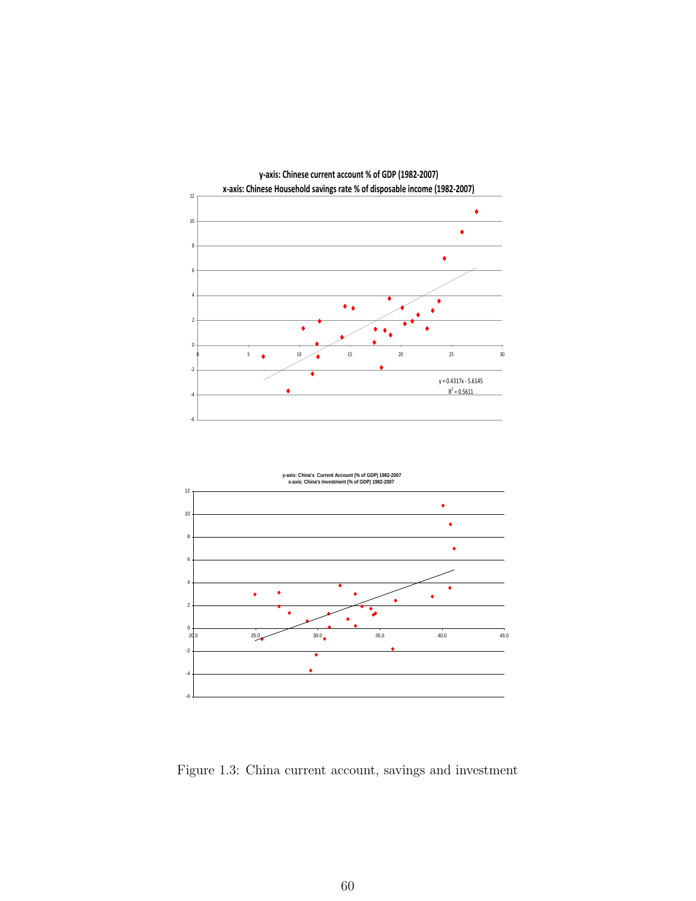



Figure 1.3: China current account, savings and investment